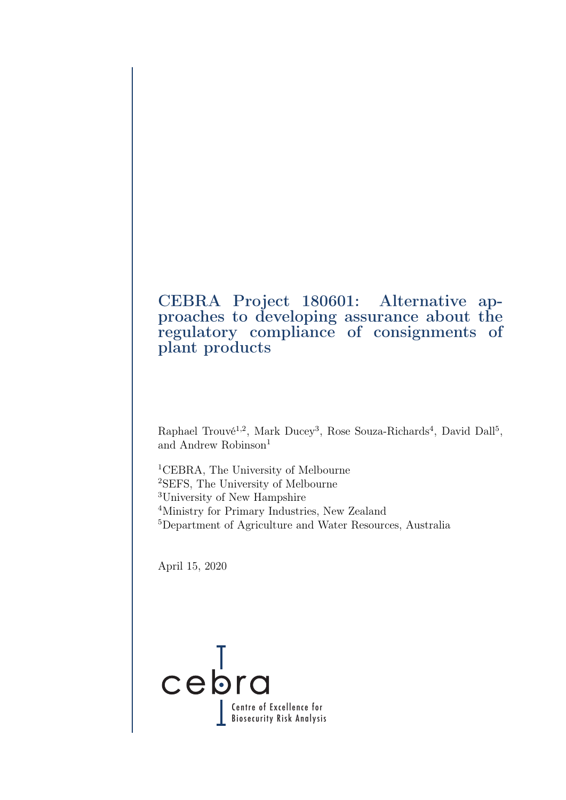## CEBRA Project 180601: Alternative approaches to developing assurance about the regulatory compliance of consignments of plant products

Raphael Trouvé<sup>1,2</sup>, Mark Ducey<sup>3</sup>, Rose Souza-Richards<sup>4</sup>, David Dall<sup>5</sup>, and Andrew Robinson<sup>1</sup>

CEBRA, The University of Melbourne SEFS, The University of Melbourne University of New Hampshire Ministry for Primary Industries, New Zealand Department of Agriculture and Water Resources, Australia

April 15, 2020

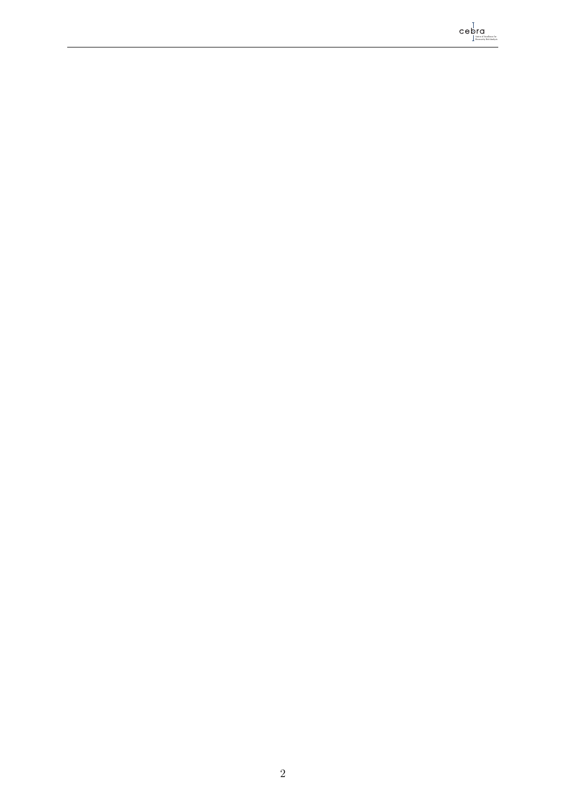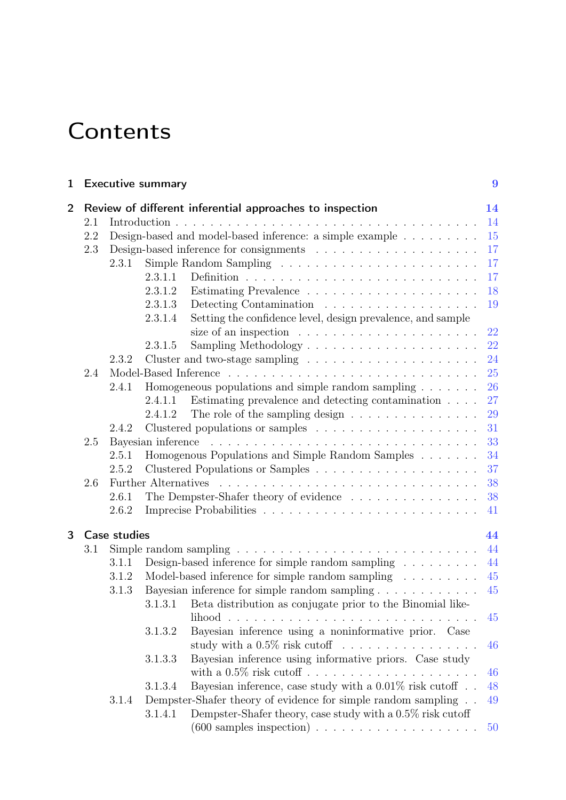## **Contents**

| 1              |     |                                                                                                              | <b>Executive summary</b> |                                                                                                                         | 9  |
|----------------|-----|--------------------------------------------------------------------------------------------------------------|--------------------------|-------------------------------------------------------------------------------------------------------------------------|----|
| $\overline{2}$ |     |                                                                                                              |                          | Review of different inferential approaches to inspection                                                                | 14 |
|                | 2.1 |                                                                                                              |                          |                                                                                                                         | 14 |
|                | 2.2 |                                                                                                              |                          | Design-based and model-based inference: a simple example $.\;.\;.\;.\;.\;.\;.\;.\;.\;.\;$                               | 15 |
|                | 2.3 |                                                                                                              |                          | Design-based inference for consignments $\ldots \ldots \ldots \ldots \ldots \ldots \ldots$                              | 17 |
|                |     | 2.3.1                                                                                                        |                          |                                                                                                                         | 17 |
|                |     |                                                                                                              | 2.3.1.1                  |                                                                                                                         | 17 |
|                |     |                                                                                                              | 2.3.1.2                  |                                                                                                                         | 18 |
|                |     |                                                                                                              | 2.3.1.3                  | Detecting Contamination                                                                                                 | 19 |
|                |     |                                                                                                              | 2.3.1.4                  | Setting the confidence level, design prevalence, and sample                                                             |    |
|                |     |                                                                                                              |                          | size of an inspection $\ldots \ldots \ldots \ldots \ldots \ldots$                                                       | 22 |
|                |     |                                                                                                              | 2.3.1.5                  |                                                                                                                         | 22 |
|                |     | 2.3.2                                                                                                        |                          | Cluster and two-stage sampling $\dots \dots \dots \dots \dots \dots \dots$                                              | 24 |
|                | 2.4 |                                                                                                              |                          |                                                                                                                         | 25 |
|                |     | 2.4.1                                                                                                        |                          | Homogeneous populations and simple random sampling $\ldots \ldots$                                                      | 26 |
|                |     |                                                                                                              | 2.4.1.1                  | Estimating prevalence and detecting contamination                                                                       | 27 |
|                |     |                                                                                                              | 2.4.1.2                  | The role of the sampling design                                                                                         | 29 |
|                |     | 2.4.2                                                                                                        |                          |                                                                                                                         | 31 |
|                | 2.5 | Bayesian inference<br><u>. A series and a series and a series and a series and a series and a series and</u> |                          | 33                                                                                                                      |    |
|                |     | 2.5.1                                                                                                        |                          | Homogenous Populations and Simple Random Samples                                                                        | 34 |
|                |     | 2.5.2                                                                                                        |                          |                                                                                                                         | 37 |
|                | 2.6 |                                                                                                              | Further Alternatives     | <u>. A series a la calactera de la calactera de la calactera de la calactera de la calactera de la calactera de la </u> | 38 |
|                |     | 2.6.1                                                                                                        |                          | The Dempster-Shafer theory of evidence                                                                                  | 38 |
|                |     | 2.6.2                                                                                                        |                          |                                                                                                                         | 41 |
| 3              |     | Case studies                                                                                                 |                          |                                                                                                                         | 44 |
|                | 3.1 |                                                                                                              |                          | Simple random sampling $\dots \dots \dots \dots \dots \dots \dots \dots \dots \dots \dots$                              | 44 |
|                |     | 3.1.1                                                                                                        |                          | Design-based inference for simple random sampling                                                                       | 44 |
|                |     | 3.1.2                                                                                                        |                          | Model-based inference for simple random sampling $\dots \dots$                                                          | 45 |
| 3.1.3          |     | Bayesian inference for simple random sampling                                                                | 45                       |                                                                                                                         |    |
|                |     |                                                                                                              |                          | 3.1.3.1 Beta distribution as conjugate prior to the Binomial like-                                                      |    |
|                |     |                                                                                                              |                          | lihood                                                                                                                  | 45 |
|                |     |                                                                                                              | 3.1.3.2                  | Bayesian inference using a noninformative prior. Case                                                                   |    |
|                |     |                                                                                                              |                          | study with a $0.5\%$ risk cutoff                                                                                        | 46 |
|                |     |                                                                                                              | 3.1.3.3                  | Bayesian inference using informative priors. Case study                                                                 |    |
|                |     |                                                                                                              |                          |                                                                                                                         | 46 |
|                |     |                                                                                                              | 3.1.3.4                  | Bayesian inference, case study with a $0.01\%$ risk cutoff                                                              | 48 |
|                |     | 3.1.4                                                                                                        |                          | Dempster-Shafer theory of evidence for simple random sampling                                                           | 49 |
|                |     |                                                                                                              | 3.1.4.1                  | Dempster-Shafer theory, case study with a $0.5\%$ risk cutoff                                                           |    |
|                |     |                                                                                                              |                          |                                                                                                                         | 50 |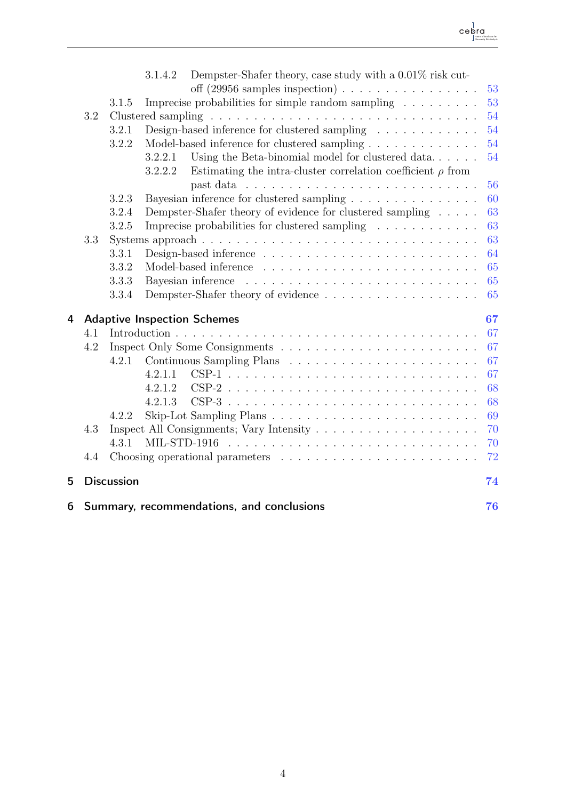|   |     |                   | 3.1.4.2 | Dempster-Shafer theory, case study with a $0.01\%$ risk cut-     | 53 |
|---|-----|-------------------|---------|------------------------------------------------------------------|----|
|   |     | 3.1.5             |         | Imprecise probabilities for simple random sampling $\dots \dots$ | 53 |
|   | 3.2 |                   |         |                                                                  | 54 |
|   |     | 3.2.1             |         | Design-based inference for clustered sampling                    | 54 |
|   |     | 3.2.2             |         | Model-based inference for clustered sampling                     | 54 |
|   |     |                   | 3.2.2.1 | Using the Beta-binomial model for clustered data                 | 54 |
|   |     |                   | 3.2.2.2 | Estimating the intra-cluster correlation coefficient $\rho$ from |    |
|   |     |                   |         |                                                                  | 56 |
|   |     | 3.2.3             |         | Bayesian inference for clustered sampling                        | 60 |
|   |     | 3.2.4             |         | Dempster-Shafer theory of evidence for clustered sampling        | 63 |
|   |     | 3.2.5             |         | Imprecise probabilities for clustered sampling                   | 63 |
|   | 3.3 |                   |         |                                                                  | 63 |
|   |     | 3.3.1             |         |                                                                  | 64 |
|   |     | 3.3.2             |         |                                                                  | 65 |
|   |     | 3.3.3             |         |                                                                  | 65 |
|   |     | 3.3.4             |         |                                                                  | 65 |
| 4 |     |                   |         | <b>Adaptive Inspection Schemes</b>                               | 67 |
|   | 4.1 |                   |         |                                                                  | 67 |
|   | 4.2 |                   |         |                                                                  | 67 |
|   |     | 4.2.1             |         |                                                                  | 67 |
|   |     |                   | 4.2.1.1 |                                                                  | 67 |
|   |     |                   | 4.2.1.2 |                                                                  | 68 |
|   |     |                   | 4.2.1.3 |                                                                  | 68 |
|   |     | 4.2.2             |         |                                                                  | 69 |
|   | 4.3 |                   |         |                                                                  | 70 |
|   |     | 4.3.1             |         |                                                                  | 70 |
|   | 4.4 |                   |         |                                                                  | 72 |
|   |     |                   |         |                                                                  |    |
| 5 |     | <b>Discussion</b> |         |                                                                  | 74 |
| 6 |     |                   |         | Summary, recommendations, and conclusions                        | 76 |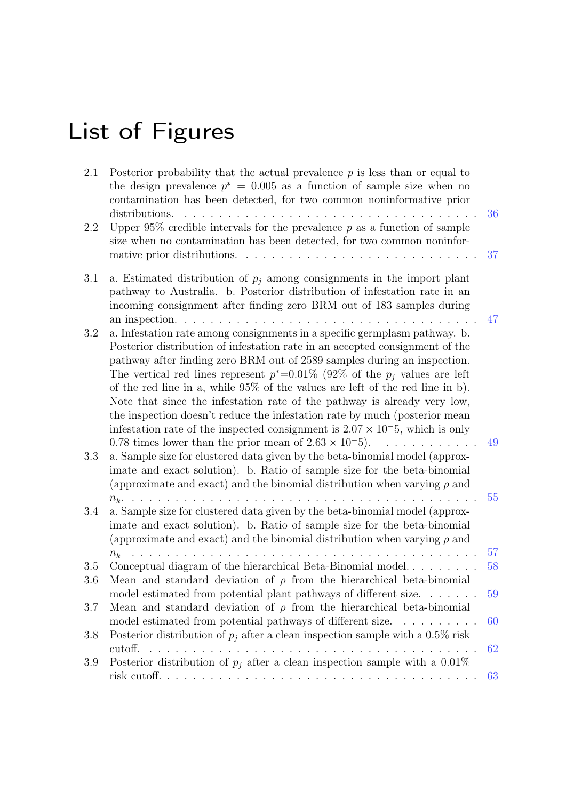# List of Figures

| 2.1 | Posterior probability that the actual prevalence $p$ is less than or equal to<br>the design prevalence $p^* = 0.005$ as a function of sample size when no<br>contamination has been detected, for two common noninformative prior<br>distributions.                                                                                                                                                                                                                                                                                                                                                                                                                                                                                     | 36       |
|-----|-----------------------------------------------------------------------------------------------------------------------------------------------------------------------------------------------------------------------------------------------------------------------------------------------------------------------------------------------------------------------------------------------------------------------------------------------------------------------------------------------------------------------------------------------------------------------------------------------------------------------------------------------------------------------------------------------------------------------------------------|----------|
| 2.2 | Upper $95\%$ credible intervals for the prevalence $p$ as a function of sample<br>size when no contamination has been detected, for two common noninfor-<br>mative prior distributions.                                                                                                                                                                                                                                                                                                                                                                                                                                                                                                                                                 | 37       |
| 3.1 | a. Estimated distribution of $p_i$ among consignments in the import plant<br>pathway to Australia. b. Posterior distribution of infestation rate in an<br>incoming consignment after finding zero BRM out of 183 samples during                                                                                                                                                                                                                                                                                                                                                                                                                                                                                                         |          |
| 3.2 | a. Infestation rate among consignments in a specific germplasm pathway. b.<br>Posterior distribution of infestation rate in an accepted consignment of the<br>pathway after finding zero BRM out of 2589 samples during an inspection.<br>The vertical red lines represent $p^* = 0.01\%$ (92% of the $p_i$ values are left<br>of the red line in a, while $95\%$ of the values are left of the red line in b).<br>Note that since the infestation rate of the pathway is already very low,<br>the inspection doesn't reduce the infestation rate by much (posterior mean<br>infestation rate of the inspected consignment is $2.07 \times 10^{-5}$ , which is only<br>0.78 times lower than the prior mean of $2.63 \times 10^{-5}$ ). | 47<br>49 |
| 3.3 | a. Sample size for clustered data given by the beta-binomial model (approx-<br>imate and exact solution). b. Ratio of sample size for the beta-binomial<br>(approximate and exact) and the binomial distribution when varying $\rho$ and                                                                                                                                                                                                                                                                                                                                                                                                                                                                                                |          |
| 3.4 | and a state<br>a. Sample size for clustered data given by the beta-binomial model (approx-<br>imate and exact solution). b. Ratio of sample size for the beta-binomial<br>(approximate and exact) and the binomial distribution when varying $\rho$ and<br>$\mathcal{L}^{\mathcal{A}}$ , and $\mathcal{L}^{\mathcal{A}}$ , and $\mathcal{L}^{\mathcal{A}}$<br>$n_k$<br>$\mathbf{1}$ $\mathbf{1}$ $\mathbf{1}$ $\mathbf{1}$ $\mathbf{1}$ $\mathbf{1}$ $\mathbf{1}$                                                                                                                                                                                                                                                                       | 55<br>57 |
| 3.5 | Conceptual diagram of the hierarchical Beta-Binomial model                                                                                                                                                                                                                                                                                                                                                                                                                                                                                                                                                                                                                                                                              | 58       |
| 3.6 | Mean and standard deviation of $\rho$ from the hierarchical beta-binomial<br>model estimated from potential plant pathways of different size.                                                                                                                                                                                                                                                                                                                                                                                                                                                                                                                                                                                           | 59       |
| 3.7 | Mean and standard deviation of $\rho$ from the hierarchical beta-binomial<br>model estimated from potential pathways of different size.<br>.                                                                                                                                                                                                                                                                                                                                                                                                                                                                                                                                                                                            | 60       |
| 3.8 | Posterior distribution of $p_j$ after a clean inspection sample with a 0.5% risk<br>cutoff.                                                                                                                                                                                                                                                                                                                                                                                                                                                                                                                                                                                                                                             | 62       |
| 3.9 | Posterior distribution of $p_i$ after a clean inspection sample with a 0.01%                                                                                                                                                                                                                                                                                                                                                                                                                                                                                                                                                                                                                                                            | 63       |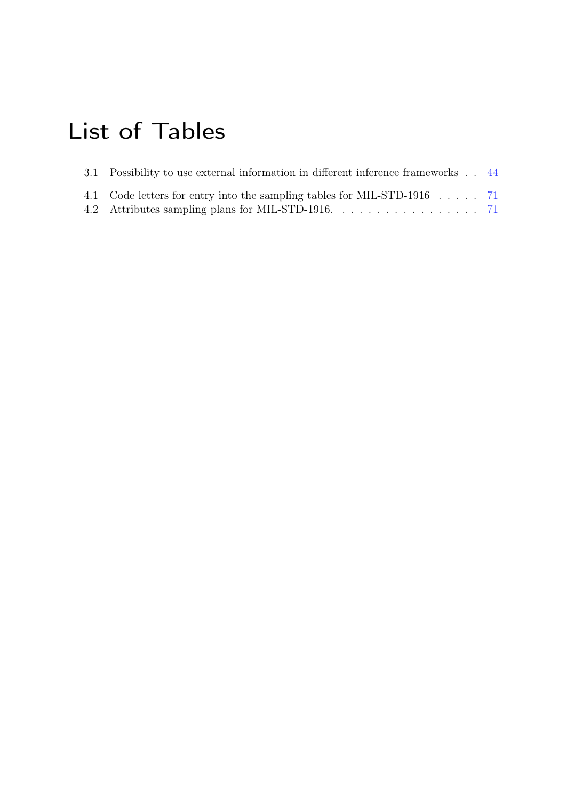## List of Tables

| 3.1 Possibility to use external information in different inference frameworks 44 |  |
|----------------------------------------------------------------------------------|--|
| 4.1 Code letters for entry into the sampling tables for MIL-STD-1916 71          |  |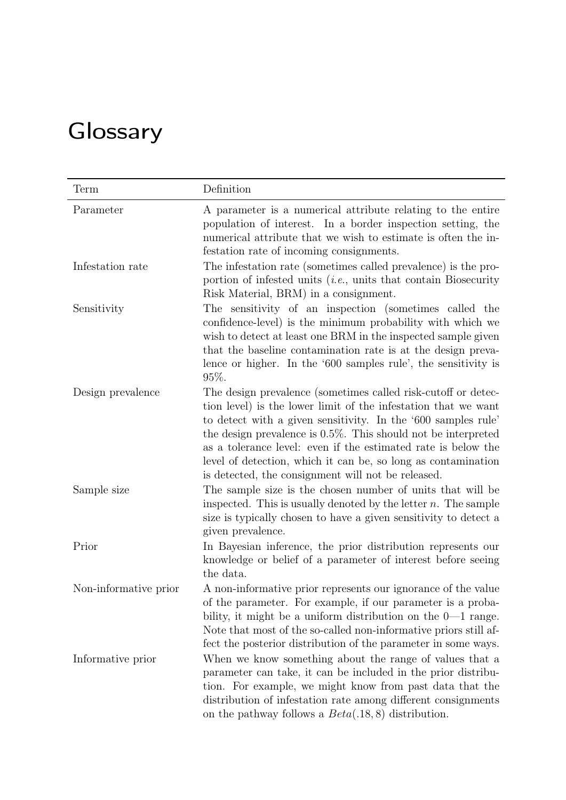# Glossary

| Term                  | Definition                                                                                                                                                                                                                                                                                                                                                                                                                                                    |
|-----------------------|---------------------------------------------------------------------------------------------------------------------------------------------------------------------------------------------------------------------------------------------------------------------------------------------------------------------------------------------------------------------------------------------------------------------------------------------------------------|
| Parameter             | A parameter is a numerical attribute relating to the entire<br>population of interest. In a border inspection setting, the<br>numerical attribute that we wish to estimate is often the in-<br>festation rate of incoming consignments.                                                                                                                                                                                                                       |
| Infestation rate      | The infestation rate (sometimes called prevalence) is the pro-<br>portion of infested units $(i.e.,$ units that contain Biosecurity<br>Risk Material, BRM) in a consignment.                                                                                                                                                                                                                                                                                  |
| Sensitivity           | The sensitivity of an inspection (sometimes called the<br>confidence-level) is the minimum probability with which we<br>wish to detect at least one BRM in the inspected sample given<br>that the baseline contamination rate is at the design preva-<br>lence or higher. In the '600 samples rule', the sensitivity is<br>$95\%$ .                                                                                                                           |
| Design prevalence     | The design prevalence (sometimes called risk-cutoff or detec-<br>tion level) is the lower limit of the infestation that we want<br>to detect with a given sensitivity. In the '600 samples rule'<br>the design prevalence is $0.5\%$ . This should not be interpreted<br>as a tolerance level: even if the estimated rate is below the<br>level of detection, which it can be, so long as contamination<br>is detected, the consignment will not be released. |
| Sample size           | The sample size is the chosen number of units that will be<br>inspected. This is usually denoted by the letter $n$ . The sample<br>size is typically chosen to have a given sensitivity to detect a<br>given prevalence.                                                                                                                                                                                                                                      |
| Prior                 | In Bayesian inference, the prior distribution represents our<br>knowledge or belief of a parameter of interest before seeing<br>the data.                                                                                                                                                                                                                                                                                                                     |
| Non-informative prior | A non-informative prior represents our ignorance of the value<br>of the parameter. For example, if our parameter is a proba-<br>bility, it might be a uniform distribution on the $0-1$ range.<br>Note that most of the so-called non-informative priors still af-<br>fect the posterior distribution of the parameter in some ways.                                                                                                                          |
| Informative prior     | When we know something about the range of values that a<br>parameter can take, it can be included in the prior distribu-<br>tion. For example, we might know from past data that the<br>distribution of infestation rate among different consignments<br>on the pathway follows a $Beta(.18, 8)$ distribution.                                                                                                                                                |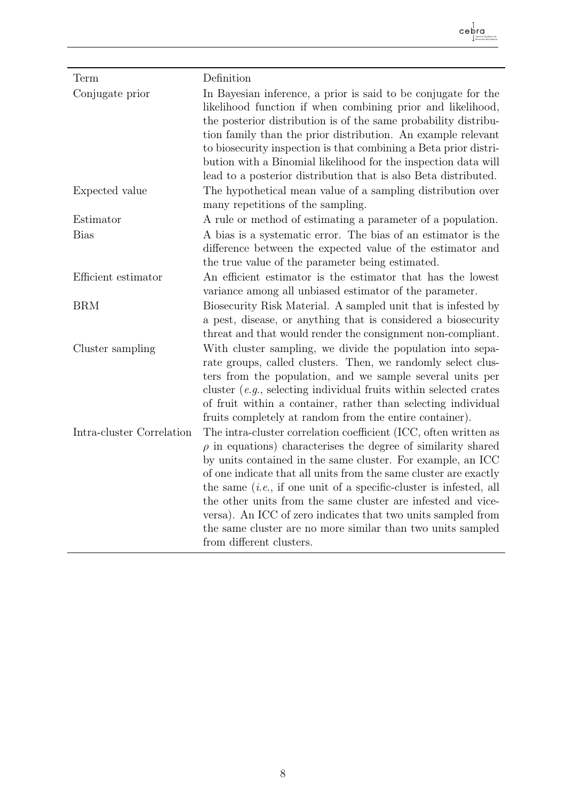| Term                      | Definition                                                                                                                                                                                                                                                                                                                                                                                                                                                                                                                                                                    |
|---------------------------|-------------------------------------------------------------------------------------------------------------------------------------------------------------------------------------------------------------------------------------------------------------------------------------------------------------------------------------------------------------------------------------------------------------------------------------------------------------------------------------------------------------------------------------------------------------------------------|
| Conjugate prior           | In Bayesian inference, a prior is said to be conjugate for the<br>likelihood function if when combining prior and likelihood,<br>the posterior distribution is of the same probability distribu-<br>tion family than the prior distribution. An example relevant<br>to biosecurity inspection is that combining a Beta prior distri-<br>bution with a Binomial likelihood for the inspection data will<br>lead to a posterior distribution that is also Beta distributed.                                                                                                     |
| Expected value            | The hypothetical mean value of a sampling distribution over<br>many repetitions of the sampling.                                                                                                                                                                                                                                                                                                                                                                                                                                                                              |
| Estimator                 | A rule or method of estimating a parameter of a population.                                                                                                                                                                                                                                                                                                                                                                                                                                                                                                                   |
| <b>Bias</b>               | A bias is a systematic error. The bias of an estimator is the<br>difference between the expected value of the estimator and<br>the true value of the parameter being estimated.                                                                                                                                                                                                                                                                                                                                                                                               |
| Efficient estimator       | An efficient estimator is the estimator that has the lowest<br>variance among all unbiased estimator of the parameter.                                                                                                                                                                                                                                                                                                                                                                                                                                                        |
| <b>BRM</b>                | Biosecurity Risk Material. A sampled unit that is infested by<br>a pest, disease, or anything that is considered a biosecurity<br>threat and that would render the consignment non-compliant.                                                                                                                                                                                                                                                                                                                                                                                 |
| Cluster sampling          | With cluster sampling, we divide the population into sepa-<br>rate groups, called clusters. Then, we randomly select clus-<br>ters from the population, and we sample several units per<br>cluster $(e.g., \, selecting \, individual \, fruits \, within \, selected \, crates)$<br>of fruit within a container, rather than selecting individual<br>fruits completely at random from the entire container).                                                                                                                                                                 |
| Intra-cluster Correlation | The intra-cluster correlation coefficient (ICC, often written as<br>$\rho$ in equations) characterises the degree of similarity shared<br>by units contained in the same cluster. For example, an ICC<br>of one indicate that all units from the same cluster are exactly<br>the same $(i.e., if one unit of a specific-cluster is infected, all)$<br>the other units from the same cluster are infested and vice-<br>versa). An ICC of zero indicates that two units sampled from<br>the same cluster are no more similar than two units sampled<br>from different clusters. |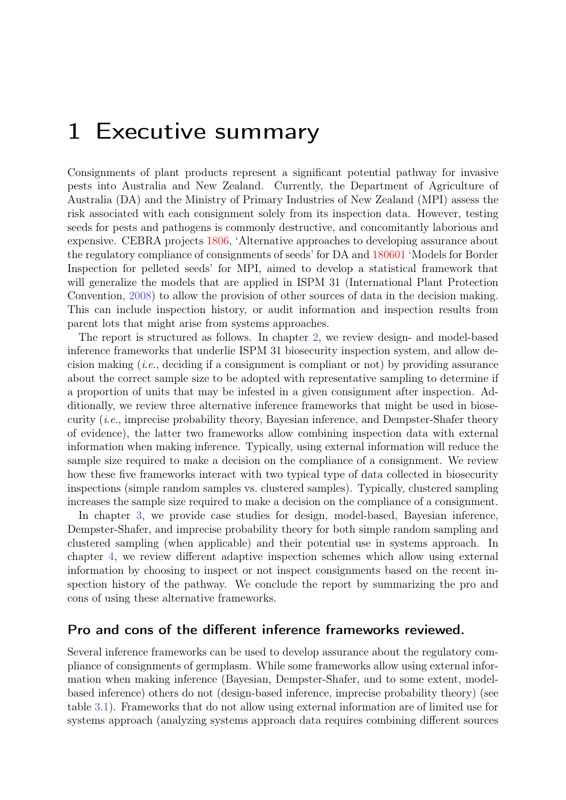## <span id="page-8-0"></span>1 Executive summary

Consignments of plant products represent a significant potential pathway for invasive pests into Australia and New Zealand. Currently, the Department of Agriculture of Australia (DA) and the Ministry of Primary Industries of New Zealand (MPI) assess the risk associated with each consignment solely from its inspection data. However, testing seeds for pests and pathogens is commonly destructive, and concomitantly laborious and expensive. CEBRA projects 1806, 'Alternative approaches to developing assurance about the regulatory compliance of consignments of seeds' for DA and 180601 'Models for Border Inspection for pelleted seeds' for MPI, aimed to develop a statistical framework that will generalize the models that are applied in ISPM 31 (International Plant Protection Convention, [2008\)](#page-82-0) to allow the provision of other sources of data in the decision making. This can include inspection history, or audit information and inspection results from parent lots that might arise from systems approaches.

The report is structured as follows. In chapter [2,](#page-13-0) we review design- and model-based inference frameworks that underlie ISPM 31 biosecurity inspection system, and allow decision making  $(i.e., deciding if a consignment is compliant or not) by providing assurance$ about the correct sample size to be adopted with representative sampling to determine if a proportion of units that may be infested in a given consignment after inspection. Additionally, we review three alternative inference frameworks that might be used in biosecurity (i.e., imprecise probability theory, Bayesian inference, and Dempster-Shafer theory of evidence), the latter two frameworks allow combining inspection data with external information when making inference. Typically, using external information will reduce the sample size required to make a decision on the compliance of a consignment. We review how these five frameworks interact with two typical type of data collected in biosecurity inspections (simple random samples vs. clustered samples). Typically, clustered sampling increases the sample size required to make a decision on the compliance of a consignment.

In chapter [3,](#page-43-0) we provide case studies for design, model-based, Bayesian inference, Dempster-Shafer, and imprecise probability theory for both simple random sampling and clustered sampling (when applicable) and their potential use in systems approach. In chapter [4,](#page-66-0) we review different adaptive inspection schemes which allow using external information by choosing to inspect or not inspect consignments based on the recent inspection history of the pathway. We conclude the report by summarizing the pro and cons of using these alternative frameworks.

### Pro and cons of the different inference frameworks reviewed.

Several inference frameworks can be used to develop assurance about the regulatory compliance of consignments of germplasm. While some frameworks allow using external information when making inference (Bayesian, Dempster-Shafer, and to some extent, modelbased inference) others do not (design-based inference, imprecise probability theory) (see table [3.1\)](#page-43-3). Frameworks that do not allow using external information are of limited use for systems approach (analyzing systems approach data requires combining different sources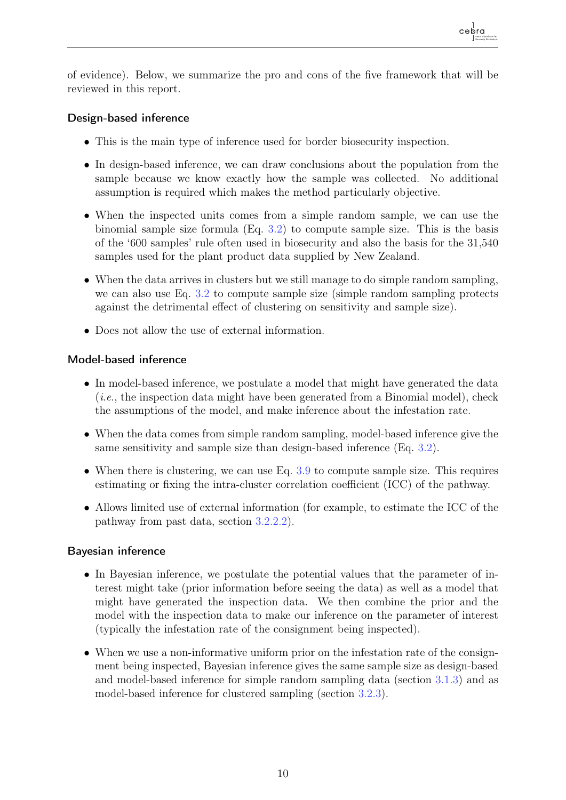of evidence). Below, we summarize the pro and cons of the five framework that will be reviewed in this report.

## Design-based inference

- This is the main type of inference used for border biosecurity inspection.
- In design-based inference, we can draw conclusions about the population from the sample because we know exactly how the sample was collected. No additional assumption is required which makes the method particularly objective.
- When the inspected units comes from a simple random sample, we can use the binomial sample size formula (Eq. [3.2\)](#page-44-3) to compute sample size. This is the basis of the '600 samples' rule often used in biosecurity and also the basis for the 31,540 samples used for the plant product data supplied by New Zealand.
- When the data arrives in clusters but we still manage to do simple random sampling, we can also use Eq. [3.2](#page-44-3) to compute sample size (simple random sampling protects against the detrimental effect of clustering on sensitivity and sample size).
- Does not allow the use of external information.

## Model-based inference

- In model-based inference, we postulate a model that might have generated the data  $(i.e., the inspection data might have been generated from a Binomial model), check$ the assumptions of the model, and make inference about the infestation rate.
- When the data comes from simple random sampling, model-based inference give the same sensitivity and sample size than design-based inference (Eq. [3.2\)](#page-44-3).
- When there is clustering, we can use Eq. [3.9](#page-54-1) to compute sample size. This requires estimating or fixing the intra-cluster correlation coefficient (ICC) of the pathway.
- Allows limited use of external information (for example, to estimate the ICC of the pathway from past data, section [3.2.2.2\)](#page-55-0).

## Bayesian inference

- In Bayesian inference, we postulate the potential values that the parameter of interest might take (prior information before seeing the data) as well as a model that might have generated the inspection data. We then combine the prior and the model with the inspection data to make our inference on the parameter of interest (typically the infestation rate of the consignment being inspected).
- When we use a non-informative uniform prior on the infestation rate of the consignment being inspected, Bayesian inference gives the same sample size as design-based and model-based inference for simple random sampling data (section [3.1.3\)](#page-44-1) and as model-based inference for clustered sampling (section [3.2.3\)](#page-59-0).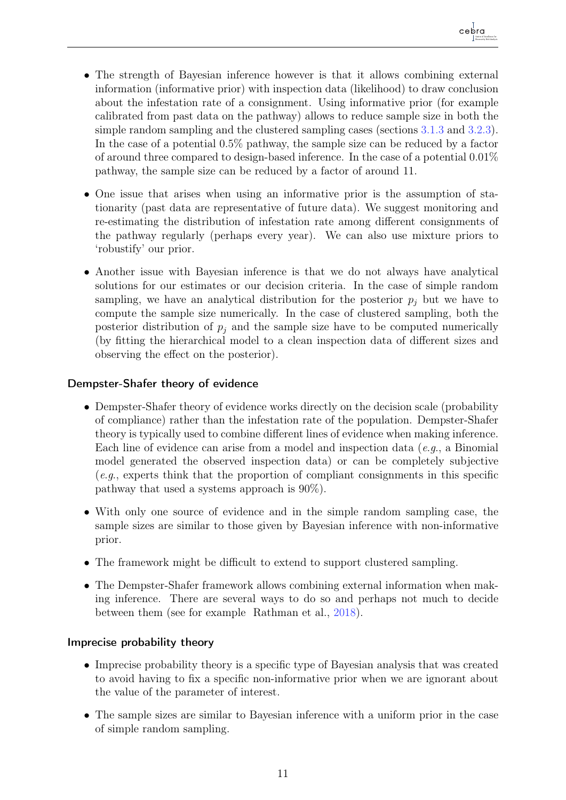- The strength of Bayesian inference however is that it allows combining external information (informative prior) with inspection data (likelihood) to draw conclusion about the infestation rate of a consignment. Using informative prior (for example calibrated from past data on the pathway) allows to reduce sample size in both the simple random sampling and the clustered sampling cases (sections [3.1.3](#page-44-1) and [3.2.3\)](#page-59-0). In the case of a potential 0.5% pathway, the sample size can be reduced by a factor of around three compared to design-based inference. In the case of a potential 0.01% pathway, the sample size can be reduced by a factor of around 11.
- One issue that arises when using an informative prior is the assumption of stationarity (past data are representative of future data). We suggest monitoring and re-estimating the distribution of infestation rate among different consignments of the pathway regularly (perhaps every year). We can also use mixture priors to 'robustify' our prior.
- Another issue with Bayesian inference is that we do not always have analytical solutions for our estimates or our decision criteria. In the case of simple random sampling, we have an analytical distribution for the posterior  $p_j$  but we have to compute the sample size numerically. In the case of clustered sampling, both the posterior distribution of  $p_i$  and the sample size have to be computed numerically (by fitting the hierarchical model to a clean inspection data of different sizes and observing the effect on the posterior).

## Dempster-Shafer theory of evidence

- Dempster-Shafer theory of evidence works directly on the decision scale (probability of compliance) rather than the infestation rate of the population. Dempster-Shafer theory is typically used to combine different lines of evidence when making inference. Each line of evidence can arise from a model and inspection data (e.g., a Binomial model generated the observed inspection data) or can be completely subjective (e.g., experts think that the proportion of compliant consignments in this specific pathway that used a systems approach is 90%).
- With only one source of evidence and in the simple random sampling case, the sample sizes are similar to those given by Bayesian inference with non-informative prior.
- The framework might be difficult to extend to support clustered sampling.
- The Dempster-Shafer framework allows combining external information when making inference. There are several ways to do so and perhaps not much to decide between them (see for example Rathman et al., [2018\)](#page-84-0).

### Imprecise probability theory

- Imprecise probability theory is a specific type of Bayesian analysis that was created to avoid having to fix a specific non-informative prior when we are ignorant about the value of the parameter of interest.
- The sample sizes are similar to Bayesian inference with a uniform prior in the case of simple random sampling.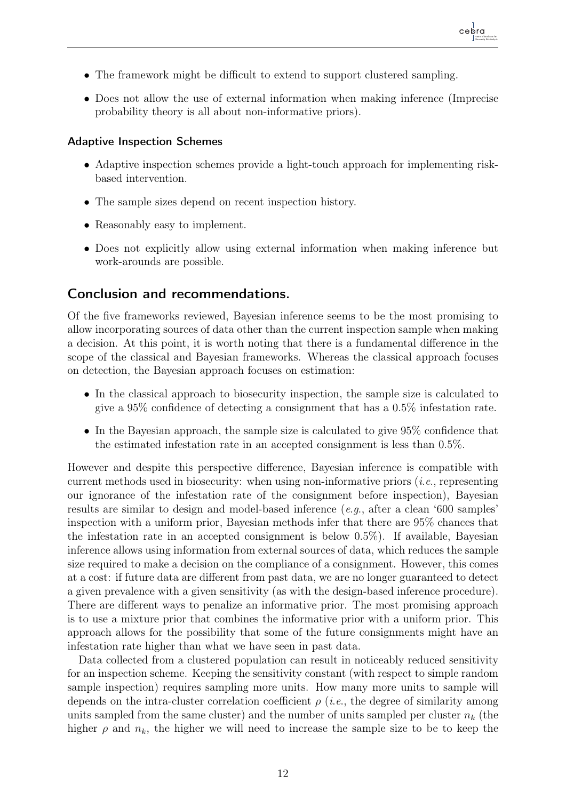- The framework might be difficult to extend to support clustered sampling.
- Does not allow the use of external information when making inference (Imprecise probability theory is all about non-informative priors).

#### Adaptive Inspection Schemes

- Adaptive inspection schemes provide a light-touch approach for implementing riskbased intervention.
- The sample sizes depend on recent inspection history.
- Reasonably easy to implement.
- Does not explicitly allow using external information when making inference but work-arounds are possible.

## Conclusion and recommendations.

Of the five frameworks reviewed, Bayesian inference seems to be the most promising to allow incorporating sources of data other than the current inspection sample when making a decision. At this point, it is worth noting that there is a fundamental difference in the scope of the classical and Bayesian frameworks. Whereas the classical approach focuses on detection, the Bayesian approach focuses on estimation:

- In the classical approach to biosecurity inspection, the sample size is calculated to give a 95% confidence of detecting a consignment that has a 0.5% infestation rate.
- In the Bayesian approach, the sample size is calculated to give 95% confidence that the estimated infestation rate in an accepted consignment is less than 0.5%.

However and despite this perspective difference, Bayesian inference is compatible with current methods used in biosecurity: when using non-informative priors  $(i.e.,$  representing our ignorance of the infestation rate of the consignment before inspection), Bayesian results are similar to design and model-based inference (e.g., after a clean '600 samples' inspection with a uniform prior, Bayesian methods infer that there are 95% chances that the infestation rate in an accepted consignment is below 0.5%). If available, Bayesian inference allows using information from external sources of data, which reduces the sample size required to make a decision on the compliance of a consignment. However, this comes at a cost: if future data are different from past data, we are no longer guaranteed to detect a given prevalence with a given sensitivity (as with the design-based inference procedure). There are different ways to penalize an informative prior. The most promising approach is to use a mixture prior that combines the informative prior with a uniform prior. This approach allows for the possibility that some of the future consignments might have an infestation rate higher than what we have seen in past data.

Data collected from a clustered population can result in noticeably reduced sensitivity for an inspection scheme. Keeping the sensitivity constant (with respect to simple random sample inspection) requires sampling more units. How many more units to sample will depends on the intra-cluster correlation coefficient  $\rho$  (*i.e.*, the degree of similarity among units sampled from the same cluster) and the number of units sampled per cluster  $n_k$  (the higher  $\rho$  and  $n_k$ , the higher we will need to increase the sample size to be to keep the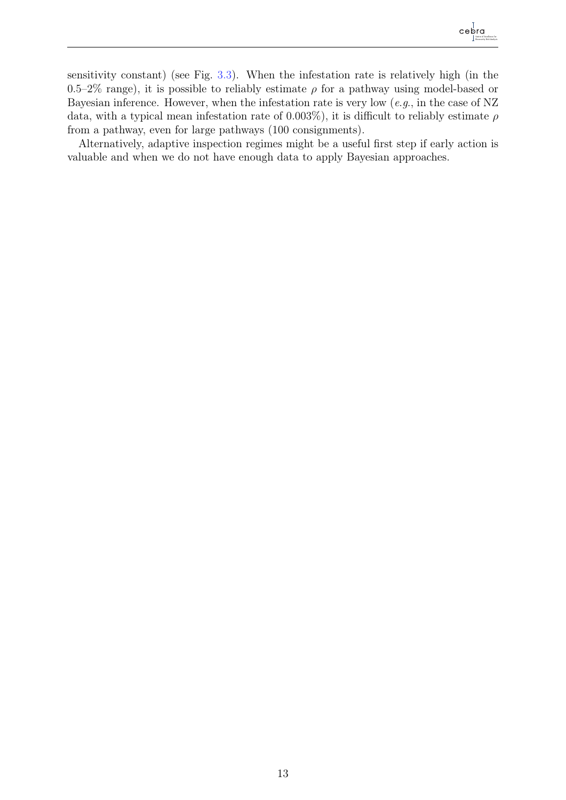sensitivity constant) (see Fig. [3.3\)](#page-54-0). When the infestation rate is relatively high (in the 0.5–2% range), it is possible to reliably estimate  $\rho$  for a pathway using model-based or Bayesian inference. However, when the infestation rate is very low (e.g., in the case of NZ data, with a typical mean infestation rate of 0.003%), it is difficult to reliably estimate  $\rho$ from a pathway, even for large pathways (100 consignments).

Alternatively, adaptive inspection regimes might be a useful first step if early action is valuable and when we do not have enough data to apply Bayesian approaches.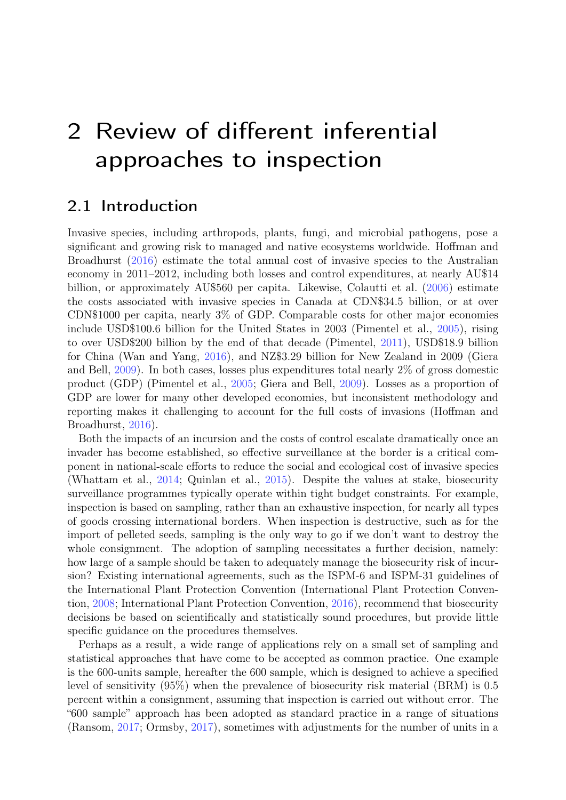## <span id="page-13-0"></span>2 Review of different inferential approaches to inspection

## <span id="page-13-1"></span>2.1 Introduction

Invasive species, including arthropods, plants, fungi, and microbial pathogens, pose a significant and growing risk to managed and native ecosystems worldwide. Hoffman and Broadhurst [\(2016\)](#page-81-0) estimate the total annual cost of invasive species to the Australian economy in 2011–2012, including both losses and control expenditures, at nearly AU\$14 billion, or approximately AU\$560 per capita. Likewise, Colautti et al. [\(2006\)](#page-80-0) estimate the costs associated with invasive species in Canada at CDN\$34.5 billion, or at over CDN\$1000 per capita, nearly 3% of GDP. Comparable costs for other major economies include USD\$100.6 billion for the United States in 2003 (Pimentel et al., [2005\)](#page-84-1), rising to over USD\$200 billion by the end of that decade (Pimentel, [2011\)](#page-84-2), USD\$18.9 billion for China (Wan and Yang, [2016\)](#page-85-0), and NZ\$3.29 billion for New Zealand in 2009 (Giera and Bell, [2009\)](#page-81-1). In both cases, losses plus expenditures total nearly 2% of gross domestic product (GDP) (Pimentel et al., [2005;](#page-84-1) Giera and Bell, [2009\)](#page-81-1). Losses as a proportion of GDP are lower for many other developed economies, but inconsistent methodology and reporting makes it challenging to account for the full costs of invasions (Hoffman and Broadhurst, [2016\)](#page-81-0).

Both the impacts of an incursion and the costs of control escalate dramatically once an invader has become established, so effective surveillance at the border is a critical component in national-scale efforts to reduce the social and ecological cost of invasive species (Whattam et al., [2014;](#page-85-1) Quinlan et al., [2015\)](#page-84-3). Despite the values at stake, biosecurity surveillance programmes typically operate within tight budget constraints. For example, inspection is based on sampling, rather than an exhaustive inspection, for nearly all types of goods crossing international borders. When inspection is destructive, such as for the import of pelleted seeds, sampling is the only way to go if we don't want to destroy the whole consignment. The adoption of sampling necessitates a further decision, namely: how large of a sample should be taken to adequately manage the biosecurity risk of incursion? Existing international agreements, such as the ISPM-6 and ISPM-31 guidelines of the International Plant Protection Convention (International Plant Protection Convention, [2008;](#page-82-0) International Plant Protection Convention, [2016\)](#page-82-1), recommend that biosecurity decisions be based on scientifically and statistically sound procedures, but provide little specific guidance on the procedures themselves.

Perhaps as a result, a wide range of applications rely on a small set of sampling and statistical approaches that have come to be accepted as common practice. One example is the 600-units sample, hereafter the 600 sample, which is designed to achieve a specified level of sensitivity (95%) when the prevalence of biosecurity risk material (BRM) is 0.5 percent within a consignment, assuming that inspection is carried out without error. The "600 sample" approach has been adopted as standard practice in a range of situations (Ransom, [2017;](#page-84-4) Ormsby, [2017\)](#page-83-0), sometimes with adjustments for the number of units in a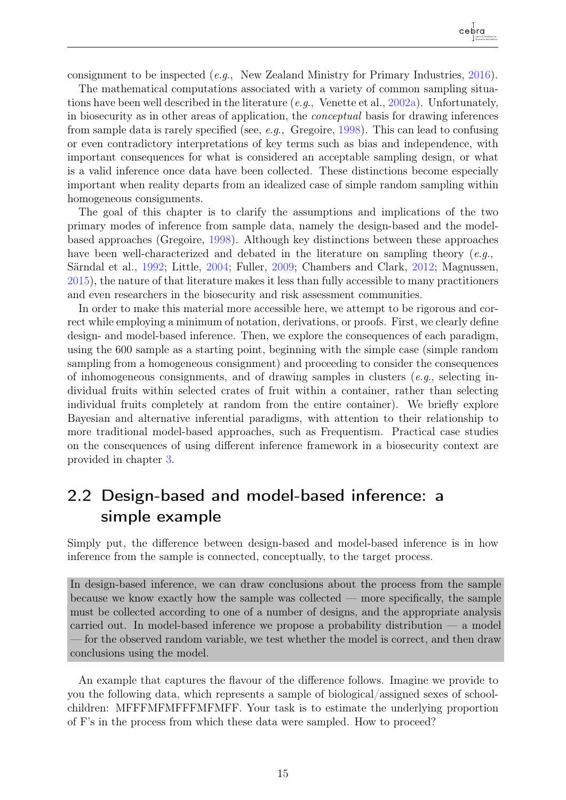consignment to be inspected (e.g., New Zealand Ministry for Primary Industries, [2016\)](#page-83-1).

The mathematical computations associated with a variety of common sampling situa-tions have been well described in the literature (e.g., Venette et al., [2002a\)](#page-85-2). Unfortunately, in biosecurity as in other areas of application, the conceptual basis for drawing inferences from sample data is rarely specified (see, e.g., Gregoire, [1998\)](#page-81-2). This can lead to confusing or even contradictory interpretations of key terms such as bias and independence, with important consequences for what is considered an acceptable sampling design, or what is a valid inference once data have been collected. These distinctions become especially important when reality departs from an idealized case of simple random sampling within homogeneous consignments.

The goal of this chapter is to clarify the assumptions and implications of the two primary modes of inference from sample data, namely the design-based and the modelbased approaches (Gregoire, [1998\)](#page-81-2). Although key distinctions between these approaches have been well-characterized and debated in the literature on sampling theory (e.g., Särndal et al., [1992;](#page-84-5) Little, [2004;](#page-83-2) Fuller, [2009;](#page-81-3) Chambers and Clark, [2012;](#page-79-0) Magnussen, [2015\)](#page-83-3), the nature of that literature makes it less than fully accessible to many practitioners and even researchers in the biosecurity and risk assessment communities.

In order to make this material more accessible here, we attempt to be rigorous and correct while employing a minimum of notation, derivations, or proofs. First, we clearly define design- and model-based inference. Then, we explore the consequences of each paradigm, using the 600 sample as a starting point, beginning with the simple case (simple random sampling from a homogeneous consignment) and proceeding to consider the consequences of inhomogeneous consignments, and of drawing samples in clusters (e.g., selecting individual fruits within selected crates of fruit within a container, rather than selecting individual fruits completely at random from the entire container). We briefly explore Bayesian and alternative inferential paradigms, with attention to their relationship to more traditional model-based approaches, such as Frequentism. Practical case studies on the consequences of using different inference framework in a biosecurity context are provided in chapter [3.](#page-43-0)

## <span id="page-14-0"></span>2.2 Design-based and model-based inference: a simple example

Simply put, the difference between design-based and model-based inference is in how inference from the sample is connected, conceptually, to the target process.

In design-based inference, we can draw conclusions about the process from the sample because we know exactly how the sample was collected — more specifically, the sample must be collected according to one of a number of designs, and the appropriate analysis carried out. In model-based inference we propose a probability distribution — a model — for the observed random variable, we test whether the model is correct, and then draw conclusions using the model.

An example that captures the flavour of the difference follows. Imagine we provide to you the following data, which represents a sample of biological/assigned sexes of schoolchildren: MFFFMFMFFFMFMFF. Your task is to estimate the underlying proportion of F's in the process from which these data were sampled. How to proceed?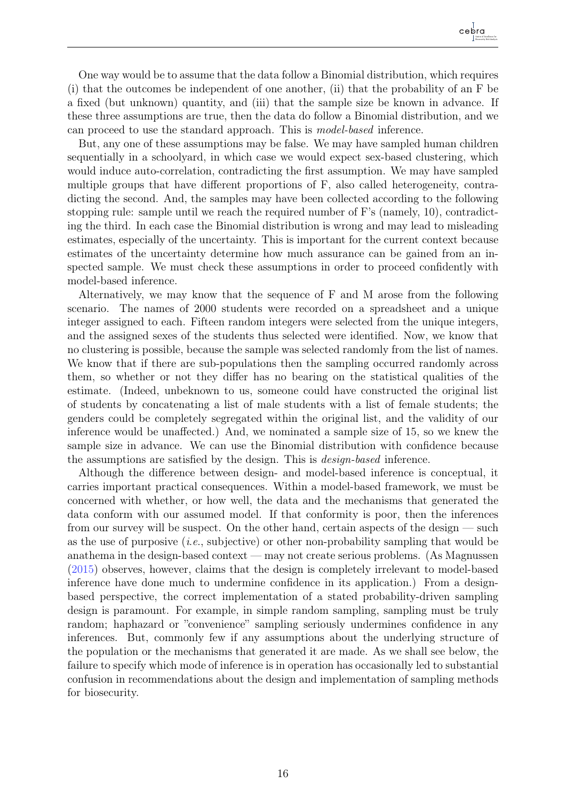One way would be to assume that the data follow a Binomial distribution, which requires (i) that the outcomes be independent of one another, (ii) that the probability of an F be a fixed (but unknown) quantity, and (iii) that the sample size be known in advance. If these three assumptions are true, then the data do follow a Binomial distribution, and we can proceed to use the standard approach. This is model-based inference.

But, any one of these assumptions may be false. We may have sampled human children sequentially in a schoolyard, in which case we would expect sex-based clustering, which would induce auto-correlation, contradicting the first assumption. We may have sampled multiple groups that have different proportions of F, also called heterogeneity, contradicting the second. And, the samples may have been collected according to the following stopping rule: sample until we reach the required number of F's (namely, 10), contradicting the third. In each case the Binomial distribution is wrong and may lead to misleading estimates, especially of the uncertainty. This is important for the current context because estimates of the uncertainty determine how much assurance can be gained from an inspected sample. We must check these assumptions in order to proceed confidently with model-based inference.

Alternatively, we may know that the sequence of F and M arose from the following scenario. The names of 2000 students were recorded on a spreadsheet and a unique integer assigned to each. Fifteen random integers were selected from the unique integers, and the assigned sexes of the students thus selected were identified. Now, we know that no clustering is possible, because the sample was selected randomly from the list of names. We know that if there are sub-populations then the sampling occurred randomly across them, so whether or not they differ has no bearing on the statistical qualities of the estimate. (Indeed, unbeknown to us, someone could have constructed the original list of students by concatenating a list of male students with a list of female students; the genders could be completely segregated within the original list, and the validity of our inference would be unaffected.) And, we nominated a sample size of 15, so we knew the sample size in advance. We can use the Binomial distribution with confidence because the assumptions are satisfied by the design. This is design-based inference.

Although the difference between design- and model-based inference is conceptual, it carries important practical consequences. Within a model-based framework, we must be concerned with whether, or how well, the data and the mechanisms that generated the data conform with our assumed model. If that conformity is poor, then the inferences from our survey will be suspect. On the other hand, certain aspects of the design — such as the use of purposive  $(i.e.,$  subjective) or other non-probability sampling that would be anathema in the design-based context — may not create serious problems. (As Magnussen [\(2015\)](#page-83-3) observes, however, claims that the design is completely irrelevant to model-based inference have done much to undermine confidence in its application.) From a designbased perspective, the correct implementation of a stated probability-driven sampling design is paramount. For example, in simple random sampling, sampling must be truly random; haphazard or "convenience" sampling seriously undermines confidence in any inferences. But, commonly few if any assumptions about the underlying structure of the population or the mechanisms that generated it are made. As we shall see below, the failure to specify which mode of inference is in operation has occasionally led to substantial confusion in recommendations about the design and implementation of sampling methods for biosecurity.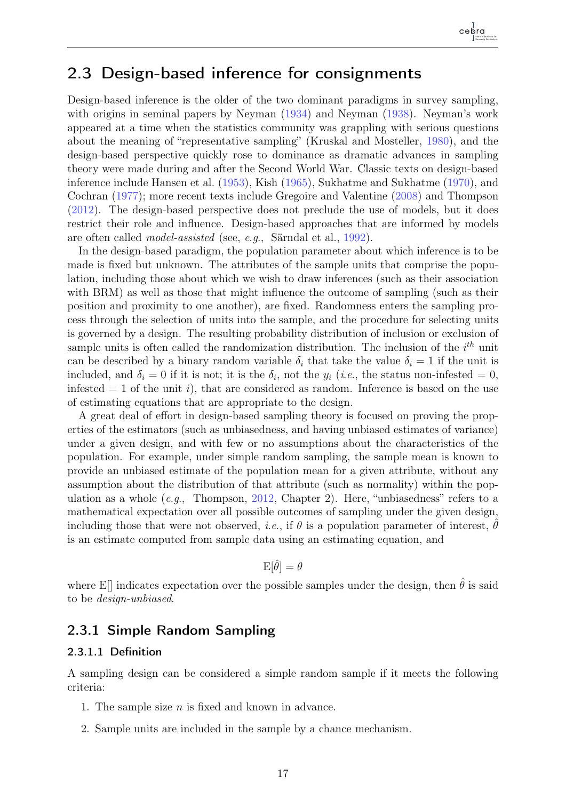## <span id="page-16-0"></span>2.3 Design-based inference for consignments

Design-based inference is the older of the two dominant paradigms in survey sampling, with origins in seminal papers by Neyman  $(1934)$  and Neyman  $(1938)$ . Neyman's work appeared at a time when the statistics community was grappling with serious questions about the meaning of "representative sampling" (Kruskal and Mosteller, [1980\)](#page-82-2), and the design-based perspective quickly rose to dominance as dramatic advances in sampling theory were made during and after the Second World War. Classic texts on design-based inference include Hansen et al. [\(1953\)](#page-81-4), Kish [\(1965\)](#page-82-3), Sukhatme and Sukhatme [\(1970\)](#page-85-3), and Cochran [\(1977\)](#page-79-1); more recent texts include Gregoire and Valentine [\(2008\)](#page-81-5) and Thompson [\(2012\)](#page-85-4). The design-based perspective does not preclude the use of models, but it does restrict their role and influence. Design-based approaches that are informed by models are often called model-assisted (see, e.g., Särndal et al., [1992\)](#page-84-5).

In the design-based paradigm, the population parameter about which inference is to be made is fixed but unknown. The attributes of the sample units that comprise the population, including those about which we wish to draw inferences (such as their association with BRM) as well as those that might influence the outcome of sampling (such as their position and proximity to one another), are fixed. Randomness enters the sampling process through the selection of units into the sample, and the procedure for selecting units is governed by a design. The resulting probability distribution of inclusion or exclusion of sample units is often called the randomization distribution. The inclusion of the  $i^{th}$  unit can be described by a binary random variable  $\delta_i$  that take the value  $\delta_i = 1$  if the unit is included, and  $\delta_i = 0$  if it is not; it is the  $\delta_i$ , not the  $y_i$  (*i.e.*, the status non-infested = 0, infested  $= 1$  of the unit i), that are considered as random. Inference is based on the use of estimating equations that are appropriate to the design.

A great deal of effort in design-based sampling theory is focused on proving the properties of the estimators (such as unbiasedness, and having unbiased estimates of variance) under a given design, and with few or no assumptions about the characteristics of the population. For example, under simple random sampling, the sample mean is known to provide an unbiased estimate of the population mean for a given attribute, without any assumption about the distribution of that attribute (such as normality) within the pop-ulation as a whole (e.g., Thompson, [2012,](#page-85-4) Chapter 2). Here, "unbiasedness" refers to a mathematical expectation over all possible outcomes of sampling under the given design, including those that were not observed, *i.e.*, if  $\theta$  is a population parameter of interest,  $\theta$ is an estimate computed from sample data using an estimating equation, and

$$
\mathrm{E}[\hat{\theta}] = \theta
$$

where E[] indicates expectation over the possible samples under the design, then  $\hat{\theta}$  is said to be design-unbiased.

## <span id="page-16-1"></span>2.3.1 Simple Random Sampling

#### <span id="page-16-2"></span>2.3.1.1 Definition

A sampling design can be considered a simple random sample if it meets the following criteria:

- 1. The sample size  $n$  is fixed and known in advance.
- 2. Sample units are included in the sample by a chance mechanism.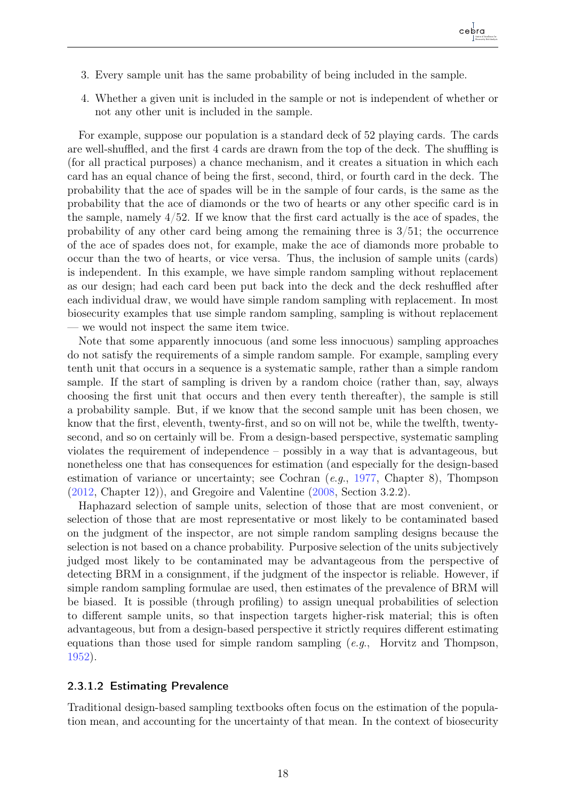- 3. Every sample unit has the same probability of being included in the sample.
- 4. Whether a given unit is included in the sample or not is independent of whether or not any other unit is included in the sample.

For example, suppose our population is a standard deck of 52 playing cards. The cards are well-shuffled, and the first 4 cards are drawn from the top of the deck. The shuffling is (for all practical purposes) a chance mechanism, and it creates a situation in which each card has an equal chance of being the first, second, third, or fourth card in the deck. The probability that the ace of spades will be in the sample of four cards, is the same as the probability that the ace of diamonds or the two of hearts or any other specific card is in the sample, namely  $4/52$ . If we know that the first card actually is the ace of spades, the probability of any other card being among the remaining three is 3/51; the occurrence of the ace of spades does not, for example, make the ace of diamonds more probable to occur than the two of hearts, or vice versa. Thus, the inclusion of sample units (cards) is independent. In this example, we have simple random sampling without replacement as our design; had each card been put back into the deck and the deck reshuffled after each individual draw, we would have simple random sampling with replacement. In most biosecurity examples that use simple random sampling, sampling is without replacement — we would not inspect the same item twice.

Note that some apparently innocuous (and some less innocuous) sampling approaches do not satisfy the requirements of a simple random sample. For example, sampling every tenth unit that occurs in a sequence is a systematic sample, rather than a simple random sample. If the start of sampling is driven by a random choice (rather than, say, always choosing the first unit that occurs and then every tenth thereafter), the sample is still a probability sample. But, if we know that the second sample unit has been chosen, we know that the first, eleventh, twenty-first, and so on will not be, while the twelfth, twentysecond, and so on certainly will be. From a design-based perspective, systematic sampling violates the requirement of independence – possibly in a way that is advantageous, but nonetheless one that has consequences for estimation (and especially for the design-based estimation of variance or uncertainty; see Cochran (e.g., [1977,](#page-79-1) Chapter 8), Thompson [\(2012,](#page-85-4) Chapter 12)), and Gregoire and Valentine [\(2008,](#page-81-5) Section 3.2.2).

Haphazard selection of sample units, selection of those that are most convenient, or selection of those that are most representative or most likely to be contaminated based on the judgment of the inspector, are not simple random sampling designs because the selection is not based on a chance probability. Purposive selection of the units subjectively judged most likely to be contaminated may be advantageous from the perspective of detecting BRM in a consignment, if the judgment of the inspector is reliable. However, if simple random sampling formulae are used, then estimates of the prevalence of BRM will be biased. It is possible (through profiling) to assign unequal probabilities of selection to different sample units, so that inspection targets higher-risk material; this is often advantageous, but from a design-based perspective it strictly requires different estimating equations than those used for simple random sampling  $(e.g.,\text{ Horvitz and Thompson},$ [1952\)](#page-81-6).

#### <span id="page-17-0"></span>2.3.1.2 Estimating Prevalence

Traditional design-based sampling textbooks often focus on the estimation of the population mean, and accounting for the uncertainty of that mean. In the context of biosecurity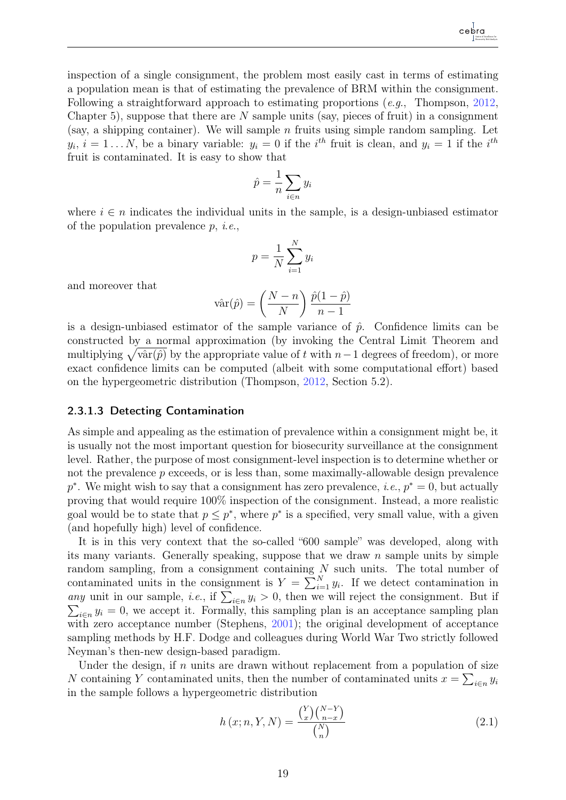

inspection of a single consignment, the problem most easily cast in terms of estimating a population mean is that of estimating the prevalence of BRM within the consignment. Following a straightforward approach to estimating proportions (e.g., Thompson, [2012,](#page-85-4) Chapter 5), suppose that there are  $N$  sample units (say, pieces of fruit) in a consignment (say, a shipping container). We will sample  $n$  fruits using simple random sampling. Let  $y_i, i = 1...N$ , be a binary variable:  $y_i = 0$  if the  $i^{th}$  fruit is clean, and  $y_i = 1$  if the  $i^{th}$ fruit is contaminated. It is easy to show that

$$
\hat{p} = \frac{1}{n} \sum_{i \in n} y_i
$$

where  $i \in n$  indicates the individual units in the sample, is a design-unbiased estimator of the population prevalence  $p$ , *i.e.*,

$$
p = \frac{1}{N} \sum_{i=1}^{N} y_i
$$

and moreover that

$$
\hat{\textrm{var}}(\hat{p}) = \left(\frac{N-n}{N}\right)\frac{\hat{p}(1-\hat{p})}{n-1}
$$

is a design-unbiased estimator of the sample variance of  $\hat{p}$ . Confidence limits can be constructed by a normal approximation (by invoking the Central Limit Theorem and multiplying  $\sqrt{\hat{\varphi}(\hat{p})}$  by the appropriate value of t with n−1 degrees of freedom), or more exact confidence limits can be computed (albeit with some computational effort) based on the hypergeometric distribution (Thompson, [2012,](#page-85-4) Section 5.2).

#### <span id="page-18-0"></span>2.3.1.3 Detecting Contamination

As simple and appealing as the estimation of prevalence within a consignment might be, it is usually not the most important question for biosecurity surveillance at the consignment level. Rather, the purpose of most consignment-level inspection is to determine whether or not the prevalence p exceeds, or is less than, some maximally-allowable design prevalence p<sup>\*</sup>. We might wish to say that a consignment has zero prevalence, *i.e.*,  $p^* = 0$ , but actually proving that would require 100% inspection of the consignment. Instead, a more realistic goal would be to state that  $p \leq p^*$ , where  $p^*$  is a specified, very small value, with a given (and hopefully high) level of confidence.

It is in this very context that the so-called "600 sample" was developed, along with its many variants. Generally speaking, suppose that we draw n sample units by simple random sampling, from a consignment containing  $N$  such units. The total number of contaminated units in the consignment is  $Y = \sum_{i=1}^{N} y_i$ . If we detect contamination in any unit in our sample, *i.e.*, if  $\sum_{i \in n} y_i > 0$ , then we will reject the consignment. But if  $\sum_{i\in n} y_i = 0$ , we accept it. Formally, this sampling plan is an acceptance sampling plan with zero acceptance number (Stephens, [2001\)](#page-85-5); the original development of acceptance sampling methods by H.F. Dodge and colleagues during World War Two strictly followed Neyman's then-new design-based paradigm.

Under the design, if  $n$  units are drawn without replacement from a population of size N containing Y contaminated units, then the number of contaminated units  $x = \sum_{i \in n} y_i$ in the sample follows a hypergeometric distribution

<span id="page-18-1"></span>
$$
h(x; n, Y, N) = \frac{\binom{Y}{x} \binom{N-Y}{n-x}}{\binom{N}{n}}
$$
\n(2.1)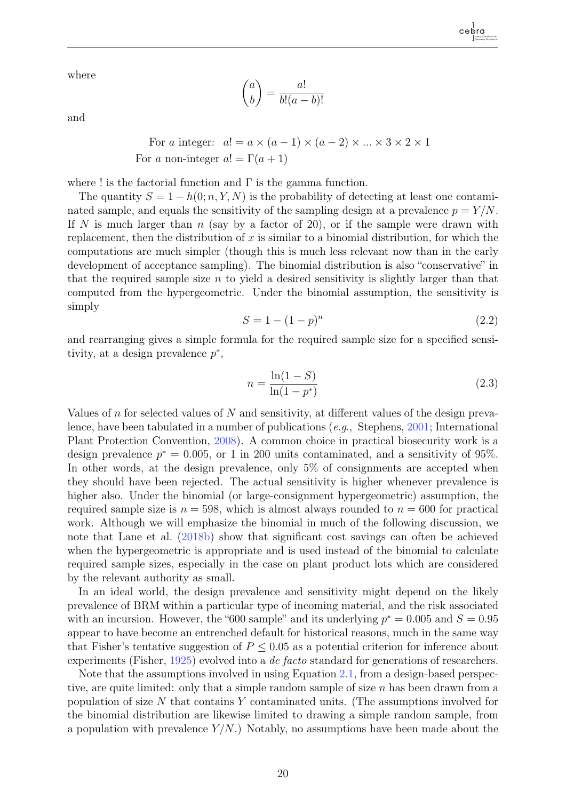where

and

$$
f_{\rm{max}}
$$

For a integer:  $a! = a \times (a-1) \times (a-2) \times ... \times 3 \times 2 \times 1$ For a non-integer  $a! = \Gamma(a+1)$ 

a!  $b!(a-b)!$ 

 $\sqrt{a}$ b  $\setminus$ =

where ! is the factorial function and  $\Gamma$  is the gamma function.

The quantity  $S = 1 - h(0; n, Y, N)$  is the probability of detecting at least one contaminated sample, and equals the sensitivity of the sampling design at a prevalence  $p = Y/N$ . If N is much larger than  $n$  (say by a factor of 20), or if the sample were drawn with replacement, then the distribution of  $x$  is similar to a binomial distribution, for which the computations are much simpler (though this is much less relevant now than in the early development of acceptance sampling). The binomial distribution is also "conservative" in that the required sample size  $n$  to yield a desired sensitivity is slightly larger than that computed from the hypergeometric. Under the binomial assumption, the sensitivity is simply

<span id="page-19-1"></span>
$$
S = 1 - (1 - p)^n \tag{2.2}
$$

<span id="page-19-0"></span>and rearranging gives a simple formula for the required sample size for a specified sensitivity, at a design prevalence  $p^*$ ,

$$
n = \frac{\ln(1 - S)}{\ln(1 - p^*)}
$$
\n(2.3)

Values of n for selected values of N and sensitivity, at different values of the design prevalence, have been tabulated in a number of publications (e.g., Stephens, [2001;](#page-85-5) International Plant Protection Convention, [2008\)](#page-82-0). A common choice in practical biosecurity work is a design prevalence  $p^* = 0.005$ , or 1 in 200 units contaminated, and a sensitivity of 95%. In other words, at the design prevalence, only 5% of consignments are accepted when they should have been rejected. The actual sensitivity is higher whenever prevalence is higher also. Under the binomial (or large-consignment hypergeometric) assumption, the required sample size is  $n = 598$ , which is almost always rounded to  $n = 600$  for practical work. Although we will emphasize the binomial in much of the following discussion, we note that Lane et al. [\(2018b\)](#page-82-4) show that significant cost savings can often be achieved when the hypergeometric is appropriate and is used instead of the binomial to calculate required sample sizes, especially in the case on plant product lots which are considered by the relevant authority as small.

In an ideal world, the design prevalence and sensitivity might depend on the likely prevalence of BRM within a particular type of incoming material, and the risk associated with an incursion. However, the "600 sample" and its underlying  $p^* = 0.005$  and  $S = 0.95$ appear to have become an entrenched default for historical reasons, much in the same way that Fisher's tentative suggestion of  $P \leq 0.05$  as a potential criterion for inference about experiments (Fisher, [1925\)](#page-81-7) evolved into a de facto standard for generations of researchers.

Note that the assumptions involved in using Equation [2.1,](#page-18-1) from a design-based perspective, are quite limited: only that a simple random sample of size  $n$  has been drawn from a population of size  $N$  that contains  $Y$  contaminated units. (The assumptions involved for the binomial distribution are likewise limited to drawing a simple random sample, from a population with prevalence  $Y/N$ .) Notably, no assumptions have been made about the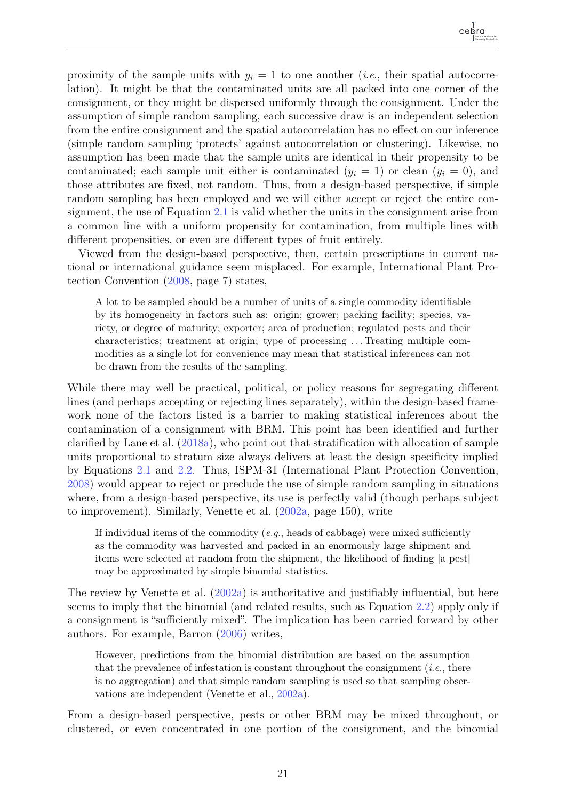proximity of the sample units with  $y_i = 1$  to one another (*i.e.*, their spatial autocorrelation). It might be that the contaminated units are all packed into one corner of the consignment, or they might be dispersed uniformly through the consignment. Under the assumption of simple random sampling, each successive draw is an independent selection from the entire consignment and the spatial autocorrelation has no effect on our inference (simple random sampling 'protects' against autocorrelation or clustering). Likewise, no assumption has been made that the sample units are identical in their propensity to be contaminated; each sample unit either is contaminated  $(y_i = 1)$  or clean  $(y_i = 0)$ , and those attributes are fixed, not random. Thus, from a design-based perspective, if simple random sampling has been employed and we will either accept or reject the entire consignment, the use of Equation [2](#page-18-1).1 is valid whether the units in the consignment arise from a common line with a uniform propensity for contamination, from multiple lines with different propensities, or even are different types of fruit entirely.

Viewed from the design-based perspective, then, certain prescriptions in current national or international guidance seem misplaced. For example, International Plant Protection Convention [\(2008,](#page-82-0) page 7) states,

A lot to be sampled should be a number of units of a single commodity identifiable by its homogeneity in factors such as: origin; grower; packing facility; species, variety, or degree of maturity; exporter; area of production; regulated pests and their characteristics; treatment at origin; type of processing . . . Treating multiple commodities as a single lot for convenience may mean that statistical inferences can not be drawn from the results of the sampling.

While there may well be practical, political, or policy reasons for segregating different lines (and perhaps accepting or rejecting lines separately), within the design-based framework none of the factors listed is a barrier to making statistical inferences about the contamination of a consignment with BRM. This point has been identified and further clarified by Lane et al. [\(2018a\)](#page-82-5), who point out that stratification with allocation of sample units proportional to stratum size always delivers at least the design specificity implied by Equations [2.1](#page-18-1) and [2.2.](#page-19-0) Thus, ISPM-31 (International Plant Protection Convention, [2008\)](#page-82-0) would appear to reject or preclude the use of simple random sampling in situations where, from a design-based perspective, its use is perfectly valid (though perhaps subject to improvement). Similarly, Venette et al. [\(2002a,](#page-85-2) page 150), write

If individual items of the commodity  $(e.g.,$  heads of cabbage) were mixed sufficiently as the commodity was harvested and packed in an enormously large shipment and items were selected at random from the shipment, the likelihood of finding [a pest] may be approximated by simple binomial statistics.

The review by Venette et al. [\(2002a\)](#page-85-2) is authoritative and justifiably influential, but here seems to imply that the binomial (and related results, such as Equation [2.2\)](#page-19-0) apply only if a consignment is "sufficiently mixed". The implication has been carried forward by other authors. For example, Barron [\(2006\)](#page-79-2) writes,

However, predictions from the binomial distribution are based on the assumption that the prevalence of infestation is constant throughout the consignment (i.e., there is no aggregation) and that simple random sampling is used so that sampling observations are independent (Venette et al., [2002a\)](#page-85-2).

From a design-based perspective, pests or other BRM may be mixed throughout, or clustered, or even concentrated in one portion of the consignment, and the binomial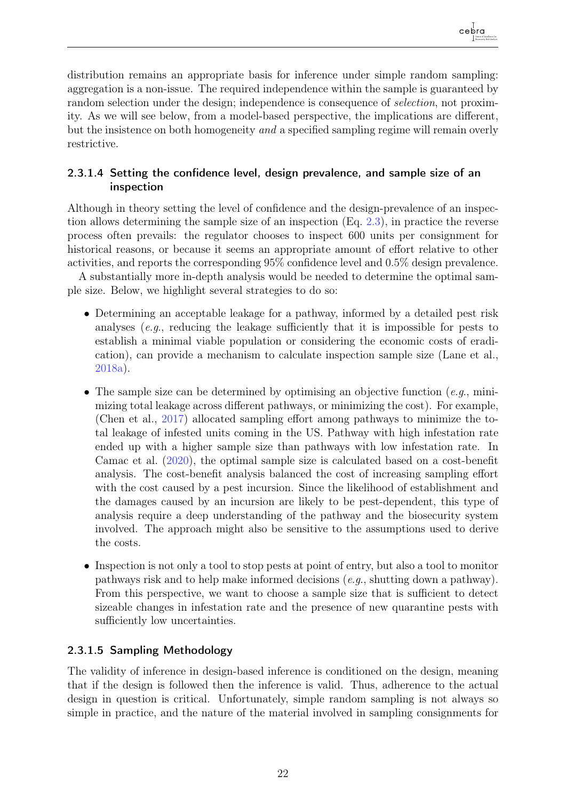distribution remains an appropriate basis for inference under simple random sampling: aggregation is a non-issue. The required independence within the sample is guaranteed by random selection under the design; independence is consequence of *selection*, not proximity. As we will see below, from a model-based perspective, the implications are different, but the insistence on both homogeneity and a specified sampling regime will remain overly restrictive.

## <span id="page-21-0"></span>2.3.1.4 Setting the confidence level, design prevalence, and sample size of an inspection

Although in theory setting the level of confidence and the design-prevalence of an inspection allows determining the sample size of an inspection (Eq. [2.3\)](#page-19-1), in practice the reverse process often prevails: the regulator chooses to inspect 600 units per consignment for historical reasons, or because it seems an appropriate amount of effort relative to other activities, and reports the corresponding 95% confidence level and 0.5% design prevalence.

A substantially more in-depth analysis would be needed to determine the optimal sample size. Below, we highlight several strategies to do so:

- Determining an acceptable leakage for a pathway, informed by a detailed pest risk analyses (e.g., reducing the leakage sufficiently that it is impossible for pests to establish a minimal viable population or considering the economic costs of eradication), can provide a mechanism to calculate inspection sample size (Lane et al., [2018a\)](#page-82-5).
- The sample size can be determined by optimising an objective function (e.g., minimizing total leakage across different pathways, or minimizing the cost). For example, (Chen et al., [2017\)](#page-79-3) allocated sampling effort among pathways to minimize the total leakage of infested units coming in the US. Pathway with high infestation rate ended up with a higher sample size than pathways with low infestation rate. In Camac et al. [\(2020\)](#page-79-4), the optimal sample size is calculated based on a cost-benefit analysis. The cost-benefit analysis balanced the cost of increasing sampling effort with the cost caused by a pest incursion. Since the likelihood of establishment and the damages caused by an incursion are likely to be pest-dependent, this type of analysis require a deep understanding of the pathway and the biosecurity system involved. The approach might also be sensitive to the assumptions used to derive the costs.
- Inspection is not only a tool to stop pests at point of entry, but also a tool to monitor pathways risk and to help make informed decisions (e.g., shutting down a pathway). From this perspective, we want to choose a sample size that is sufficient to detect sizeable changes in infestation rate and the presence of new quarantine pests with sufficiently low uncertainties.

## <span id="page-21-1"></span>2.3.1.5 Sampling Methodology

The validity of inference in design-based inference is conditioned on the design, meaning that if the design is followed then the inference is valid. Thus, adherence to the actual design in question is critical. Unfortunately, simple random sampling is not always so simple in practice, and the nature of the material involved in sampling consignments for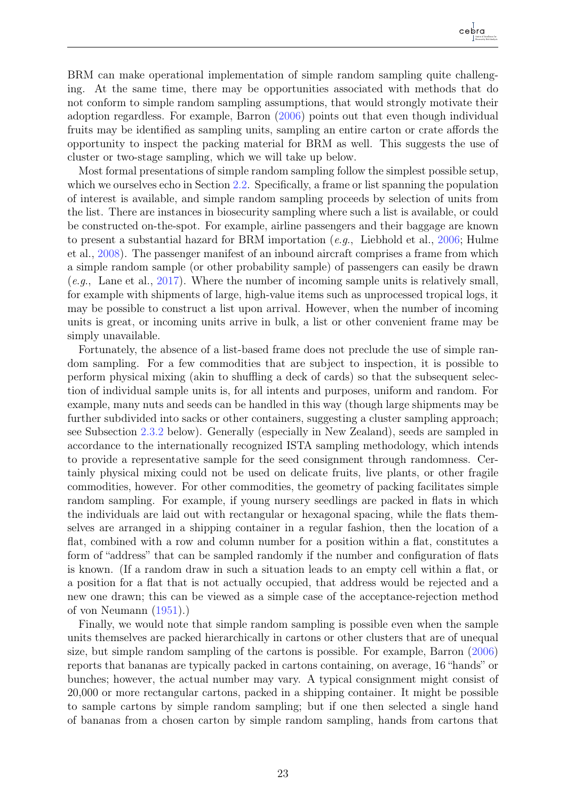BRM can make operational implementation of simple random sampling quite challenging. At the same time, there may be opportunities associated with methods that do not conform to simple random sampling assumptions, that would strongly motivate their adoption regardless. For example, Barron [\(2006\)](#page-79-2) points out that even though individual fruits may be identified as sampling units, sampling an entire carton or crate affords the opportunity to inspect the packing material for BRM as well. This suggests the use of cluster or two-stage sampling, which we will take up below.

Most formal presentations of simple random sampling follow the simplest possible setup, which we ourselves echo in Section [2.2.](#page-14-0) Specifically, a frame or list spanning the population of interest is available, and simple random sampling proceeds by selection of units from the list. There are instances in biosecurity sampling where such a list is available, or could be constructed on-the-spot. For example, airline passengers and their baggage are known to present a substantial hazard for BRM importation  $(e.g.,$  Liebhold et al., [2006;](#page-83-6) Hulme et al., [2008\)](#page-81-8). The passenger manifest of an inbound aircraft comprises a frame from which a simple random sample (or other probability sample) of passengers can easily be drawn  $(e.g., \text{ Lane et al., } 2017)$  $(e.g., \text{ Lane et al., } 2017)$ . Where the number of incoming sample units is relatively small, for example with shipments of large, high-value items such as unprocessed tropical logs, it may be possible to construct a list upon arrival. However, when the number of incoming units is great, or incoming units arrive in bulk, a list or other convenient frame may be simply unavailable.

Fortunately, the absence of a list-based frame does not preclude the use of simple random sampling. For a few commodities that are subject to inspection, it is possible to perform physical mixing (akin to shuffling a deck of cards) so that the subsequent selection of individual sample units is, for all intents and purposes, uniform and random. For example, many nuts and seeds can be handled in this way (though large shipments may be further subdivided into sacks or other containers, suggesting a cluster sampling approach; see Subsection [2.3.2](#page-23-0) below). Generally (especially in New Zealand), seeds are sampled in accordance to the internationally recognized ISTA sampling methodology, which intends to provide a representative sample for the seed consignment through randomness. Certainly physical mixing could not be used on delicate fruits, live plants, or other fragile commodities, however. For other commodities, the geometry of packing facilitates simple random sampling. For example, if young nursery seedlings are packed in flats in which the individuals are laid out with rectangular or hexagonal spacing, while the flats themselves are arranged in a shipping container in a regular fashion, then the location of a flat, combined with a row and column number for a position within a flat, constitutes a form of "address" that can be sampled randomly if the number and configuration of flats is known. (If a random draw in such a situation leads to an empty cell within a flat, or a position for a flat that is not actually occupied, that address would be rejected and a new one drawn; this can be viewed as a simple case of the acceptance-rejection method of von Neumann [\(1951\)](#page-85-6).)

Finally, we would note that simple random sampling is possible even when the sample units themselves are packed hierarchically in cartons or other clusters that are of unequal size, but simple random sampling of the cartons is possible. For example, Barron [\(2006\)](#page-79-2) reports that bananas are typically packed in cartons containing, on average, 16 "hands" or bunches; however, the actual number may vary. A typical consignment might consist of 20,000 or more rectangular cartons, packed in a shipping container. It might be possible to sample cartons by simple random sampling; but if one then selected a single hand of bananas from a chosen carton by simple random sampling, hands from cartons that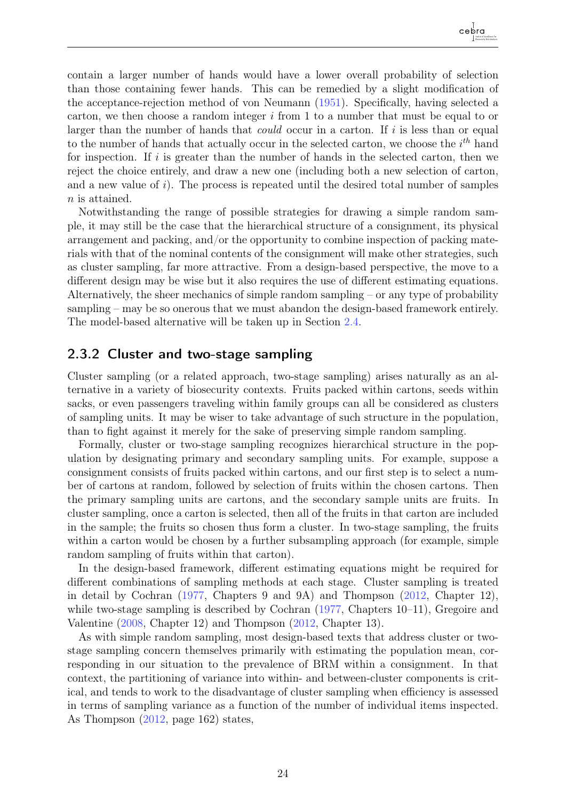contain a larger number of hands would have a lower overall probability of selection than those containing fewer hands. This can be remedied by a slight modification of the acceptance-rejection method of von Neumann [\(1951\)](#page-85-6). Specifically, having selected a carton, we then choose a random integer i from 1 to a number that must be equal to or larger than the number of hands that *could* occur in a carton. If  $i$  is less than or equal to the number of hands that actually occur in the selected carton, we choose the  $i^{th}$  hand for inspection. If  $i$  is greater than the number of hands in the selected carton, then we reject the choice entirely, and draw a new one (including both a new selection of carton, and a new value of  $i$ ). The process is repeated until the desired total number of samples n is attained.

Notwithstanding the range of possible strategies for drawing a simple random sample, it may still be the case that the hierarchical structure of a consignment, its physical arrangement and packing, and/or the opportunity to combine inspection of packing materials with that of the nominal contents of the consignment will make other strategies, such as cluster sampling, far more attractive. From a design-based perspective, the move to a different design may be wise but it also requires the use of different estimating equations. Alternatively, the sheer mechanics of simple random sampling – or any type of probability sampling – may be so onerous that we must abandon the design-based framework entirely. The model-based alternative will be taken up in Section [2.4.](#page-24-0)

## <span id="page-23-0"></span>2.3.2 Cluster and two-stage sampling

Cluster sampling (or a related approach, two-stage sampling) arises naturally as an alternative in a variety of biosecurity contexts. Fruits packed within cartons, seeds within sacks, or even passengers traveling within family groups can all be considered as clusters of sampling units. It may be wiser to take advantage of such structure in the population, than to fight against it merely for the sake of preserving simple random sampling.

Formally, cluster or two-stage sampling recognizes hierarchical structure in the population by designating primary and secondary sampling units. For example, suppose a consignment consists of fruits packed within cartons, and our first step is to select a number of cartons at random, followed by selection of fruits within the chosen cartons. Then the primary sampling units are cartons, and the secondary sample units are fruits. In cluster sampling, once a carton is selected, then all of the fruits in that carton are included in the sample; the fruits so chosen thus form a cluster. In two-stage sampling, the fruits within a carton would be chosen by a further subsampling approach (for example, simple random sampling of fruits within that carton).

In the design-based framework, different estimating equations might be required for different combinations of sampling methods at each stage. Cluster sampling is treated in detail by Cochran [\(1977,](#page-79-1) Chapters 9 and 9A) and Thompson [\(2012,](#page-85-4) Chapter 12), while two-stage sampling is described by Cochran  $(1977,$  Chapters 10–11), Gregoire and Valentine [\(2008,](#page-81-5) Chapter 12) and Thompson [\(2012,](#page-85-4) Chapter 13).

As with simple random sampling, most design-based texts that address cluster or twostage sampling concern themselves primarily with estimating the population mean, corresponding in our situation to the prevalence of BRM within a consignment. In that context, the partitioning of variance into within- and between-cluster components is critical, and tends to work to the disadvantage of cluster sampling when efficiency is assessed in terms of sampling variance as a function of the number of individual items inspected. As Thompson [\(2012,](#page-85-4) page 162) states,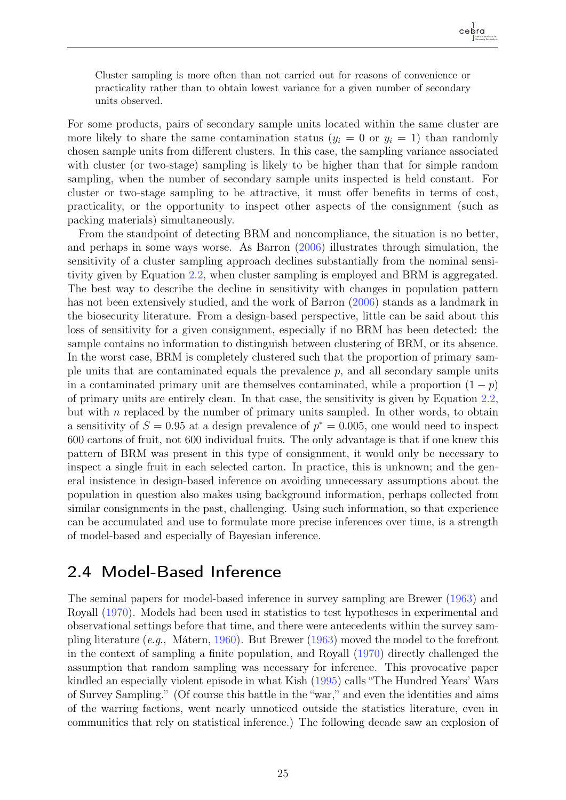Cluster sampling is more often than not carried out for reasons of convenience or practicality rather than to obtain lowest variance for a given number of secondary units observed.

For some products, pairs of secondary sample units located within the same cluster are more likely to share the same contamination status  $(y_i = 0 \text{ or } y_i = 1)$  than randomly chosen sample units from different clusters. In this case, the sampling variance associated with cluster (or two-stage) sampling is likely to be higher than that for simple random sampling, when the number of secondary sample units inspected is held constant. For cluster or two-stage sampling to be attractive, it must offer benefits in terms of cost, practicality, or the opportunity to inspect other aspects of the consignment (such as packing materials) simultaneously.

From the standpoint of detecting BRM and noncompliance, the situation is no better, and perhaps in some ways worse. As Barron [\(2006\)](#page-79-2) illustrates through simulation, the sensitivity of a cluster sampling approach declines substantially from the nominal sensitivity given by Equation [2.2,](#page-19-0) when cluster sampling is employed and BRM is aggregated. The best way to describe the decline in sensitivity with changes in population pattern has not been extensively studied, and the work of Barron [\(2006\)](#page-79-2) stands as a landmark in the biosecurity literature. From a design-based perspective, little can be said about this loss of sensitivity for a given consignment, especially if no BRM has been detected: the sample contains no information to distinguish between clustering of BRM, or its absence. In the worst case, BRM is completely clustered such that the proportion of primary sample units that are contaminated equals the prevalence  $p$ , and all secondary sample units in a contaminated primary unit are themselves contaminated, while a proportion  $(1 - p)$ of primary units are entirely clean. In that case, the sensitivity is given by Equation [2.2,](#page-19-0) but with n replaced by the number of primary units sampled. In other words, to obtain a sensitivity of  $S = 0.95$  at a design prevalence of  $p^* = 0.005$ , one would need to inspect 600 cartons of fruit, not 600 individual fruits. The only advantage is that if one knew this pattern of BRM was present in this type of consignment, it would only be necessary to inspect a single fruit in each selected carton. In practice, this is unknown; and the general insistence in design-based inference on avoiding unnecessary assumptions about the population in question also makes using background information, perhaps collected from similar consignments in the past, challenging. Using such information, so that experience can be accumulated and use to formulate more precise inferences over time, is a strength of model-based and especially of Bayesian inference.

## <span id="page-24-0"></span>2.4 Model-Based Inference

The seminal papers for model-based inference in survey sampling are Brewer [\(1963\)](#page-79-5) and Royall [\(1970\)](#page-84-6). Models had been used in statistics to test hypotheses in experimental and observational settings before that time, and there were antecedents within the survey sampling literature (e.g., Mátern, [1960\)](#page-83-7). But Brewer [\(1963\)](#page-79-5) moved the model to the forefront in the context of sampling a finite population, and Royall [\(1970\)](#page-84-6) directly challenged the assumption that random sampling was necessary for inference. This provocative paper kindled an especially violent episode in what Kish [\(1995\)](#page-82-7) calls "The Hundred Years' Wars of Survey Sampling." (Of course this battle in the "war," and even the identities and aims of the warring factions, went nearly unnoticed outside the statistics literature, even in communities that rely on statistical inference.) The following decade saw an explosion of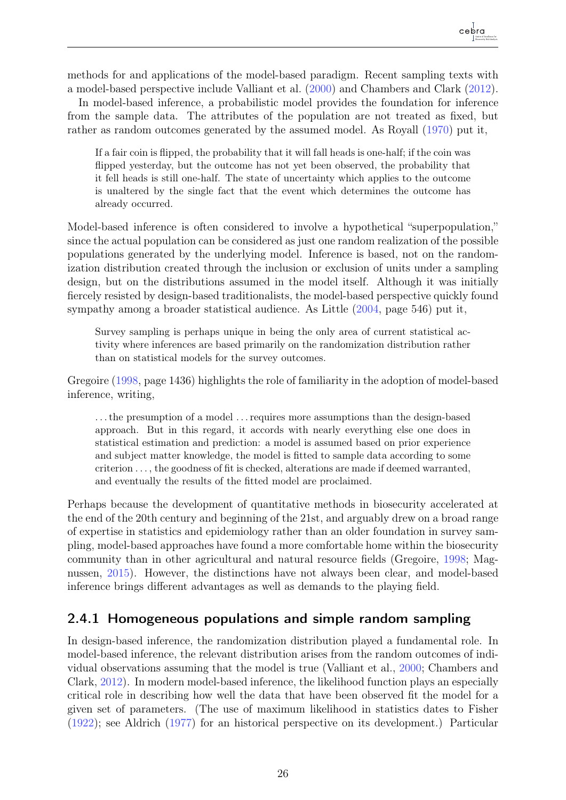methods for and applications of the model-based paradigm. Recent sampling texts with a model-based perspective include Valliant et al. [\(2000\)](#page-85-7) and Chambers and Clark [\(2012\)](#page-79-0).

In model-based inference, a probabilistic model provides the foundation for inference from the sample data. The attributes of the population are not treated as fixed, but rather as random outcomes generated by the assumed model. As Royall [\(1970\)](#page-84-6) put it,

If a fair coin is flipped, the probability that it will fall heads is one-half; if the coin was flipped yesterday, but the outcome has not yet been observed, the probability that it fell heads is still one-half. The state of uncertainty which applies to the outcome is unaltered by the single fact that the event which determines the outcome has already occurred.

Model-based inference is often considered to involve a hypothetical "superpopulation," since the actual population can be considered as just one random realization of the possible populations generated by the underlying model. Inference is based, not on the randomization distribution created through the inclusion or exclusion of units under a sampling design, but on the distributions assumed in the model itself. Although it was initially fiercely resisted by design-based traditionalists, the model-based perspective quickly found sympathy among a broader statistical audience. As Little [\(2004,](#page-83-2) page 546) put it,

Survey sampling is perhaps unique in being the only area of current statistical activity where inferences are based primarily on the randomization distribution rather than on statistical models for the survey outcomes.

Gregoire [\(1998,](#page-81-2) page 1436) highlights the role of familiarity in the adoption of model-based inference, writing,

. . . the presumption of a model . . . requires more assumptions than the design-based approach. But in this regard, it accords with nearly everything else one does in statistical estimation and prediction: a model is assumed based on prior experience and subject matter knowledge, the model is fitted to sample data according to some criterion . . . , the goodness of fit is checked, alterations are made if deemed warranted, and eventually the results of the fitted model are proclaimed.

Perhaps because the development of quantitative methods in biosecurity accelerated at the end of the 20th century and beginning of the 21st, and arguably drew on a broad range of expertise in statistics and epidemiology rather than an older foundation in survey sampling, model-based approaches have found a more comfortable home within the biosecurity community than in other agricultural and natural resource fields (Gregoire, [1998;](#page-81-2) Magnussen, [2015\)](#page-83-3). However, the distinctions have not always been clear, and model-based inference brings different advantages as well as demands to the playing field.

## <span id="page-25-0"></span>2.4.1 Homogeneous populations and simple random sampling

In design-based inference, the randomization distribution played a fundamental role. In model-based inference, the relevant distribution arises from the random outcomes of individual observations assuming that the model is true (Valliant et al., [2000;](#page-85-7) Chambers and Clark, [2012\)](#page-79-0). In modern model-based inference, the likelihood function plays an especially critical role in describing how well the data that have been observed fit the model for a given set of parameters. (The use of maximum likelihood in statistics dates to Fisher [\(1922\)](#page-81-9); see Aldrich [\(1977\)](#page-79-6) for an historical perspective on its development.) Particular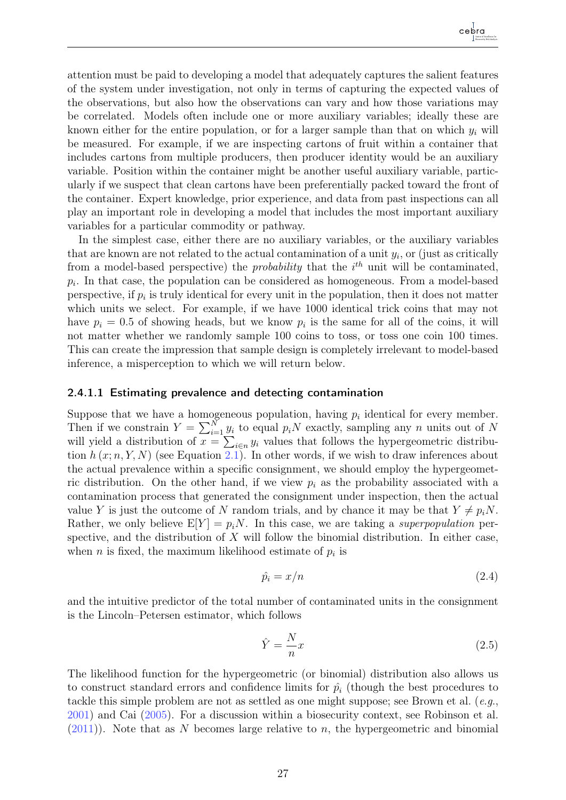attention must be paid to developing a model that adequately captures the salient features of the system under investigation, not only in terms of capturing the expected values of the observations, but also how the observations can vary and how those variations may be correlated. Models often include one or more auxiliary variables; ideally these are known either for the entire population, or for a larger sample than that on which  $y_i$  will be measured. For example, if we are inspecting cartons of fruit within a container that includes cartons from multiple producers, then producer identity would be an auxiliary variable. Position within the container might be another useful auxiliary variable, particularly if we suspect that clean cartons have been preferentially packed toward the front of the container. Expert knowledge, prior experience, and data from past inspections can all play an important role in developing a model that includes the most important auxiliary variables for a particular commodity or pathway.

In the simplest case, either there are no auxiliary variables, or the auxiliary variables that are known are not related to the actual contamination of a unit  $y_i$ , or (just as critically from a model-based perspective) the *probability* that the  $i^{th}$  unit will be contaminated,  $p_i$ . In that case, the population can be considered as homogeneous. From a model-based perspective, if  $p_i$  is truly identical for every unit in the population, then it does not matter which units we select. For example, if we have 1000 identical trick coins that may not have  $p_i = 0.5$  of showing heads, but we know  $p_i$  is the same for all of the coins, it will not matter whether we randomly sample 100 coins to toss, or toss one coin 100 times. This can create the impression that sample design is completely irrelevant to model-based inference, a misperception to which we will return below.

#### <span id="page-26-0"></span>2.4.1.1 Estimating prevalence and detecting contamination

Suppose that we have a homogeneous population, having  $p_i$  identical for every member. Then if we constrain  $Y = \sum_{i=1}^{N} y_i$  to equal  $p_i N$  exactly, sampling any n units out of N will yield a distribution of  $x = \sum_{i \in n} y_i$  values that follows the hypergeometric distribution  $h(x; n, Y, N)$  (see Equation [2.1\)](#page-18-1). In other words, if we wish to draw inferences about the actual prevalence within a specific consignment, we should employ the hypergeometric distribution. On the other hand, if we view  $p_i$  as the probability associated with a contamination process that generated the consignment under inspection, then the actual value Y is just the outcome of N random trials, and by chance it may be that  $Y \neq p_iN$ . Rather, we only believe  $E[Y] = p_i N$ . In this case, we are taking a superpopulation perspective, and the distribution of  $X$  will follow the binomial distribution. In either case, when  $n$  is fixed, the maximum likelihood estimate of  $p_i$  is

$$
\hat{p}_i = x/n \tag{2.4}
$$

and the intuitive predictor of the total number of contaminated units in the consignment is the Lincoln–Petersen estimator, which follows

<span id="page-26-1"></span>
$$
\hat{Y} = \frac{N}{n}x\tag{2.5}
$$

The likelihood function for the hypergeometric (or binomial) distribution also allows us to construct standard errors and confidence limits for  $\hat{p}_i$  (though the best procedures to tackle this simple problem are not as settled as one might suppose; see Brown et al.  $(e.g.,)$ [2001\)](#page-79-7) and Cai [\(2005\)](#page-79-8). For a discussion within a biosecurity context, see Robinson et al.  $(2011)$ ). Note that as N becomes large relative to n, the hypergeometric and binomial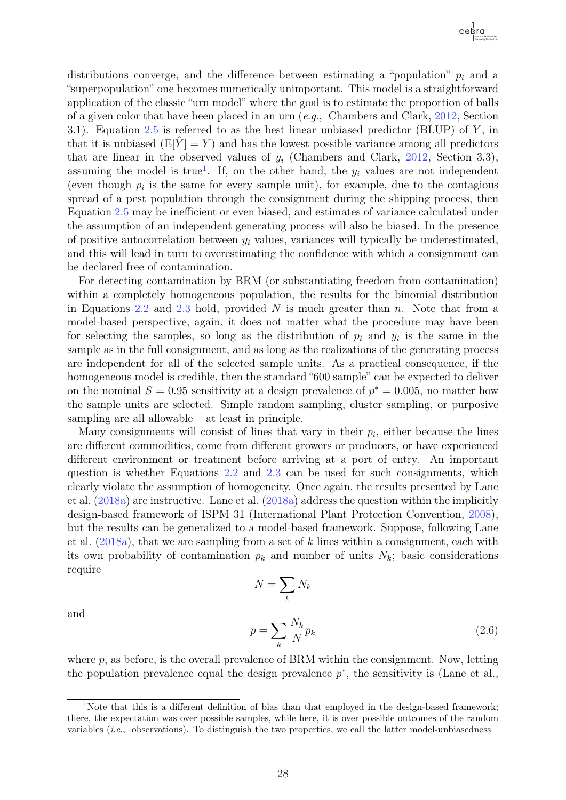distributions converge, and the difference between estimating a "population"  $p_i$  and a "superpopulation" one becomes numerically unimportant. This model is a straightforward application of the classic "urn model" where the goal is to estimate the proportion of balls of a given color that have been placed in an urn  $(e.g.,$  Chambers and Clark, [2012,](#page-79-0) Section 3.1). Equation [2.5](#page-26-1) is referred to as the best linear unbiased predictor (BLUP) of  $Y$ , in that it is unbiased  $(E[Y] = Y)$  and has the lowest possible variance among all predictors that are linear in the observed values of  $y_i$  (Chambers and Clark, [2012,](#page-79-0) Section 3.3), assuming the model is true<sup>[1](#page-27-0)</sup>. If, on the other hand, the  $y_i$  values are not independent (even though  $p_i$  is the same for every sample unit), for example, due to the contagious spread of a pest population through the consignment during the shipping process, then Equation [2.5](#page-26-1) may be inefficient or even biased, and estimates of variance calculated under the assumption of an independent generating process will also be biased. In the presence of positive autocorrelation between  $y_i$  values, variances will typically be underestimated, and this will lead in turn to overestimating the confidence with which a consignment can be declared free of contamination.

For detecting contamination by BRM (or substantiating freedom from contamination) within a completely homogeneous population, the results for the binomial distribution in Equations [2.2](#page-19-0) and [2.3](#page-19-1) hold, provided  $N$  is much greater than  $n$ . Note that from a model-based perspective, again, it does not matter what the procedure may have been for selecting the samples, so long as the distribution of  $p_i$  and  $y_i$  is the same in the sample as in the full consignment, and as long as the realizations of the generating process are independent for all of the selected sample units. As a practical consequence, if the homogeneous model is credible, then the standard "600 sample" can be expected to deliver on the nominal  $S = 0.95$  sensitivity at a design prevalence of  $p^* = 0.005$ , no matter how the sample units are selected. Simple random sampling, cluster sampling, or purposive sampling are all allowable – at least in principle.

Many consignments will consist of lines that vary in their  $p_i$ , either because the lines are different commodities, come from different growers or producers, or have experienced different environment or treatment before arriving at a port of entry. An important question is whether Equations [2.2](#page-19-0) and [2.3](#page-19-1) can be used for such consignments, which clearly violate the assumption of homogeneity. Once again, the results presented by Lane et al. [\(2018a\)](#page-82-5) are instructive. Lane et al. [\(2018a\)](#page-82-5) address the question within the implicitly design-based framework of ISPM 31 (International Plant Protection Convention, [2008\)](#page-82-0), but the results can be generalized to a model-based framework. Suppose, following Lane et al.  $(2018a)$ , that we are sampling from a set of k lines within a consignment, each with its own probability of contamination  $p_k$  and number of units  $N_k$ ; basic considerations require

$$
N = \sum_{k} N_k
$$
  

$$
p = \sum_{k} \frac{N_k}{N} p_k
$$
 (2.6)

and

where  $p$ , as before, is the overall prevalence of BRM within the consignment. Now, letting the population prevalence equal the design prevalence  $p^*$ , the sensitivity is (Lane et al.,

k

<span id="page-27-0"></span><sup>&</sup>lt;sup>1</sup>Note that this is a different definition of bias than that employed in the design-based framework; there, the expectation was over possible samples, while here, it is over possible outcomes of the random variables  $(i.e.,$  observations). To distinguish the two properties, we call the latter model-unbiasedness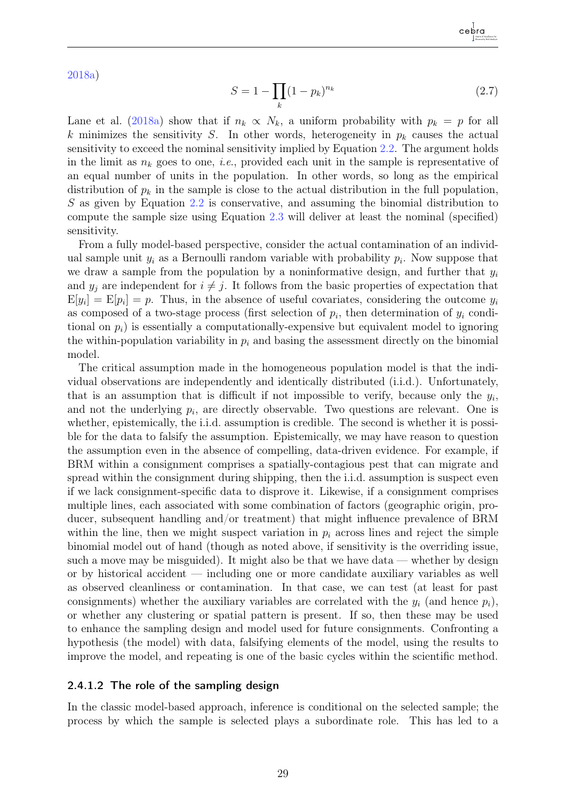[2018a\)](#page-82-5)

$$
S = 1 - \prod_{k} (1 - p_k)^{n_k} \tag{2.7}
$$

Lane et al. [\(2018a\)](#page-82-5) show that if  $n_k \propto N_k$ , a uniform probability with  $p_k = p$  for all k minimizes the sensitivity S. In other words, heterogeneity in  $p_k$  causes the actual sensitivity to exceed the nominal sensitivity implied by Equation [2.2.](#page-19-0) The argument holds in the limit as  $n_k$  goes to one, *i.e.*, provided each unit in the sample is representative of an equal number of units in the population. In other words, so long as the empirical distribution of  $p_k$  in the sample is close to the actual distribution in the full population,  $S$  as given by Equation [2.2](#page-19-0) is conservative, and assuming the binomial distribution to compute the sample size using Equation [2.3](#page-19-1) will deliver at least the nominal (specified) sensitivity.

From a fully model-based perspective, consider the actual contamination of an individual sample unit  $y_i$  as a Bernoulli random variable with probability  $p_i$ . Now suppose that we draw a sample from the population by a noninformative design, and further that  $y_i$ and  $y_i$  are independent for  $i \neq j$ . It follows from the basic properties of expectation that  $E[y_i] = E[p_i] = p$ . Thus, in the absence of useful covariates, considering the outcome  $y_i$ as composed of a two-stage process (first selection of  $p_i$ , then determination of  $y_i$  conditional on  $p_i$ ) is essentially a computationally-expensive but equivalent model to ignoring the within-population variability in  $p_i$  and basing the assessment directly on the binomial model.

The critical assumption made in the homogeneous population model is that the individual observations are independently and identically distributed (i.i.d.). Unfortunately, that is an assumption that is difficult if not impossible to verify, because only the  $y_i$ , and not the underlying  $p_i$ , are directly observable. Two questions are relevant. One is whether, epistemically, the i.i.d. assumption is credible. The second is whether it is possible for the data to falsify the assumption. Epistemically, we may have reason to question the assumption even in the absence of compelling, data-driven evidence. For example, if BRM within a consignment comprises a spatially-contagious pest that can migrate and spread within the consignment during shipping, then the i.i.d. assumption is suspect even if we lack consignment-specific data to disprove it. Likewise, if a consignment comprises multiple lines, each associated with some combination of factors (geographic origin, producer, subsequent handling and/or treatment) that might influence prevalence of BRM within the line, then we might suspect variation in  $p_i$  across lines and reject the simple binomial model out of hand (though as noted above, if sensitivity is the overriding issue, such a move may be misguided). It might also be that we have data — whether by design or by historical accident — including one or more candidate auxiliary variables as well as observed cleanliness or contamination. In that case, we can test (at least for past consignments) whether the auxiliary variables are correlated with the  $y_i$  (and hence  $p_i$ ), or whether any clustering or spatial pattern is present. If so, then these may be used to enhance the sampling design and model used for future consignments. Confronting a hypothesis (the model) with data, falsifying elements of the model, using the results to improve the model, and repeating is one of the basic cycles within the scientific method.

#### <span id="page-28-0"></span>2.4.1.2 The role of the sampling design

In the classic model-based approach, inference is conditional on the selected sample; the process by which the sample is selected plays a subordinate role. This has led to a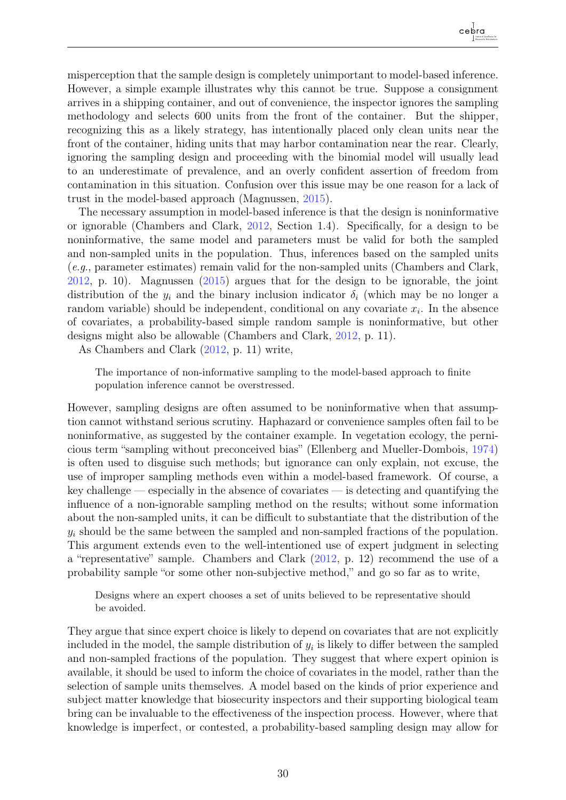misperception that the sample design is completely unimportant to model-based inference. However, a simple example illustrates why this cannot be true. Suppose a consignment arrives in a shipping container, and out of convenience, the inspector ignores the sampling methodology and selects 600 units from the front of the container. But the shipper, recognizing this as a likely strategy, has intentionally placed only clean units near the front of the container, hiding units that may harbor contamination near the rear. Clearly, ignoring the sampling design and proceeding with the binomial model will usually lead to an underestimate of prevalence, and an overly confident assertion of freedom from contamination in this situation. Confusion over this issue may be one reason for a lack of trust in the model-based approach (Magnussen, [2015\)](#page-83-3).

The necessary assumption in model-based inference is that the design is noninformative or ignorable (Chambers and Clark, [2012,](#page-79-0) Section 1.4). Specifically, for a design to be noninformative, the same model and parameters must be valid for both the sampled and non-sampled units in the population. Thus, inferences based on the sampled units (e.g., parameter estimates) remain valid for the non-sampled units (Chambers and Clark, [2012,](#page-79-0) p. 10). Magnussen [\(2015\)](#page-83-3) argues that for the design to be ignorable, the joint distribution of the  $y_i$  and the binary inclusion indicator  $\delta_i$  (which may be no longer a random variable) should be independent, conditional on any covariate  $x_i$ . In the absence of covariates, a probability-based simple random sample is noninformative, but other designs might also be allowable (Chambers and Clark, [2012,](#page-79-0) p. 11).

As Chambers and Clark [\(2012,](#page-79-0) p. 11) write,

The importance of non-informative sampling to the model-based approach to finite population inference cannot be overstressed.

However, sampling designs are often assumed to be noninformative when that assumption cannot withstand serious scrutiny. Haphazard or convenience samples often fail to be noninformative, as suggested by the container example. In vegetation ecology, the pernicious term "sampling without preconceived bias" (Ellenberg and Mueller-Dombois, [1974\)](#page-80-1) is often used to disguise such methods; but ignorance can only explain, not excuse, the use of improper sampling methods even within a model-based framework. Of course, a key challenge — especially in the absence of covariates — is detecting and quantifying the influence of a non-ignorable sampling method on the results; without some information about the non-sampled units, it can be difficult to substantiate that the distribution of the  $y_i$  should be the same between the sampled and non-sampled fractions of the population. This argument extends even to the well-intentioned use of expert judgment in selecting a "representative" sample. Chambers and Clark [\(2012,](#page-79-0) p. 12) recommend the use of a probability sample "or some other non-subjective method," and go so far as to write,

Designs where an expert chooses a set of units believed to be representative should be avoided.

They argue that since expert choice is likely to depend on covariates that are not explicitly included in the model, the sample distribution of  $y_i$  is likely to differ between the sampled and non-sampled fractions of the population. They suggest that where expert opinion is available, it should be used to inform the choice of covariates in the model, rather than the selection of sample units themselves. A model based on the kinds of prior experience and subject matter knowledge that biosecurity inspectors and their supporting biological team bring can be invaluable to the effectiveness of the inspection process. However, where that knowledge is imperfect, or contested, a probability-based sampling design may allow for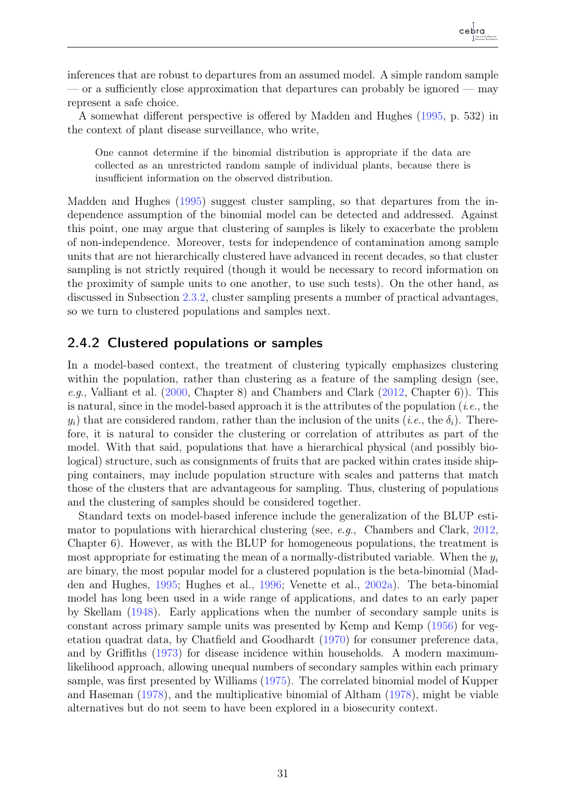inferences that are robust to departures from an assumed model. A simple random sample — or a sufficiently close approximation that departures can probably be ignored — may represent a safe choice.

A somewhat different perspective is offered by Madden and Hughes [\(1995,](#page-83-8) p. 532) in the context of plant disease surveillance, who write,

One cannot determine if the binomial distribution is appropriate if the data are collected as an unrestricted random sample of individual plants, because there is insufficient information on the observed distribution.

Madden and Hughes [\(1995\)](#page-83-8) suggest cluster sampling, so that departures from the independence assumption of the binomial model can be detected and addressed. Against this point, one may argue that clustering of samples is likely to exacerbate the problem of non-independence. Moreover, tests for independence of contamination among sample units that are not hierarchically clustered have advanced in recent decades, so that cluster sampling is not strictly required (though it would be necessary to record information on the proximity of sample units to one another, to use such tests). On the other hand, as discussed in Subsection [2.3.2,](#page-23-0) cluster sampling presents a number of practical advantages, so we turn to clustered populations and samples next.

## <span id="page-30-0"></span>2.4.2 Clustered populations or samples

In a model-based context, the treatment of clustering typically emphasizes clustering within the population, rather than clustering as a feature of the sampling design (see, e.g., Valliant et al.  $(2000, \text{Chapter 8})$  $(2000, \text{Chapter 8})$  and Chambers and Clark  $(2012, \text{Chapter 6})$  $(2012, \text{Chapter 6})$ . This is natural, since in the model-based approach it is the attributes of the population (*i.e.*, the  $y_i$ ) that are considered random, rather than the inclusion of the units (*i.e.*, the  $\delta_i$ ). Therefore, it is natural to consider the clustering or correlation of attributes as part of the model. With that said, populations that have a hierarchical physical (and possibly biological) structure, such as consignments of fruits that are packed within crates inside shipping containers, may include population structure with scales and patterns that match those of the clusters that are advantageous for sampling. Thus, clustering of populations and the clustering of samples should be considered together.

Standard texts on model-based inference include the generalization of the BLUP estimator to populations with hierarchical clustering (see,  $e.g.,$  Chambers and Clark, [2012,](#page-79-0) Chapter 6). However, as with the BLUP for homogeneous populations, the treatment is most appropriate for estimating the mean of a normally-distributed variable. When the  $y_i$ are binary, the most popular model for a clustered population is the beta-binomial (Madden and Hughes, [1995;](#page-83-8) Hughes et al., [1996;](#page-81-10) Venette et al., [2002a\)](#page-85-2). The beta-binomial model has long been used in a wide range of applications, and dates to an early paper by Skellam [\(1948\)](#page-84-8). Early applications when the number of secondary sample units is constant across primary sample units was presented by Kemp and Kemp [\(1956\)](#page-82-8) for vegetation quadrat data, by Chatfield and Goodhardt [\(1970\)](#page-79-9) for consumer preference data, and by Griffiths [\(1973\)](#page-81-11) for disease incidence within households. A modern maximumlikelihood approach, allowing unequal numbers of secondary samples within each primary sample, was first presented by Williams [\(1975\)](#page-86-0). The correlated binomial model of Kupper and Haseman [\(1978\)](#page-82-9), and the multiplicative binomial of Altham [\(1978\)](#page-79-10), might be viable alternatives but do not seem to have been explored in a biosecurity context.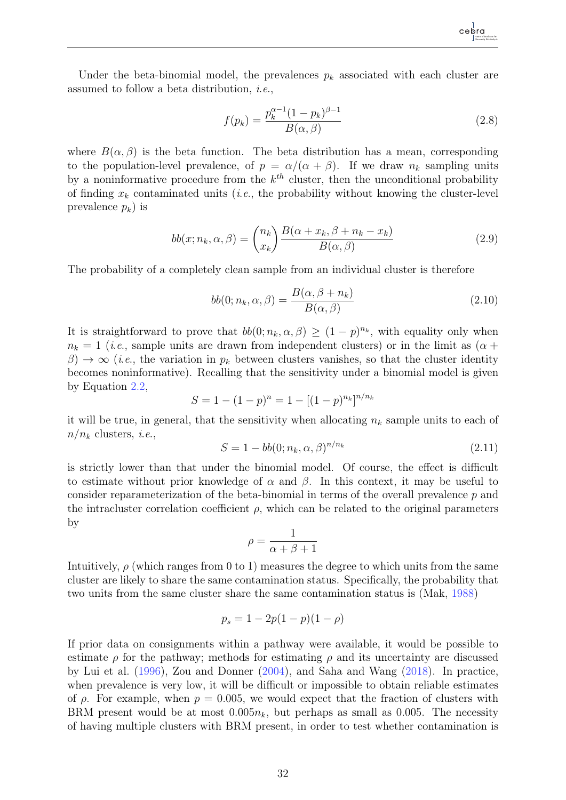Under the beta-binomial model, the prevalences  $p_k$  associated with each cluster are assumed to follow a beta distribution, i.e.,

$$
f(p_k) = \frac{p_k^{\alpha - 1} (1 - p_k)^{\beta - 1}}{B(\alpha, \beta)}
$$
\n(2.8)

where  $B(\alpha, \beta)$  is the beta function. The beta distribution has a mean, corresponding to the population-level prevalence, of  $p = \alpha/(\alpha + \beta)$ . If we draw  $n_k$  sampling units by a noninformative procedure from the  $k^{th}$  cluster, then the unconditional probability of finding  $x_k$  contaminated units *(i.e., the probability without knowing the cluster-level* prevalence  $p_k$ ) is

<span id="page-31-0"></span>
$$
bb(x; n_k, \alpha, \beta) = {n_k \choose x_k} \frac{B(\alpha + x_k, \beta + n_k - x_k)}{B(\alpha, \beta)}
$$
(2.9)

The probability of a completely clean sample from an individual cluster is therefore

$$
bb(0; n_k, \alpha, \beta) = \frac{B(\alpha, \beta + n_k)}{B(\alpha, \beta)}
$$
\n(2.10)

It is straightforward to prove that  $bb(0; n_k, \alpha, \beta) \geq (1-p)^{n_k}$ , with equality only when  $n_k = 1$  (*i.e.*, sample units are drawn from independent clusters) or in the limit as ( $\alpha$  +  $\beta$ )  $\rightarrow \infty$  (*i.e.*, the variation in  $p_k$  between clusters vanishes, so that the cluster identity becomes noninformative). Recalling that the sensitivity under a binomial model is given by Equation [2.2,](#page-19-0)

$$
S = 1 - (1 - p)^n = 1 - [(1 - p)^{n_k}]^{n/n_k}
$$

it will be true, in general, that the sensitivity when allocating  $n_k$  sample units to each of  $n/n_k$  clusters, *i.e.*,

$$
S = 1 - bb(0; n_k, \alpha, \beta)^{n/n_k}
$$
\n(2.11)

is strictly lower than that under the binomial model. Of course, the effect is difficult to estimate without prior knowledge of  $\alpha$  and  $\beta$ . In this context, it may be useful to consider reparameterization of the beta-binomial in terms of the overall prevalence p and the intracluster correlation coefficient  $\rho$ , which can be related to the original parameters by

$$
\rho=\frac{1}{\alpha+\beta+1}
$$

Intuitively,  $\rho$  (which ranges from 0 to 1) measures the degree to which units from the same cluster are likely to share the same contamination status. Specifically, the probability that two units from the same cluster share the same contamination status is (Mak, [1988\)](#page-83-9)

$$
p_s = 1 - 2p(1 - p)(1 - \rho)
$$

If prior data on consignments within a pathway were available, it would be possible to estimate  $\rho$  for the pathway; methods for estimating  $\rho$  and its uncertainty are discussed by Lui et al. [\(1996\)](#page-83-10), Zou and Donner [\(2004\)](#page-86-1), and Saha and Wang [\(2018\)](#page-84-9). In practice, when prevalence is very low, it will be difficult or impossible to obtain reliable estimates of  $\rho$ . For example, when  $p = 0.005$ , we would expect that the fraction of clusters with BRM present would be at most  $0.005n_k$ , but perhaps as small as 0.005. The necessity of having multiple clusters with BRM present, in order to test whether contamination is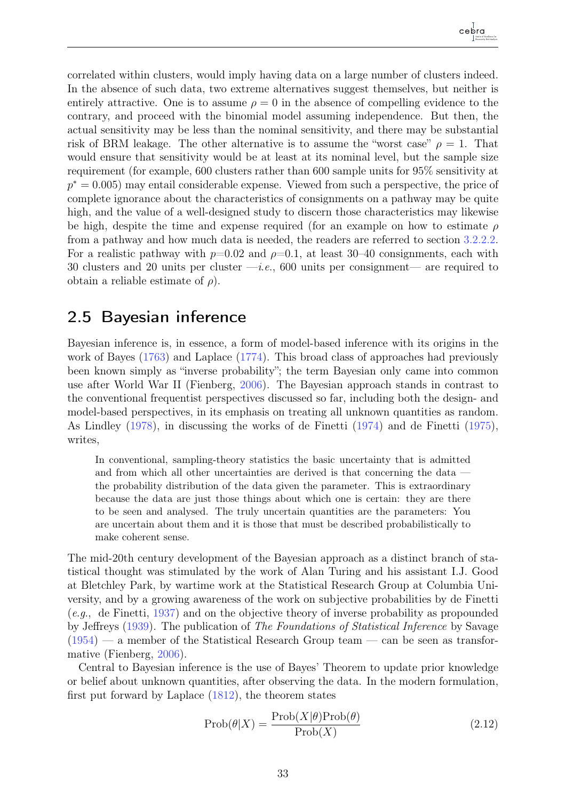correlated within clusters, would imply having data on a large number of clusters indeed. In the absence of such data, two extreme alternatives suggest themselves, but neither is entirely attractive. One is to assume  $\rho = 0$  in the absence of compelling evidence to the contrary, and proceed with the binomial model assuming independence. But then, the actual sensitivity may be less than the nominal sensitivity, and there may be substantial risk of BRM leakage. The other alternative is to assume the "worst case"  $\rho = 1$ . That would ensure that sensitivity would be at least at its nominal level, but the sample size requirement (for example, 600 clusters rather than 600 sample units for 95% sensitivity at  $p^* = 0.005$  may entail considerable expense. Viewed from such a perspective, the price of complete ignorance about the characteristics of consignments on a pathway may be quite high, and the value of a well-designed study to discern those characteristics may likewise be high, despite the time and expense required (for an example on how to estimate  $\rho$ from a pathway and how much data is needed, the readers are referred to section [3.2.2.2.](#page-55-0) For a realistic pathway with  $p=0.02$  and  $p=0.1$ , at least 30–40 consignments, each with 30 clusters and 20 units per cluster  $-i.e., 600$  units per consignment— are required to obtain a reliable estimate of  $\rho$ ).

## <span id="page-32-0"></span>2.5 Bayesian inference

Bayesian inference is, in essence, a form of model-based inference with its origins in the work of Bayes [\(1763\)](#page-79-11) and Laplace [\(1774\)](#page-82-10). This broad class of approaches had previously been known simply as "inverse probability"; the term Bayesian only came into common use after World War II (Fienberg, [2006\)](#page-81-12). The Bayesian approach stands in contrast to the conventional frequentist perspectives discussed so far, including both the design- and model-based perspectives, in its emphasis on treating all unknown quantities as random. As Lindley [\(1978\)](#page-83-11), in discussing the works of de Finetti [\(1974\)](#page-80-2) and de Finetti [\(1975\)](#page-80-3), writes,

In conventional, sampling-theory statistics the basic uncertainty that is admitted and from which all other uncertainties are derived is that concerning the data the probability distribution of the data given the parameter. This is extraordinary because the data are just those things about which one is certain: they are there to be seen and analysed. The truly uncertain quantities are the parameters: You are uncertain about them and it is those that must be described probabilistically to make coherent sense.

The mid-20th century development of the Bayesian approach as a distinct branch of statistical thought was stimulated by the work of Alan Turing and his assistant I.J. Good at Bletchley Park, by wartime work at the Statistical Research Group at Columbia University, and by a growing awareness of the work on subjective probabilities by de Finetti (e.g., de Finetti, [1937\)](#page-80-4) and on the objective theory of inverse probability as propounded by Jeffreys [\(1939\)](#page-82-11). The publication of The Foundations of Statistical Inference by Savage  $(1954)$  — a member of the Statistical Research Group team — can be seen as transformative (Fienberg, [2006\)](#page-81-12).

Central to Bayesian inference is the use of Bayes' Theorem to update prior knowledge or belief about unknown quantities, after observing the data. In the modern formulation, first put forward by Laplace [\(1812\)](#page-82-12), the theorem states

$$
Prob(\theta|X) = \frac{Prob(X|\theta)Prob(\theta)}{Prob(X)}
$$
\n(2.12)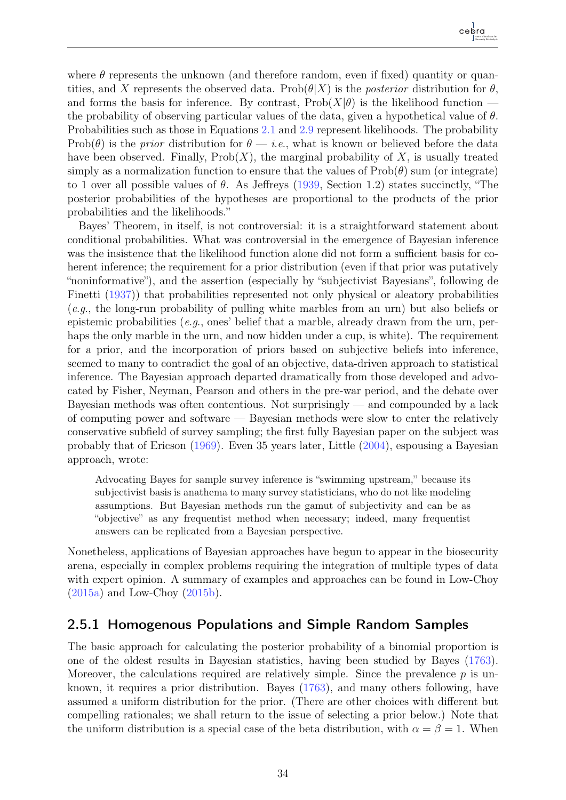where  $\theta$  represents the unknown (and therefore random, even if fixed) quantity or quantities, and X represents the observed data. Prob $(\theta|X)$  is the *posterior* distribution for  $\theta$ , and forms the basis for inference. By contrast,  $Prob(X|\theta)$  is the likelihood function the probability of observing particular values of the data, given a hypothetical value of  $\theta$ . Probabilities such as those in Equations [2.1](#page-18-1) and [2.9](#page-31-0) represent likelihoods. The probability Prob( $\theta$ ) is the *prior* distribution for  $\theta - i.e.$ , what is known or believed before the data have been observed. Finally,  $Prob(X)$ , the marginal probability of X, is usually treated simply as a normalization function to ensure that the values of  $\text{Prob}(\theta)$  sum (or integrate) to 1 over all possible values of  $\theta$ . As Jeffreys [\(1939,](#page-82-11) Section 1.2) states succinctly, "The posterior probabilities of the hypotheses are proportional to the products of the prior probabilities and the likelihoods."

Bayes' Theorem, in itself, is not controversial: it is a straightforward statement about conditional probabilities. What was controversial in the emergence of Bayesian inference was the insistence that the likelihood function alone did not form a sufficient basis for coherent inference; the requirement for a prior distribution (even if that prior was putatively "noninformative"), and the assertion (especially by "subjectivist Bayesians", following de Finetti [\(1937\)](#page-80-4)) that probabilities represented not only physical or aleatory probabilities (e.g., the long-run probability of pulling white marbles from an urn) but also beliefs or epistemic probabilities (e.g., ones' belief that a marble, already drawn from the urn, perhaps the only marble in the urn, and now hidden under a cup, is white). The requirement for a prior, and the incorporation of priors based on subjective beliefs into inference, seemed to many to contradict the goal of an objective, data-driven approach to statistical inference. The Bayesian approach departed dramatically from those developed and advocated by Fisher, Neyman, Pearson and others in the pre-war period, and the debate over Bayesian methods was often contentious. Not surprisingly — and compounded by a lack of computing power and software — Bayesian methods were slow to enter the relatively conservative subfield of survey sampling; the first fully Bayesian paper on the subject was probably that of Ericson [\(1969\)](#page-80-5). Even 35 years later, Little [\(2004\)](#page-83-2), espousing a Bayesian approach, wrote:

Advocating Bayes for sample survey inference is "swimming upstream," because its subjectivist basis is anathema to many survey statisticians, who do not like modeling assumptions. But Bayesian methods run the gamut of subjectivity and can be as "objective" as any frequentist method when necessary; indeed, many frequentist answers can be replicated from a Bayesian perspective.

Nonetheless, applications of Bayesian approaches have begun to appear in the biosecurity arena, especially in complex problems requiring the integration of multiple types of data with expert opinion. A summary of examples and approaches can be found in Low-Choy  $(2015a)$  and Low-Choy  $(2015b)$ .

## <span id="page-33-0"></span>2.5.1 Homogenous Populations and Simple Random Samples

The basic approach for calculating the posterior probability of a binomial proportion is one of the oldest results in Bayesian statistics, having been studied by Bayes [\(1763\)](#page-79-11). Moreover, the calculations required are relatively simple. Since the prevalence  $p$  is unknown, it requires a prior distribution. Bayes [\(1763\)](#page-79-11), and many others following, have assumed a uniform distribution for the prior. (There are other choices with different but compelling rationales; we shall return to the issue of selecting a prior below.) Note that the uniform distribution is a special case of the beta distribution, with  $\alpha = \beta = 1$ . When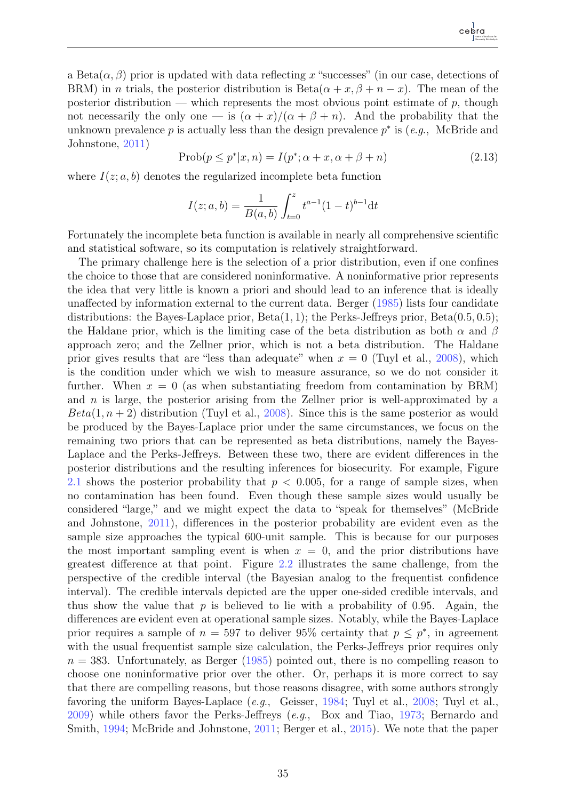a Beta $(\alpha, \beta)$  prior is updated with data reflecting x "successes" (in our case, detections of BRM) in *n* trials, the posterior distribution is  $Beta(\alpha + x, \beta + n - x)$ . The mean of the posterior distribution — which represents the most obvious point estimate of  $p$ , though not necessarily the only one — is  $(\alpha + x)/(\alpha + \beta + n)$ . And the probability that the unknown prevalence p is actually less than the design prevalence  $p^*$  is  $(e.g., \text{ McBride and } )$ Johnstone, [2011\)](#page-83-14)

$$
\text{Prob}(p \le p^* | x, n) = I(p^*; \alpha + x, \alpha + \beta + n) \tag{2.13}
$$

where  $I(z; a, b)$  denotes the regularized incomplete beta function

$$
I(z; a, b) = \frac{1}{B(a, b)} \int_{t=0}^{z} t^{a-1} (1-t)^{b-1} dt
$$

Fortunately the incomplete beta function is available in nearly all comprehensive scientific and statistical software, so its computation is relatively straightforward.

The primary challenge here is the selection of a prior distribution, even if one confines the choice to those that are considered noninformative. A noninformative prior represents the idea that very little is known a priori and should lead to an inference that is ideally unaffected by information external to the current data. Berger [\(1985\)](#page-79-12) lists four candidate distributions: the Bayes-Laplace prior,  $Beta(1, 1)$ ; the Perks-Jeffreys prior,  $Beta(0.5, 0.5)$ ; the Haldane prior, which is the limiting case of the beta distribution as both  $\alpha$  and  $\beta$ approach zero; and the Zellner prior, which is not a beta distribution. The Haldane prior gives results that are "less than adequate" when  $x = 0$  (Tuyl et al., [2008\)](#page-85-8), which is the condition under which we wish to measure assurance, so we do not consider it further. When  $x = 0$  (as when substantiating freedom from contamination by BRM) and  $n$  is large, the posterior arising from the Zellner prior is well-approximated by a  $Beta(1, n + 2)$  distribution (Tuyl et al., [2008\)](#page-85-8). Since this is the same posterior as would be produced by the Bayes-Laplace prior under the same circumstances, we focus on the remaining two priors that can be represented as beta distributions, namely the Bayes-Laplace and the Perks-Jeffreys. Between these two, there are evident differences in the posterior distributions and the resulting inferences for biosecurity. For example, Figure [2.1](#page-35-0) shows the posterior probability that  $p < 0.005$ , for a range of sample sizes, when no contamination has been found. Even though these sample sizes would usually be considered "large," and we might expect the data to "speak for themselves" (McBride and Johnstone, [2011\)](#page-83-14), differences in the posterior probability are evident even as the sample size approaches the typical 600-unit sample. This is because for our purposes the most important sampling event is when  $x = 0$ , and the prior distributions have greatest difference at that point. Figure [2.2](#page-36-1) illustrates the same challenge, from the perspective of the credible interval (the Bayesian analog to the frequentist confidence interval). The credible intervals depicted are the upper one-sided credible intervals, and thus show the value that  $p$  is believed to lie with a probability of 0.95. Again, the differences are evident even at operational sample sizes. Notably, while the Bayes-Laplace prior requires a sample of  $n = 597$  to deliver 95% certainty that  $p \leq p^*$ , in agreement with the usual frequentist sample size calculation, the Perks-Jeffreys prior requires only  $n = 383$ . Unfortunately, as Berger  $(1985)$  pointed out, there is no compelling reason to choose one noninformative prior over the other. Or, perhaps it is more correct to say that there are compelling reasons, but those reasons disagree, with some authors strongly favoring the uniform Bayes-Laplace (e.g., Geisser, [1984;](#page-81-13) Tuyl et al., [2008;](#page-85-8) Tuyl et al., [2009\)](#page-85-9) while others favor the Perks-Jeffreys (e.g., Box and Tiao, [1973;](#page-79-13) Bernardo and Smith, [1994;](#page-79-14) McBride and Johnstone, [2011;](#page-83-14) Berger et al., [2015\)](#page-79-15). We note that the paper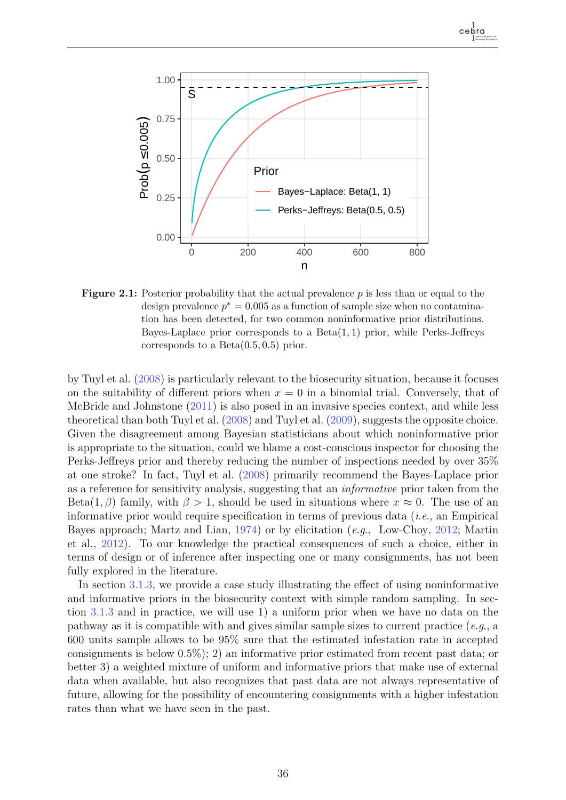<span id="page-35-0"></span>

**Figure 2.1:** Posterior probability that the actual prevalence  $p$  is less than or equal to the design prevalence  $p^* = 0.005$  as a function of sample size when no contamination has been detected, for two common noninformative prior distributions. Bayes-Laplace prior corresponds to a  $Beta(1, 1)$  prior, while Perks-Jeffreys corresponds to a  $Beta(0.5, 0.5)$  prior.

by Tuyl et al. [\(2008\)](#page-85-8) is particularly relevant to the biosecurity situation, because it focuses on the suitability of different priors when  $x = 0$  in a binomial trial. Conversely, that of McBride and Johnstone  $(2011)$  is also posed in an invasive species context, and while less theoretical than both Tuyl et al. [\(2008\)](#page-85-8) and Tuyl et al. [\(2009\)](#page-85-9), suggests the opposite choice. Given the disagreement among Bayesian statisticians about which noninformative prior is appropriate to the situation, could we blame a cost-conscious inspector for choosing the Perks-Jeffreys prior and thereby reducing the number of inspections needed by over 35% at one stroke? In fact, Tuyl et al. [\(2008\)](#page-85-8) primarily recommend the Bayes-Laplace prior as a reference for sensitivity analysis, suggesting that an informative prior taken from the Beta(1,  $\beta$ ) family, with  $\beta > 1$ , should be used in situations where  $x \approx 0$ . The use of an informative prior would require specification in terms of previous data  $(i.e.,$  an Empirical Bayes approach; Martz and Lian, [1974\)](#page-83-15) or by elicitation (e.g., Low-Choy, [2012;](#page-83-16) Martin et al., [2012\)](#page-83-17). To our knowledge the practical consequences of such a choice, either in terms of design or of inference after inspecting one or many consignments, has not been fully explored in the literature.

In section [3.1.3,](#page-44-1) we provide a case study illustrating the effect of using noninformative and informative priors in the biosecurity context with simple random sampling. In section [3.1.3](#page-44-1) and in practice, we will use 1) a uniform prior when we have no data on the pathway as it is compatible with and gives similar sample sizes to current practice (e.g., a 600 units sample allows to be 95% sure that the estimated infestation rate in accepted consignments is below  $0.5\%$ ; 2) an informative prior estimated from recent past data; or better 3) a weighted mixture of uniform and informative priors that make use of external data when available, but also recognizes that past data are not always representative of future, allowing for the possibility of encountering consignments with a higher infestation rates than what we have seen in the past.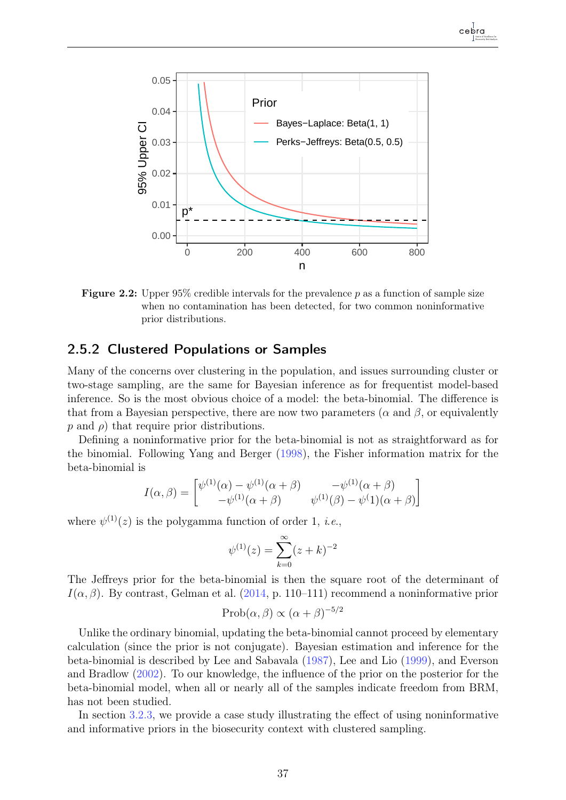

**Figure 2.2:** Upper 95% credible intervals for the prevalence p as a function of sample size when no contamination has been detected, for two common noninformative prior distributions.

### 2.5.2 Clustered Populations or Samples

Many of the concerns over clustering in the population, and issues surrounding cluster or two-stage sampling, are the same for Bayesian inference as for frequentist model-based inference. So is the most obvious choice of a model: the beta-binomial. The difference is that from a Bayesian perspective, there are now two parameters ( $\alpha$  and  $\beta$ , or equivalently p and  $\rho$ ) that require prior distributions.

Defining a noninformative prior for the beta-binomial is not as straightforward as for the binomial. Following Yang and Berger [\(1998\)](#page-86-0), the Fisher information matrix for the beta-binomial is

$$
I(\alpha, \beta) = \begin{bmatrix} \psi^{(1)}(\alpha) - \psi^{(1)}(\alpha + \beta) & -\psi^{(1)}(\alpha + \beta) \\ -\psi^{(1)}(\alpha + \beta) & \psi^{(1)}(\beta) - \psi^{(1)}(\alpha + \beta) \end{bmatrix}
$$

where  $\psi^{(1)}(z)$  is the polygamma function of order 1, *i.e.*,

$$
\psi^{(1)}(z) = \sum_{k=0}^{\infty} (z+k)^{-2}
$$

The Jeffreys prior for the beta-binomial is then the square root of the determinant of  $I(\alpha, \beta)$ . By contrast, Gelman et al. [\(2014,](#page-81-0) p. 110–111) recommend a noninformative prior

$$
\mathrm{Prob}(\alpha, \beta) \propto (\alpha + \beta)^{-5/2}
$$

Unlike the ordinary binomial, updating the beta-binomial cannot proceed by elementary calculation (since the prior is not conjugate). Bayesian estimation and inference for the beta-binomial is described by Lee and Sabavala [\(1987\)](#page-82-0), Lee and Lio [\(1999\)](#page-82-1), and Everson and Bradlow [\(2002\)](#page-81-1). To our knowledge, the influence of the prior on the posterior for the beta-binomial model, when all or nearly all of the samples indicate freedom from BRM, has not been studied.

In section [3.2.3,](#page-59-0) we provide a case study illustrating the effect of using noninformative and informative priors in the biosecurity context with clustered sampling.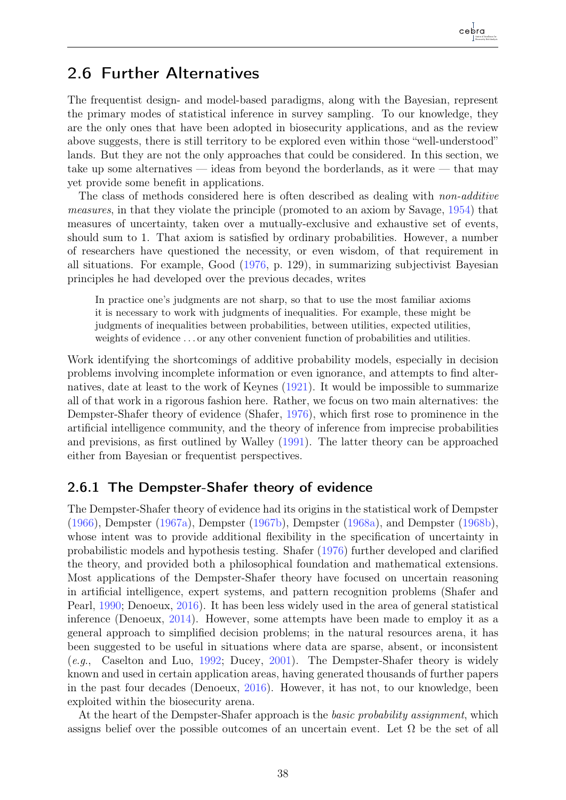# 2.6 Further Alternatives

The frequentist design- and model-based paradigms, along with the Bayesian, represent the primary modes of statistical inference in survey sampling. To our knowledge, they are the only ones that have been adopted in biosecurity applications, and as the review above suggests, there is still territory to be explored even within those "well-understood" lands. But they are not the only approaches that could be considered. In this section, we take up some alternatives — ideas from beyond the borderlands, as it were — that may yet provide some benefit in applications.

The class of methods considered here is often described as dealing with *non-additive* measures, in that they violate the principle (promoted to an axiom by Savage, [1954\)](#page-84-0) that measures of uncertainty, taken over a mutually-exclusive and exhaustive set of events, should sum to 1. That axiom is satisfied by ordinary probabilities. However, a number of researchers have questioned the necessity, or even wisdom, of that requirement in all situations. For example, Good [\(1976,](#page-81-2) p. 129), in summarizing subjectivist Bayesian principles he had developed over the previous decades, writes

In practice one's judgments are not sharp, so that to use the most familiar axioms it is necessary to work with judgments of inequalities. For example, these might be judgments of inequalities between probabilities, between utilities, expected utilities, weights of evidence . . . or any other convenient function of probabilities and utilities.

Work identifying the shortcomings of additive probability models, especially in decision problems involving incomplete information or even ignorance, and attempts to find alternatives, date at least to the work of Keynes [\(1921\)](#page-82-2). It would be impossible to summarize all of that work in a rigorous fashion here. Rather, we focus on two main alternatives: the Dempster-Shafer theory of evidence (Shafer, [1976\)](#page-84-1), which first rose to prominence in the artificial intelligence community, and the theory of inference from imprecise probabilities and previsions, as first outlined by Walley [\(1991\)](#page-85-0). The latter theory can be approached either from Bayesian or frequentist perspectives.

## <span id="page-37-0"></span>2.6.1 The Dempster-Shafer theory of evidence

The Dempster-Shafer theory of evidence had its origins in the statistical work of Dempster [\(1966\)](#page-80-0), Dempster [\(1967a\)](#page-80-1), Dempster [\(1967b\)](#page-80-2), Dempster [\(1968a\)](#page-80-3), and Dempster [\(1968b\)](#page-80-4), whose intent was to provide additional flexibility in the specification of uncertainty in probabilistic models and hypothesis testing. Shafer [\(1976\)](#page-84-1) further developed and clarified the theory, and provided both a philosophical foundation and mathematical extensions. Most applications of the Dempster-Shafer theory have focused on uncertain reasoning in artificial intelligence, expert systems, and pattern recognition problems (Shafer and Pearl, [1990;](#page-84-2) Denoeux, [2016\)](#page-80-5). It has been less widely used in the area of general statistical inference (Denoeux, [2014\)](#page-80-6). However, some attempts have been made to employ it as a general approach to simplified decision problems; in the natural resources arena, it has been suggested to be useful in situations where data are sparse, absent, or inconsistent (e.g., Caselton and Luo, [1992;](#page-79-0) Ducey, [2001\)](#page-80-7). The Dempster-Shafer theory is widely known and used in certain application areas, having generated thousands of further papers in the past four decades (Denoeux, [2016\)](#page-80-5). However, it has not, to our knowledge, been exploited within the biosecurity arena.

At the heart of the Dempster-Shafer approach is the *basic probability assignment*, which assigns belief over the possible outcomes of an uncertain event. Let  $\Omega$  be the set of all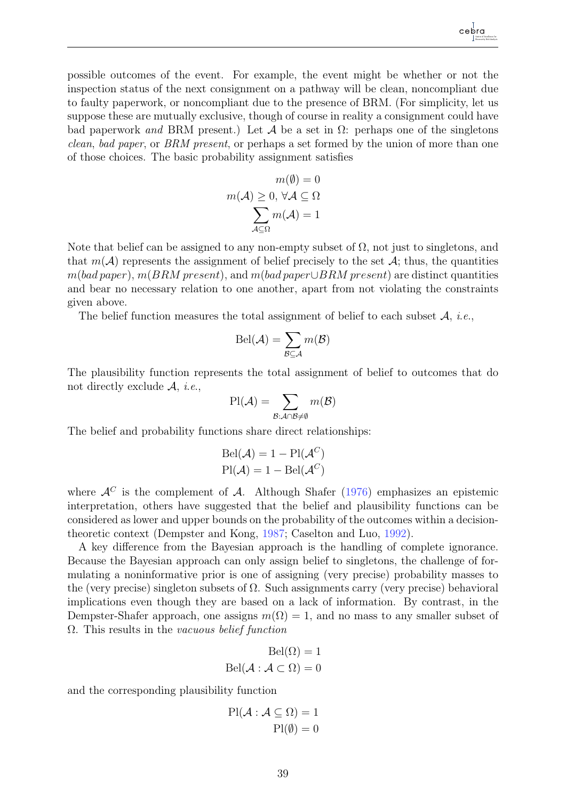possible outcomes of the event. For example, the event might be whether or not the inspection status of the next consignment on a pathway will be clean, noncompliant due to faulty paperwork, or noncompliant due to the presence of BRM. (For simplicity, let us suppose these are mutually exclusive, though of course in reality a consignment could have bad paperwork and BRM present.) Let  $\mathcal A$  be a set in  $\Omega$ : perhaps one of the singletons clean, bad paper, or BRM present, or perhaps a set formed by the union of more than one of those choices. The basic probability assignment satisfies

$$
m(\emptyset) = 0
$$

$$
m(\mathcal{A}) \ge 0, \forall \mathcal{A} \subseteq \Omega
$$

$$
\sum_{\mathcal{A} \subseteq \Omega} m(\mathcal{A}) = 1
$$

Note that belief can be assigned to any non-empty subset of  $\Omega$ , not just to singletons, and that  $m(\mathcal{A})$  represents the assignment of belief precisely to the set  $\mathcal{A}$ ; thus, the quantities  $m(bad paper)$ ,  $m(BRM present)$ , and  $m(bad paper \cup BRM present)$  are distinct quantities and bear no necessary relation to one another, apart from not violating the constraints given above.

The belief function measures the total assignment of belief to each subset  $A$ , *i.e.*,

$$
\mathrm{Bel}(\mathcal{A}) = \sum_{\mathcal{B} \subseteq \mathcal{A}} m(\mathcal{B})
$$

The plausibility function represents the total assignment of belief to outcomes that do not directly exclude  $A$ , *i.e.*,

$$
\mathrm{Pl}(\mathcal{A}) = \sum_{\mathcal{B}: \mathcal{A} \cap \mathcal{B} \neq \emptyset} m(\mathcal{B})
$$

The belief and probability functions share direct relationships:

$$
Bel(\mathcal{A}) = 1 - Pl(\mathcal{A}^C)
$$
  
 
$$
Pl(\mathcal{A}) = 1 - Bel(\mathcal{A}^C)
$$

where  $A^C$  is the complement of A. Although Shafer [\(1976\)](#page-84-1) emphasizes an epistemic interpretation, others have suggested that the belief and plausibility functions can be considered as lower and upper bounds on the probability of the outcomes within a decisiontheoretic context (Dempster and Kong, [1987;](#page-80-8) Caselton and Luo, [1992\)](#page-79-0).

A key difference from the Bayesian approach is the handling of complete ignorance. Because the Bayesian approach can only assign belief to singletons, the challenge of formulating a noninformative prior is one of assigning (very precise) probability masses to the (very precise) singleton subsets of  $\Omega$ . Such assignments carry (very precise) behavioral implications even though they are based on a lack of information. By contrast, in the Dempster-Shafer approach, one assigns  $m(\Omega) = 1$ , and no mass to any smaller subset of  $\Omega$ . This results in the *vacuous belief function* 

$$
Bel(\Omega) = 1
$$

$$
Bel(\mathcal{A} : \mathcal{A} \subset \Omega) = 0
$$

and the corresponding plausibility function

$$
Pl(\mathcal{A} : \mathcal{A} \subseteq \Omega) = 1
$$

$$
Pl(\emptyset) = 0
$$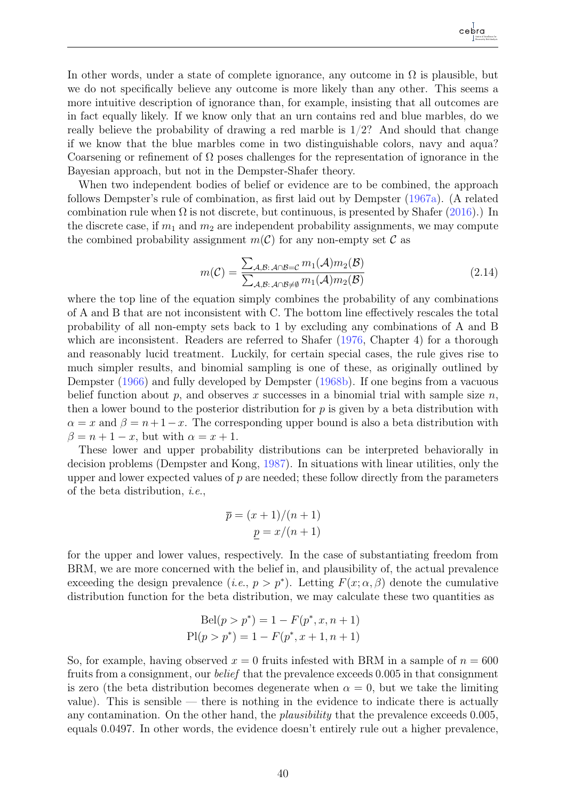In other words, under a state of complete ignorance, any outcome in  $\Omega$  is plausible, but we do not specifically believe any outcome is more likely than any other. This seems a more intuitive description of ignorance than, for example, insisting that all outcomes are in fact equally likely. If we know only that an urn contains red and blue marbles, do we really believe the probability of drawing a red marble is  $1/2$ ? And should that change if we know that the blue marbles come in two distinguishable colors, navy and aqua? Coarsening or refinement of  $\Omega$  poses challenges for the representation of ignorance in the Bayesian approach, but not in the Dempster-Shafer theory.

When two independent bodies of belief or evidence are to be combined, the approach follows Dempster's rule of combination, as first laid out by Dempster [\(1967a\)](#page-80-1). (A related combination rule when  $\Omega$  is not discrete, but continuous, is presented by Shafer [\(2016\)](#page-84-3).) In the discrete case, if  $m_1$  and  $m_2$  are independent probability assignments, we may compute the combined probability assignment  $m(\mathcal{C})$  for any non-empty set  $\mathcal C$  as

$$
m(C) = \frac{\sum_{\mathcal{A}, \mathcal{B}: \mathcal{A} \cap \mathcal{B} = \mathcal{C}} m_1(\mathcal{A}) m_2(\mathcal{B})}{\sum_{\mathcal{A}, \mathcal{B}: \mathcal{A} \cap \mathcal{B} \neq \emptyset} m_1(\mathcal{A}) m_2(\mathcal{B})}
$$
(2.14)

where the top line of the equation simply combines the probability of any combinations of A and B that are not inconsistent with C. The bottom line effectively rescales the total probability of all non-empty sets back to 1 by excluding any combinations of A and B which are inconsistent. Readers are referred to Shafer [\(1976,](#page-84-1) Chapter 4) for a thorough and reasonably lucid treatment. Luckily, for certain special cases, the rule gives rise to much simpler results, and binomial sampling is one of these, as originally outlined by Dempster [\(1966\)](#page-80-0) and fully developed by Dempster [\(1968b\)](#page-80-4). If one begins from a vacuous belief function about p, and observes x successes in a binomial trial with sample size  $n$ , then a lower bound to the posterior distribution for  $p$  is given by a beta distribution with  $\alpha = x$  and  $\beta = n+1-x$ . The corresponding upper bound is also a beta distribution with  $\beta = n + 1 - x$ , but with  $\alpha = x + 1$ .

These lower and upper probability distributions can be interpreted behaviorally in decision problems (Dempster and Kong, [1987\)](#page-80-8). In situations with linear utilities, only the upper and lower expected values of  $p$  are needed; these follow directly from the parameters of the beta distribution, i.e.,

$$
\overline{p} = (x+1)/(n+1)
$$

$$
p = x/(n+1)
$$

for the upper and lower values, respectively. In the case of substantiating freedom from BRM, we are more concerned with the belief in, and plausibility of, the actual prevalence exceeding the design prevalence (*i.e.*,  $p > p^*$ ). Letting  $F(x; \alpha, \beta)$  denote the cumulative distribution function for the beta distribution, we may calculate these two quantities as

$$
Bel(p > p^*) = 1 - F(p^*, x, n + 1)
$$
  
 
$$
Pl(p > p^*) = 1 - F(p^*, x + 1, n + 1)
$$

So, for example, having observed  $x = 0$  fruits infested with BRM in a sample of  $n = 600$ fruits from a consignment, our belief that the prevalence exceeds 0.005 in that consignment is zero (the beta distribution becomes degenerate when  $\alpha = 0$ , but we take the limiting value). This is sensible — there is nothing in the evidence to indicate there is actually any contamination. On the other hand, the plausibility that the prevalence exceeds 0.005, equals 0.0497. In other words, the evidence doesn't entirely rule out a higher prevalence,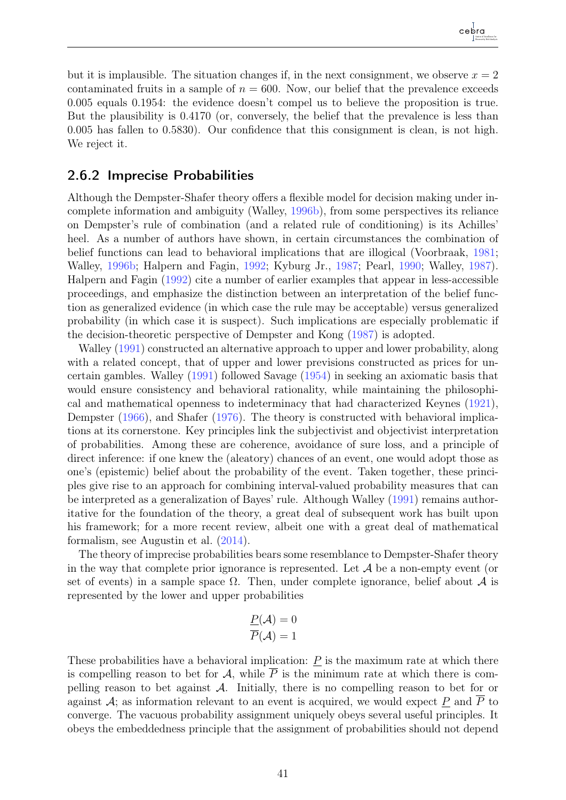but it is implausible. The situation changes if, in the next consignment, we observe  $x = 2$ contaminated fruits in a sample of  $n = 600$ . Now, our belief that the prevalence exceeds 0.005 equals 0.1954: the evidence doesn't compel us to believe the proposition is true. But the plausibility is 0.4170 (or, conversely, the belief that the prevalence is less than 0.005 has fallen to 0.5830). Our confidence that this consignment is clean, is not high. We reject it.

### <span id="page-40-0"></span>2.6.2 Imprecise Probabilities

Although the Dempster-Shafer theory offers a flexible model for decision making under incomplete information and ambiguity (Walley, [1996b\)](#page-85-1), from some perspectives its reliance on Dempster's rule of combination (and a related rule of conditioning) is its Achilles' heel. As a number of authors have shown, in certain circumstances the combination of belief functions can lead to behavioral implications that are illogical (Voorbraak, [1981;](#page-85-2) Walley, [1996b;](#page-85-1) Halpern and Fagin, [1992;](#page-81-3) Kyburg Jr., [1987;](#page-82-3) Pearl, [1990;](#page-84-4) Walley, [1987\)](#page-85-3). Halpern and Fagin [\(1992\)](#page-81-3) cite a number of earlier examples that appear in less-accessible proceedings, and emphasize the distinction between an interpretation of the belief function as generalized evidence (in which case the rule may be acceptable) versus generalized probability (in which case it is suspect). Such implications are especially problematic if the decision-theoretic perspective of Dempster and Kong [\(1987\)](#page-80-8) is adopted.

Walley [\(1991\)](#page-85-0) constructed an alternative approach to upper and lower probability, along with a related concept, that of upper and lower previsions constructed as prices for uncertain gambles. Walley [\(1991\)](#page-85-0) followed Savage [\(1954\)](#page-84-0) in seeking an axiomatic basis that would ensure consistency and behavioral rationality, while maintaining the philosophical and mathematical openness to indeterminacy that had characterized Keynes [\(1921\)](#page-82-2), Dempster [\(1966\)](#page-80-0), and Shafer [\(1976\)](#page-84-1). The theory is constructed with behavioral implications at its cornerstone. Key principles link the subjectivist and objectivist interpretation of probabilities. Among these are coherence, avoidance of sure loss, and a principle of direct inference: if one knew the (aleatory) chances of an event, one would adopt those as one's (epistemic) belief about the probability of the event. Taken together, these principles give rise to an approach for combining interval-valued probability measures that can be interpreted as a generalization of Bayes' rule. Although Walley [\(1991\)](#page-85-0) remains authoritative for the foundation of the theory, a great deal of subsequent work has built upon his framework; for a more recent review, albeit one with a great deal of mathematical formalism, see Augustin et al. [\(2014\)](#page-79-1).

The theory of imprecise probabilities bears some resemblance to Dempster-Shafer theory in the way that complete prior ignorance is represented. Let  $A$  be a non-empty event (or set of events) in a sample space  $\Omega$ . Then, under complete ignorance, belief about  $\mathcal A$  is represented by the lower and upper probabilities

$$
\frac{P(\mathcal{A}) = 0}{P(\mathcal{A}) = 1}
$$

These probabilities have a behavioral implication:  $P$  is the maximum rate at which there is compelling reason to bet for A, while  $\overline{P}$  is the minimum rate at which there is compelling reason to bet against  $\mathcal{A}$ . Initially, there is no compelling reason to bet for or against A; as information relevant to an event is acquired, we would expect  $\underline{P}$  and  $\overline{P}$  to converge. The vacuous probability assignment uniquely obeys several useful principles. It obeys the embeddedness principle that the assignment of probabilities should not depend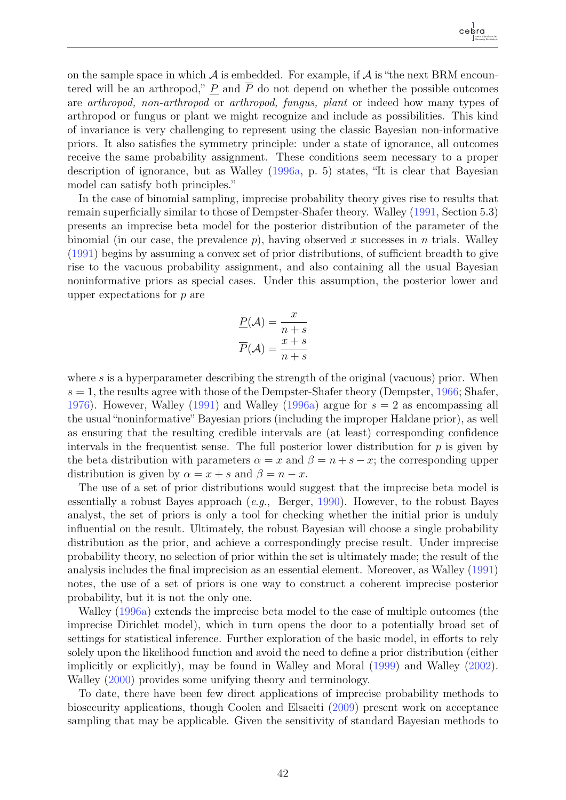on the sample space in which  $\mathcal A$  is embedded. For example, if  $\mathcal A$  is "the next BRM encountered will be an arthropod," P and  $\overline{P}$  do not depend on whether the possible outcomes are arthropod, non-arthropod or arthropod, fungus, plant or indeed how many types of arthropod or fungus or plant we might recognize and include as possibilities. This kind of invariance is very challenging to represent using the classic Bayesian non-informative priors. It also satisfies the symmetry principle: under a state of ignorance, all outcomes receive the same probability assignment. These conditions seem necessary to a proper description of ignorance, but as Walley [\(1996a,](#page-85-4) p. 5) states, "It is clear that Bayesian model can satisfy both principles."

In the case of binomial sampling, imprecise probability theory gives rise to results that remain superficially similar to those of Dempster-Shafer theory. Walley [\(1991,](#page-85-0) Section 5.3) presents an imprecise beta model for the posterior distribution of the parameter of the binomial (in our case, the prevalence  $p$ ), having observed x successes in n trials. Walley [\(1991\)](#page-85-0) begins by assuming a convex set of prior distributions, of sufficient breadth to give rise to the vacuous probability assignment, and also containing all the usual Bayesian noninformative priors as special cases. Under this assumption, the posterior lower and upper expectations for  $p$  are

$$
\underline{P}(\mathcal{A}) = \frac{x}{n+s}
$$

$$
\overline{P}(\mathcal{A}) = \frac{x+s}{n+s}
$$

where  $s$  is a hyperparameter describing the strength of the original (vacuous) prior. When  $s = 1$ , the results agree with those of the Dempster-Shafer theory (Dempster, [1966;](#page-80-0) Shafer, [1976\)](#page-84-1). However, Walley [\(1991\)](#page-85-0) and Walley [\(1996a\)](#page-85-4) argue for  $s = 2$  as encompassing all the usual "noninformative" Bayesian priors (including the improper Haldane prior), as well as ensuring that the resulting credible intervals are (at least) corresponding confidence intervals in the frequentist sense. The full posterior lower distribution for  $p$  is given by the beta distribution with parameters  $\alpha = x$  and  $\beta = n + s - x$ ; the corresponding upper distribution is given by  $\alpha = x + s$  and  $\beta = n - x$ .

The use of a set of prior distributions would suggest that the imprecise beta model is essentially a robust Bayes approach (e.g., Berger, [1990\)](#page-79-2). However, to the robust Bayes analyst, the set of priors is only a tool for checking whether the initial prior is unduly influential on the result. Ultimately, the robust Bayesian will choose a single probability distribution as the prior, and achieve a correspondingly precise result. Under imprecise probability theory, no selection of prior within the set is ultimately made; the result of the analysis includes the final imprecision as an essential element. Moreover, as Walley [\(1991\)](#page-85-0) notes, the use of a set of priors is one way to construct a coherent imprecise posterior probability, but it is not the only one.

Walley [\(1996a\)](#page-85-4) extends the imprecise beta model to the case of multiple outcomes (the imprecise Dirichlet model), which in turn opens the door to a potentially broad set of settings for statistical inference. Further exploration of the basic model, in efforts to rely solely upon the likelihood function and avoid the need to define a prior distribution (either implicitly or explicitly), may be found in Walley and Moral [\(1999\)](#page-85-5) and Walley [\(2002\)](#page-85-6). Walley [\(2000\)](#page-85-7) provides some unifying theory and terminology.

To date, there have been few direct applications of imprecise probability methods to biosecurity applications, though Coolen and Elsaeiti [\(2009\)](#page-80-9) present work on acceptance sampling that may be applicable. Given the sensitivity of standard Bayesian methods to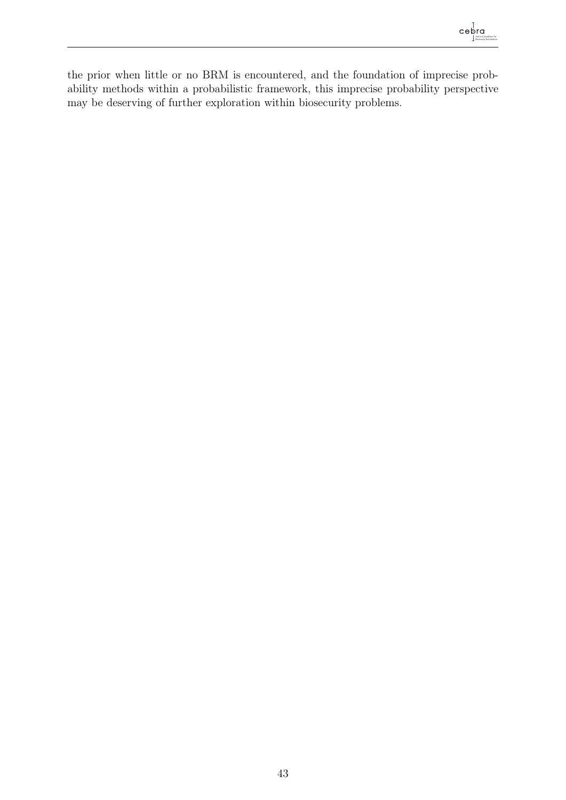the prior when little or no BRM is encountered, and the foundation of imprecise probability methods within a probabilistic framework, this imprecise probability perspective may be deserving of further exploration within biosecurity problems.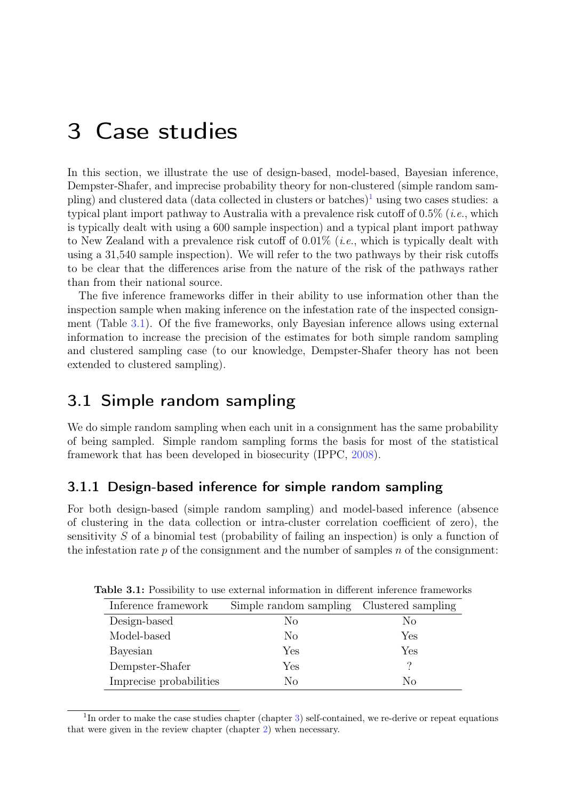# <span id="page-43-2"></span>3 Case studies

In this section, we illustrate the use of design-based, model-based, Bayesian inference, Dempster-Shafer, and imprecise probability theory for non-clustered (simple random sam-pling) and clustered data (data collected in clusters or batches)<sup>[1](#page-43-0)</sup> using two cases studies: a typical plant import pathway to Australia with a prevalence risk cutoff of  $0.5\%$  (*i.e.*, which is typically dealt with using a 600 sample inspection) and a typical plant import pathway to New Zealand with a prevalence risk cutoff of 0.01% (i.e., which is typically dealt with using a 31,540 sample inspection). We will refer to the two pathways by their risk cutoffs to be clear that the differences arise from the nature of the risk of the pathways rather than from their national source.

The five inference frameworks differ in their ability to use information other than the inspection sample when making inference on the infestation rate of the inspected consignment (Table [3.1\)](#page-43-1). Of the five frameworks, only Bayesian inference allows using external information to increase the precision of the estimates for both simple random sampling and clustered sampling case (to our knowledge, Dempster-Shafer theory has not been extended to clustered sampling).

# 3.1 Simple random sampling

We do simple random sampling when each unit in a consignment has the same probability of being sampled. Simple random sampling forms the basis for most of the statistical framework that has been developed in biosecurity (IPPC, [2008\)](#page-82-4).

#### 3.1.1 Design-based inference for simple random sampling

For both design-based (simple random sampling) and model-based inference (absence of clustering in the data collection or intra-cluster correlation coefficient of zero), the sensitivity S of a binomial test (probability of failing an inspection) is only a function of the infestation rate  $p$  of the consignment and the number of samples  $n$  of the consignment:

| Inference framework     | Simple random sampling Clustered sampling |     |
|-------------------------|-------------------------------------------|-----|
| Design-based            | Nο                                        | No  |
| Model-based             | No                                        | Yes |
| Bayesian                | Yes                                       | Yes |
| Dempster-Shafer         | Yes                                       |     |
| Imprecise probabilities | Nο                                        | Nο  |

<span id="page-43-1"></span>Table 3.1: Possibility to use external information in different inference frameworks

<span id="page-43-0"></span><sup>&</sup>lt;sup>1</sup>In order to make the case studies chapter (chapter [3\)](#page-43-2) self-contained, we re-derive or repeat equations that were given in the review chapter (chapter [2\)](#page-13-0) when necessary.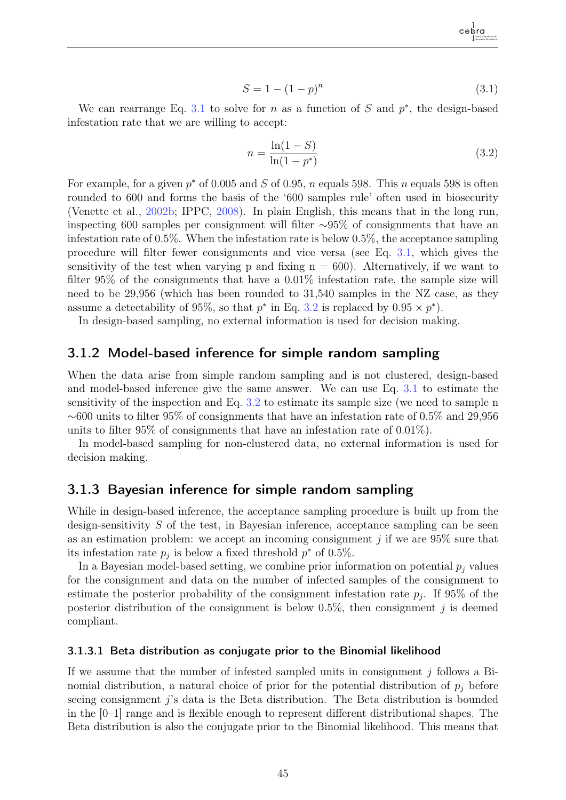$$
S = 1 - (1 - p)^n \tag{3.1}
$$

<span id="page-44-0"></span>We can rearrange Eq. [3.1](#page-44-0) to solve for n as a function of S and  $p^*$ , the design-based infestation rate that we are willing to accept:

<span id="page-44-1"></span>
$$
n = \frac{\ln(1 - S)}{\ln(1 - p^*)}
$$
\n(3.2)

For example, for a given  $p^*$  of 0.005 and S of 0.95, n equals 598. This n equals 598 is often rounded to 600 and forms the basis of the '600 samples rule' often used in biosecurity (Venette et al., [2002b;](#page-85-8) IPPC, [2008\)](#page-82-4). In plain English, this means that in the long run, inspecting 600 samples per consignment will filter ∼95% of consignments that have an infestation rate of 0.5%. When the infestation rate is below 0.5%, the acceptance sampling procedure will filter fewer consignments and vice versa (see Eq. [3.1,](#page-44-0) which gives the sensitivity of the test when varying p and fixing  $n = 600$ . Alternatively, if we want to filter 95% of the consignments that have a 0.01% infestation rate, the sample size will need to be 29,956 (which has been rounded to 31,540 samples in the NZ case, as they assume a detectability of 95%, so that  $p^*$  in Eq. [3.2](#page-44-1) is replaced by  $0.95 \times p^*$ ).

In design-based sampling, no external information is used for decision making.

#### 3.1.2 Model-based inference for simple random sampling

When the data arise from simple random sampling and is not clustered, design-based and model-based inference give the same answer. We can use Eq. [3.1](#page-44-0) to estimate the sensitivity of the inspection and Eq. [3.2](#page-44-1) to estimate its sample size (we need to sample n  $~\sim$ 600 units to filter 95% of consignments that have an infestation rate of 0.5% and 29,956 units to filter 95% of consignments that have an infestation rate of  $0.01\%$ ).

In model-based sampling for non-clustered data, no external information is used for decision making.

#### <span id="page-44-2"></span>3.1.3 Bayesian inference for simple random sampling

While in design-based inference, the acceptance sampling procedure is built up from the design-sensitivity  $S$  of the test, in Bayesian inference, acceptance sampling can be seen as an estimation problem: we accept an incoming consignment  $j$  if we are 95% sure that its infestation rate  $p_j$  is below a fixed threshold  $p^*$  of 0.5%.

In a Bayesian model-based setting, we combine prior information on potential  $p_i$  values for the consignment and data on the number of infected samples of the consignment to estimate the posterior probability of the consignment infestation rate  $p_j$ . If 95% of the posterior distribution of the consignment is below  $0.5\%$ , then consignment j is deemed compliant.

#### 3.1.3.1 Beta distribution as conjugate prior to the Binomial likelihood

If we assume that the number of infested sampled units in consignment  $j$  follows a Binomial distribution, a natural choice of prior for the potential distribution of  $p_i$  before seeing consignment j's data is the Beta distribution. The Beta distribution is bounded in the [0–1] range and is flexible enough to represent different distributional shapes. The Beta distribution is also the conjugate prior to the Binomial likelihood. This means that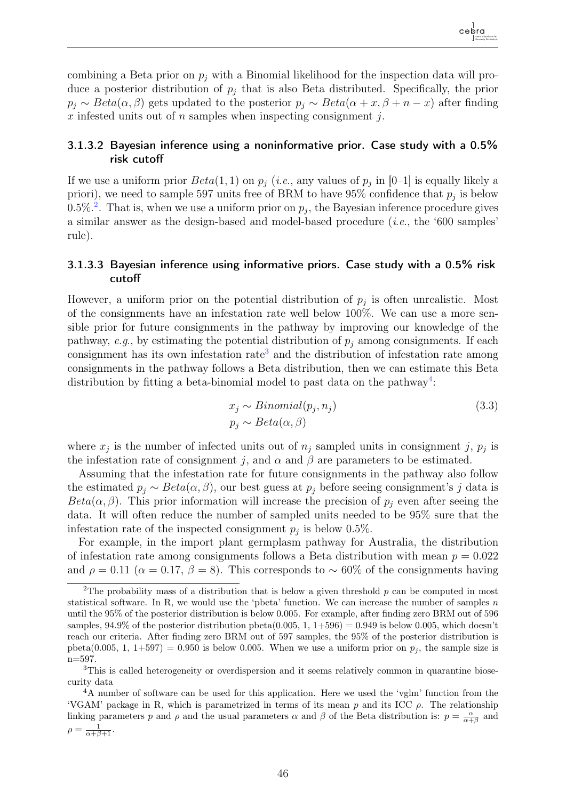combining a Beta prior on  $p_i$  with a Binomial likelihood for the inspection data will produce a posterior distribution of  $p_i$  that is also Beta distributed. Specifically, the prior  $p_j \sim Beta(\alpha, \beta)$  gets updated to the posterior  $p_j \sim Beta(\alpha + x, \beta + n - x)$  after finding x infested units out of n samples when inspecting consignment  $j$ .

#### 3.1.3.2 Bayesian inference using a noninformative prior. Case study with a 0.5% risk cutoff

If we use a uniform prior  $Beta(1, 1)$  on  $p_j$  (*i.e.*, any values of  $p_j$  in [0-1] is equally likely a priori), we need to sample 597 units free of BRM to have 95% confidence that  $p_j$  is below 0.5%.<sup>[2](#page-45-0)</sup>. That is, when we use a uniform prior on  $p_j$ , the Bayesian inference procedure gives a similar answer as the design-based and model-based procedure (i.e., the '600 samples' rule).

#### 3.1.3.3 Bayesian inference using informative priors. Case study with a 0.5% risk cutoff

However, a uniform prior on the potential distribution of  $p_j$  is often unrealistic. Most of the consignments have an infestation rate well below 100%. We can use a more sensible prior for future consignments in the pathway by improving our knowledge of the pathway, e.g., by estimating the potential distribution of  $p_i$  among consignments. If each consignment has its own infestation rate<sup>[3](#page-45-1)</sup> and the distribution of infestation rate among consignments in the pathway follows a Beta distribution, then we can estimate this Beta distribution by fitting a beta-binomial model to past data on the pathway<sup>[4](#page-45-2)</sup>:

$$
x_j \sim Binomial(p_j, n_j)
$$
  
\n
$$
p_j \sim Beta(\alpha, \beta)
$$
\n(3.3)

where  $x_j$  is the number of infected units out of  $n_j$  sampled units in consignment j,  $p_j$  is the infestation rate of consignment j, and  $\alpha$  and  $\beta$  are parameters to be estimated.

Assuming that the infestation rate for future consignments in the pathway also follow the estimated  $p_j \sim Beta(\alpha, \beta)$ , our best guess at  $p_j$  before seeing consignment's j data is  $Beta(\alpha, \beta)$ . This prior information will increase the precision of  $p_i$  even after seeing the data. It will often reduce the number of sampled units needed to be 95% sure that the infestation rate of the inspected consignment  $p_j$  is below 0.5%.

For example, in the import plant germplasm pathway for Australia, the distribution of infestation rate among consignments follows a Beta distribution with mean  $p = 0.022$ and  $\rho = 0.11$  ( $\alpha = 0.17$ ,  $\beta = 8$ ). This corresponds to ~ 60% of the consignments having

<span id="page-45-0"></span><sup>&</sup>lt;sup>2</sup>The probability mass of a distribution that is below a given threshold  $p$  can be computed in most statistical software. In R, we would use the 'pbeta' function. We can increase the number of samples  $n$ until the 95% of the posterior distribution is below 0.005. For example, after finding zero BRM out of 596 samples,  $94.9\%$  of the posterior distribution pbeta $(0.005, 1, 1+596) = 0.949$  is below 0.005, which doesn't reach our criteria. After finding zero BRM out of 597 samples, the 95% of the posterior distribution is pbeta(0.005, 1, 1+597) = 0.950 is below 0.005. When we use a uniform prior on  $p_i$ , the sample size is n=597.

<span id="page-45-1"></span><sup>&</sup>lt;sup>3</sup>This is called heterogeneity or overdispersion and it seems relatively common in quarantine biosecurity data

<span id="page-45-2"></span><sup>4</sup>A number of software can be used for this application. Here we used the 'vglm' function from the 'VGAM' package in R, which is parametrized in terms of its mean  $p$  and its ICC  $\rho$ . The relationship linking parameters p and  $\rho$  and the usual parameters  $\alpha$  and  $\beta$  of the Beta distribution is:  $p = \frac{\alpha}{\alpha + \beta}$  and  $ho = \frac{1}{\alpha + \beta + 1}.$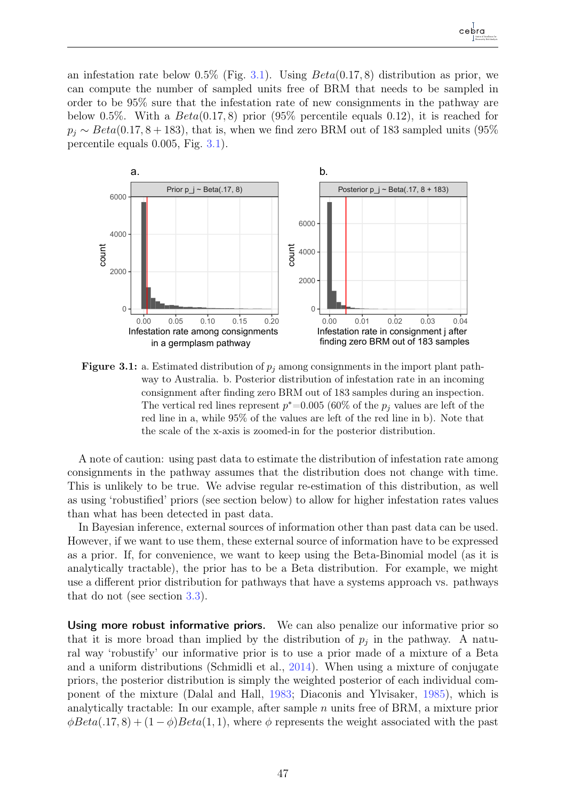an infestation rate below 0.5% (Fig. [3.1\)](#page-46-0). Using  $Beta(0.17, 8)$  distribution as prior, we can compute the number of sampled units free of BRM that needs to be sampled in order to be 95% sure that the infestation rate of new consignments in the pathway are below 0.5%. With a  $Beta(0.17, 8)$  prior (95% percentile equals 0.12), it is reached for  $p_i \sim Beta(0.17, 8 + 183)$ , that is, when we find zero BRM out of 183 sampled units (95%) percentile equals 0.005, Fig. [3.1\)](#page-46-0).

<span id="page-46-0"></span>

**Figure 3.1:** a. Estimated distribution of  $p_j$  among consignments in the import plant pathway to Australia. b. Posterior distribution of infestation rate in an incoming consignment after finding zero BRM out of 183 samples during an inspection. The vertical red lines represent  $p^*$ =0.005 (60% of the  $p_j$  values are left of the red line in a, while 95% of the values are left of the red line in b). Note that the scale of the x-axis is zoomed-in for the posterior distribution.

A note of caution: using past data to estimate the distribution of infestation rate among consignments in the pathway assumes that the distribution does not change with time. This is unlikely to be true. We advise regular re-estimation of this distribution, as well as using 'robustified' priors (see section below) to allow for higher infestation rates values than what has been detected in past data.

In Bayesian inference, external sources of information other than past data can be used. However, if we want to use them, these external source of information have to be expressed as a prior. If, for convenience, we want to keep using the Beta-Binomial model (as it is analytically tractable), the prior has to be a Beta distribution. For example, we might use a different prior distribution for pathways that have a systems approach vs. pathways that do not (see section [3.3\)](#page-62-0).

Using more robust informative priors. We can also penalize our informative prior so that it is more broad than implied by the distribution of  $p_j$  in the pathway. A natural way 'robustify' our informative prior is to use a prior made of a mixture of a Beta and a uniform distributions (Schmidli et al.,  $2014$ ). When using a mixture of conjugate priors, the posterior distribution is simply the weighted posterior of each individual component of the mixture (Dalal and Hall, [1983;](#page-80-10) Diaconis and Ylvisaker, [1985\)](#page-80-11), which is analytically tractable: In our example, after sample  $n$  units free of BRM, a mixture prior  $\phi Beta(17, 8) + (1 - \phi) Beta(1, 1)$ , where  $\phi$  represents the weight associated with the past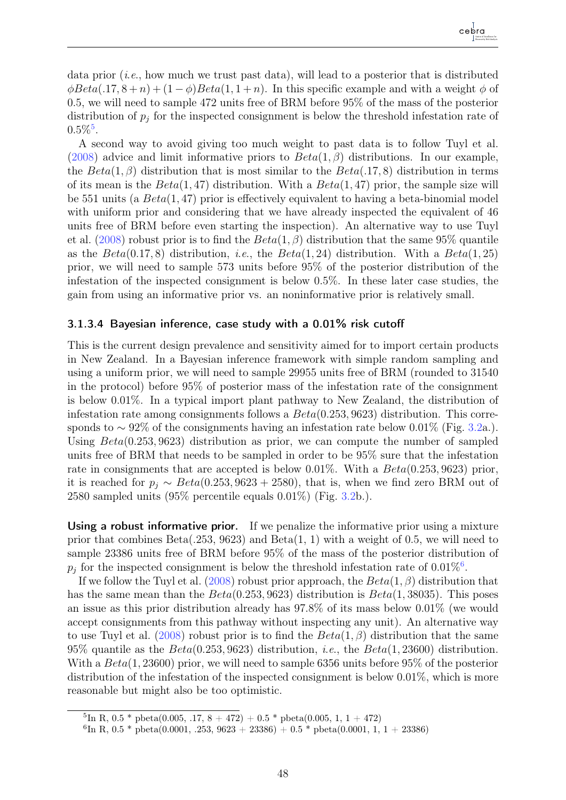data prior  $(i.e.,$  how much we trust past data), will lead to a posterior that is distributed  $\phi Beta(.17, 8+n) + (1-\phi) Beta(1, 1+n)$ . In this specific example and with a weight  $\phi$  of 0.5, we will need to sample 472 units free of BRM before 95% of the mass of the posterior distribution of  $p_j$  for the inspected consignment is below the threshold infestation rate of  $0.5\%$  $0.5\%$  $0.5\%$ <sup>5</sup>.

A second way to avoid giving too much weight to past data is to follow Tuyl et al. [\(2008\)](#page-85-9) advice and limit informative priors to  $Beta(1,\beta)$  distributions. In our example, the  $Beta(1,\beta)$  distribution that is most similar to the  $Beta(17,8)$  distribution in terms of its mean is the  $Beta(1, 47)$  distribution. With a  $Beta(1, 47)$  prior, the sample size will be 551 units (a  $Beta(1, 47)$  prior is effectively equivalent to having a beta-binomial model with uniform prior and considering that we have already inspected the equivalent of 46 units free of BRM before even starting the inspection). An alternative way to use Tuyl et al. [\(2008\)](#page-85-9) robust prior is to find the  $Beta(1,\beta)$  distribution that the same 95% quantile as the  $Beta(0.17, 8)$  distribution, *i.e.*, the  $Beta(1, 24)$  distribution. With a  $Beta(1, 25)$ prior, we will need to sample 573 units before 95% of the posterior distribution of the infestation of the inspected consignment is below 0.5%. In these later case studies, the gain from using an informative prior vs. an noninformative prior is relatively small.

#### 3.1.3.4 Bayesian inference, case study with a 0.01% risk cutoff

This is the current design prevalence and sensitivity aimed for to import certain products in New Zealand. In a Bayesian inference framework with simple random sampling and using a uniform prior, we will need to sample 29955 units free of BRM (rounded to 31540 in the protocol) before 95% of posterior mass of the infestation rate of the consignment is below 0.01%. In a typical import plant pathway to New Zealand, the distribution of infestation rate among consignments follows a  $Beta(0.253, 9623)$  distribution. This corresponds to  $\sim 92\%$  of the consignments having an infestation rate below 0.01% (Fig. [3.2a](#page-48-0).). Using  $Beta(0.253, 9623)$  distribution as prior, we can compute the number of sampled units free of BRM that needs to be sampled in order to be 95% sure that the infestation rate in consignments that are accepted is below 0.01%. With a  $Beta(0.253, 9623)$  prior, it is reached for  $p_i \sim Beta(0.253, 9623 + 2580)$ , that is, when we find zero BRM out of 2580 sampled units (95% percentile equals 0.01%) (Fig. [3.2b](#page-48-0).).

Using a robust informative prior. If we penalize the informative prior using a mixture prior that combines Beta(.253, 9623) and Beta $(1, 1)$  with a weight of 0.5, we will need to sample 23386 units free of BRM before 95% of the mass of the posterior distribution of  $p_j$  for the inspected consignment is below the threshold infestation rate of  $0.01\%$ <sup>[6](#page-47-1)</sup>.

If we follow the Tuyl et al. [\(2008\)](#page-85-9) robust prior approach, the  $Beta(1,\beta)$  distribution that has the same mean than the  $Beta(0.253, 9623)$  distribution is  $Beta(1, 38035)$ . This poses an issue as this prior distribution already has 97.8% of its mass below 0.01% (we would accept consignments from this pathway without inspecting any unit). An alternative way to use Tuyl et al. [\(2008\)](#page-85-9) robust prior is to find the  $Beta(1,\beta)$  distribution that the same 95% quantile as the  $Beta(0.253, 9623)$  distribution, *i.e.*, the  $Beta(1, 23600)$  distribution. With a  $Beta(1, 23600)$  prior, we will need to sample 6356 units before 95% of the posterior distribution of the infestation of the inspected consignment is below 0.01%, which is more reasonable but might also be too optimistic.

<span id="page-47-0"></span> ${}^{5}\text{In R, 0.5 * pbeta}(0.005, .17, 8 + 472) + 0.5 * pbeta(0.005, 1, 1 + 472)$ 

<span id="page-47-1"></span> ${}^{6}\text{In R, 0.5 * pbeta}(0.0001, .253, .9623 + .23386) + 0.5 * pbeta(0.0001, 1, 1 + .23386)$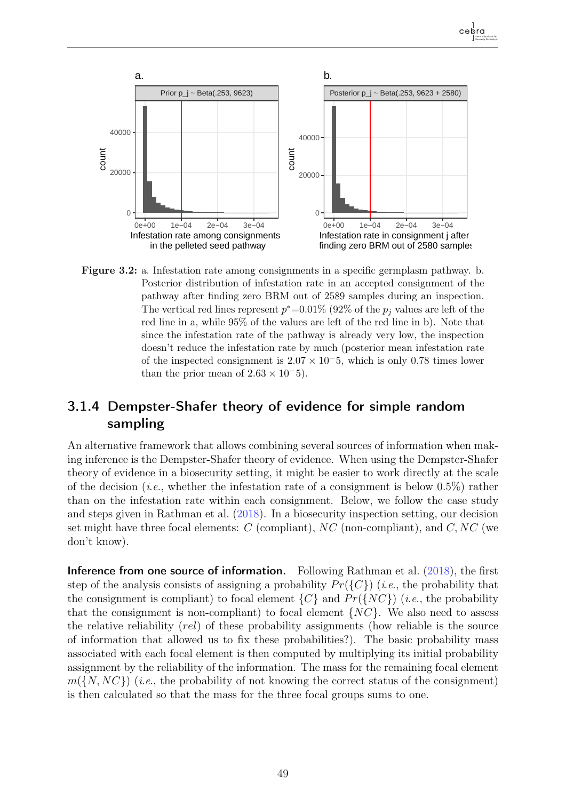<span id="page-48-0"></span>

Figure 3.2: a. Infestation rate among consignments in a specific germplasm pathway. b. Posterior distribution of infestation rate in an accepted consignment of the pathway after finding zero BRM out of 2589 samples during an inspection. The vertical red lines represent  $p^*$ =0.01% (92% of the  $p_j$  values are left of the red line in a, while 95% of the values are left of the red line in b). Note that since the infestation rate of the pathway is already very low, the inspection doesn't reduce the infestation rate by much (posterior mean infestation rate of the inspected consignment is  $2.07 \times 10^{-5}$ , which is only 0.78 times lower than the prior mean of  $2.63 \times 10^{-5}$ .

# <span id="page-48-1"></span>3.1.4 Dempster-Shafer theory of evidence for simple random sampling

An alternative framework that allows combining several sources of information when making inference is the Dempster-Shafer theory of evidence. When using the Dempster-Shafer theory of evidence in a biosecurity setting, it might be easier to work directly at the scale of the decision (*i.e.*, whether the infestation rate of a consignment is below  $0.5\%$ ) rather than on the infestation rate within each consignment. Below, we follow the case study and steps given in Rathman et al. [\(2018\)](#page-84-6). In a biosecurity inspection setting, our decision set might have three focal elements:  $C$  (compliant),  $NC$  (non-compliant), and  $C, NC$  (we don't know).

Inference from one source of information. Following Rathman et al. [\(2018\)](#page-84-6), the first step of the analysis consists of assigning a probability  $Pr({C})$  (*i.e.*, the probability that the consignment is compliant) to focal element  $\{C\}$  and  $Pr(\{NC\})$  (*i.e.*, the probability that the consignment is non-compliant) to focal element  $\{NC\}$ . We also need to assess the relative reliability (rel) of these probability assignments (how reliable is the source of information that allowed us to fix these probabilities?). The basic probability mass associated with each focal element is then computed by multiplying its initial probability assignment by the reliability of the information. The mass for the remaining focal element  $m({N, NC})$  (*i.e.*, the probability of not knowing the correct status of the consignment) is then calculated so that the mass for the three focal groups sums to one.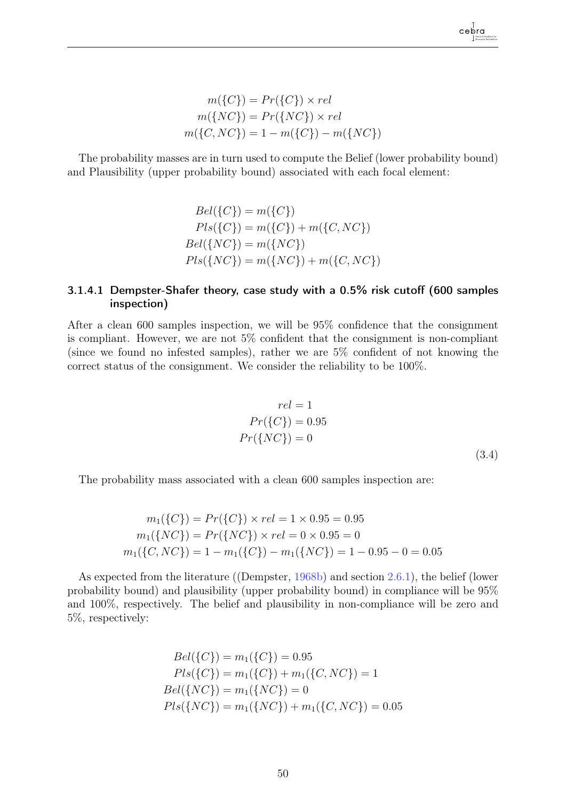$$
m({C}) = Pr({C}) \times rel
$$

$$
m({NC}) = Pr({NC}) \times rel
$$

$$
m({C, NC}) = 1 - m({C}) - m({NC})
$$

The probability masses are in turn used to compute the Belief (lower probability bound) and Plausibility (upper probability bound) associated with each focal element:

$$
Bel({C}) = m({C})
$$
  
\n
$$
Pls({C}) = m({C}) + m({C, NC})
$$
  
\n
$$
Bel({NC}) = m({NC})
$$
  
\n
$$
Pls({NC}) = m({NC}) + m({C, NC})
$$

#### 3.1.4.1 Dempster-Shafer theory, case study with a 0.5% risk cutoff (600 samples inspection)

After a clean 600 samples inspection, we will be 95% confidence that the consignment is compliant. However, we are not 5% confident that the consignment is non-compliant (since we found no infested samples), rather we are 5% confident of not knowing the correct status of the consignment. We consider the reliability to be 100%.

$$
rel = 1
$$
  
\n
$$
Pr({C}) = 0.95
$$
  
\n
$$
Pr({NC}) = 0
$$
\n(3.4)

The probability mass associated with a clean 600 samples inspection are:

$$
m_1({C}) = Pr({C}) \times rel = 1 \times 0.95 = 0.95
$$
  
\n
$$
m_1({NC}) = Pr({NC}) \times rel = 0 \times 0.95 = 0
$$
  
\n
$$
m_1({C, NC}) = 1 - m_1({C}) - m_1({NC}) = 1 - 0.95 - 0 = 0.05
$$

As expected from the literature ((Dempster, [1968b\)](#page-80-4) and section [2.6.1\)](#page-37-0), the belief (lower probability bound) and plausibility (upper probability bound) in compliance will be 95% and 100%, respectively. The belief and plausibility in non-compliance will be zero and 5%, respectively:

$$
Bel({C}) = m_1({C}) = 0.95
$$
  
\n
$$
Pls({C}) = m_1({C}) + m_1({C, NC}) = 1
$$
  
\n
$$
Bel({NC}) = m_1({NC}) = 0
$$
  
\n
$$
Pls({NC}) = m_1({NC}) + m_1({C, NC}) = 0.05
$$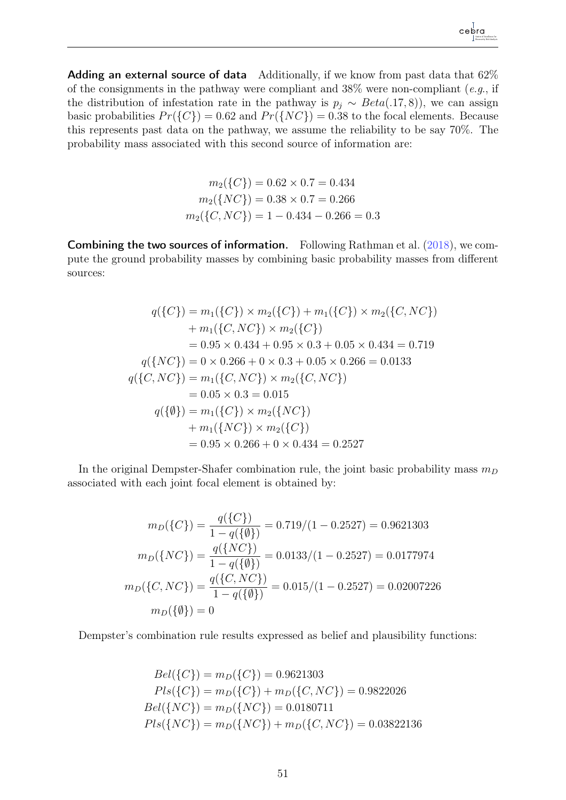Adding an external source of data Additionally, if we know from past data that  $62\%$ of the consignments in the pathway were compliant and  $38\%$  were non-compliant (e.g., if the distribution of infestation rate in the pathway is  $p_i \sim Beta(.17, 8)$ , we can assign basic probabilities  $Pr({C}) = 0.62$  and  $Pr({N}C) = 0.38$  to the focal elements. Because this represents past data on the pathway, we assume the reliability to be say 70%. The probability mass associated with this second source of information are:

$$
m_2({C}) = 0.62 \times 0.7 = 0.434
$$

$$
m_2({NC}) = 0.38 \times 0.7 = 0.266
$$

$$
m_2({C, NC}) = 1 - 0.434 - 0.266 = 0.3
$$

Combining the two sources of information. Following Rathman et al. [\(2018\)](#page-84-6), we compute the ground probability masses by combining basic probability masses from different sources:

$$
q(\{C\}) = m_1(\{C\}) \times m_2(\{C\}) + m_1(\{C\}) \times m_2(\{C, NC\})
$$
  
+  $m_1(\{C, NC\}) \times m_2(\{C\})$   
= 0.95 × 0.434 + 0.95 × 0.3 + 0.05 × 0.434 = 0.719  
 $q(\{NC\}) = 0 \times 0.266 + 0 \times 0.3 + 0.05 \times 0.266 = 0.0133$   
 $q(\{C, NC\}) = m_1(\{C, NC\}) \times m_2(\{C, NC\})$   
= 0.05 × 0.3 = 0.015  
 $q(\{\emptyset\}) = m_1(\{C\}) \times m_2(\{NC\})$   
+  $m_1(\{NC\}) \times m_2(\{C\})$   
= 0.95 × 0.266 + 0 × 0.434 = 0.2527

In the original Dempster-Shafer combination rule, the joint basic probability mass  $m_D$ associated with each joint focal element is obtained by:

$$
m_D(\{C\}) = \frac{q(\{C\})}{1 - q(\{\emptyset\})} = 0.719/(1 - 0.2527) = 0.9621303
$$

$$
m_D(\{NC\}) = \frac{q(\{NC\})}{1 - q(\{\emptyset\})} = 0.0133/(1 - 0.2527) = 0.0177974
$$

$$
m_D(\{C, NC\}) = \frac{q(\{C, NC\})}{1 - q(\{\emptyset\})} = 0.015/(1 - 0.2527) = 0.02007226
$$

$$
m_D(\{\emptyset\}) = 0
$$

Dempster's combination rule results expressed as belief and plausibility functions:

$$
Bel({C}) = m_D({C}) = 0.9621303
$$
  
\n
$$
Pls({C}) = m_D({C}) + m_D({C, NC}) = 0.9822026
$$
  
\n
$$
Bel({NC}) = m_D({NC}) = 0.0180711
$$
  
\n
$$
Pls({NC}) = m_D({NC}) + m_D({C, NC}) = 0.03822136
$$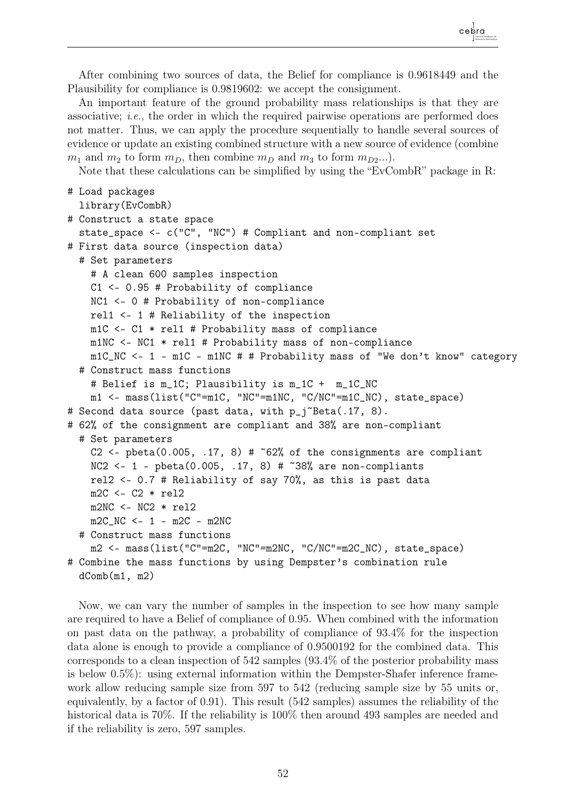After combining two sources of data, the Belief for compliance is 0.9618449 and the Plausibility for compliance is 0.9819602: we accept the consignment.

An important feature of the ground probability mass relationships is that they are associative; i.e., the order in which the required pairwise operations are performed does not matter. Thus, we can apply the procedure sequentially to handle several sources of evidence or update an existing combined structure with a new source of evidence (combine  $m_1$  and  $m_2$  to form  $m_D$ , then combine  $m_D$  and  $m_3$  to form  $m_{D2}...$ ).

Note that these calculations can be simplified by using the "EvCombR" package in R:

```
# Load packages
  library(EvCombR)
# Construct a state space
  state_space <- c("C", "NC") # Compliant and non-compliant set
# First data source (inspection data)
  # Set parameters
    # A clean 600 samples inspection
    C1 <- 0.95 # Probability of compliance
    NC1 <- 0 # Probability of non-compliance
    rel1 <- 1 # Reliability of the inspection
    m1C <- C1 * rel1 # Probability mass of compliance
    m1NC <- NC1 * rel1 # Probability mass of non-compliance
    m1C_NC <- 1 - m1C - m1NC # # Probability mass of "We don't know" category
  # Construct mass functions
    # Belief is m_1C; Plausibility is m_1C + m_1C_NC
    m1 <- mass(list("C"=m1C, "NC"=m1NC, "C/NC"=m1C_NC), state_space)
# Second data source (past data, with p_j~Beta(.17, 8).
# 62% of the consignment are compliant and 38% are non-compliant
  # Set parameters
    C2 <- pbeta(0.005, .17, 8) # 62% of the consignments are compliant
    NC2 <- 1 - pbeta(0.005, .17, 8) \# ~38% are non-compliants
    rel2 <- 0.7 # Reliability of say 70%, as this is past data
    m2C <- C2 * rel2
    m2NC <- NC2 * rel2
    m2C_NC <- 1 - m2C - m2NC
  # Construct mass functions
    m2 <- mass(list("C"=m2C, "NC"=m2NC, "C/NC"=m2C_NC), state_space)
# Combine the mass functions by using Dempster's combination rule
  dComb(m1, m2)
```
Now, we can vary the number of samples in the inspection to see how many sample are required to have a Belief of compliance of 0.95. When combined with the information on past data on the pathway, a probability of compliance of 93.4% for the inspection data alone is enough to provide a compliance of 0.9500192 for the combined data. This corresponds to a clean inspection of 542 samples (93.4% of the posterior probability mass is below 0.5%): using external information within the Dempster-Shafer inference framework allow reducing sample size from 597 to 542 (reducing sample size by 55 units or, equivalently, by a factor of 0.91). This result (542 samples) assumes the reliability of the historical data is 70%. If the reliability is 100% then around 493 samples are needed and if the reliability is zero, 597 samples.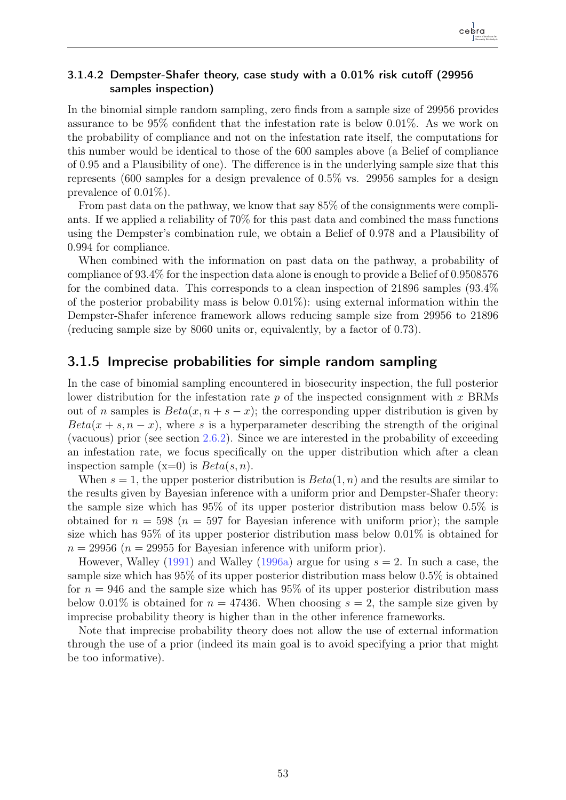#### 3.1.4.2 Dempster-Shafer theory, case study with a 0.01% risk cutoff (29956 samples inspection)

In the binomial simple random sampling, zero finds from a sample size of 29956 provides assurance to be 95% confident that the infestation rate is below 0.01%. As we work on the probability of compliance and not on the infestation rate itself, the computations for this number would be identical to those of the 600 samples above (a Belief of compliance of 0.95 and a Plausibility of one). The difference is in the underlying sample size that this represents (600 samples for a design prevalence of 0.5% vs. 29956 samples for a design prevalence of 0.01%).

From past data on the pathway, we know that say 85% of the consignments were compliants. If we applied a reliability of 70% for this past data and combined the mass functions using the Dempster's combination rule, we obtain a Belief of 0.978 and a Plausibility of 0.994 for compliance.

When combined with the information on past data on the pathway, a probability of compliance of 93.4% for the inspection data alone is enough to provide a Belief of 0.9508576 for the combined data. This corresponds to a clean inspection of 21896 samples (93.4% of the posterior probability mass is below  $0.01\%$ ): using external information within the Dempster-Shafer inference framework allows reducing sample size from 29956 to 21896 (reducing sample size by 8060 units or, equivalently, by a factor of 0.73).

## 3.1.5 Imprecise probabilities for simple random sampling

In the case of binomial sampling encountered in biosecurity inspection, the full posterior lower distribution for the infestation rate  $p$  of the inspected consignment with  $x$  BRMs out of n samples is  $Beta(x, n + s - x)$ ; the corresponding upper distribution is given by  $Beta(x + s, n - x)$ , where s is a hyperparameter describing the strength of the original (vacuous) prior (see section [2.6.2\)](#page-40-0). Since we are interested in the probability of exceeding an infestation rate, we focus specifically on the upper distribution which after a clean inspection sample  $(x=0)$  is  $Beta(s, n)$ .

When  $s = 1$ , the upper posterior distribution is  $Beta(1, n)$  and the results are similar to the results given by Bayesian inference with a uniform prior and Dempster-Shafer theory: the sample size which has 95% of its upper posterior distribution mass below 0.5% is obtained for  $n = 598$  ( $n = 597$  for Bayesian inference with uniform prior); the sample size which has 95% of its upper posterior distribution mass below 0.01% is obtained for  $n = 29956$  ( $n = 29955$  for Bayesian inference with uniform prior).

However, Walley [\(1991\)](#page-85-0) and Walley [\(1996a\)](#page-85-4) argue for using  $s = 2$ . In such a case, the sample size which has 95% of its upper posterior distribution mass below 0.5% is obtained for  $n = 946$  and the sample size which has 95% of its upper posterior distribution mass below 0.01% is obtained for  $n = 47436$ . When choosing  $s = 2$ , the sample size given by imprecise probability theory is higher than in the other inference frameworks.

Note that imprecise probability theory does not allow the use of external information through the use of a prior (indeed its main goal is to avoid specifying a prior that might be too informative).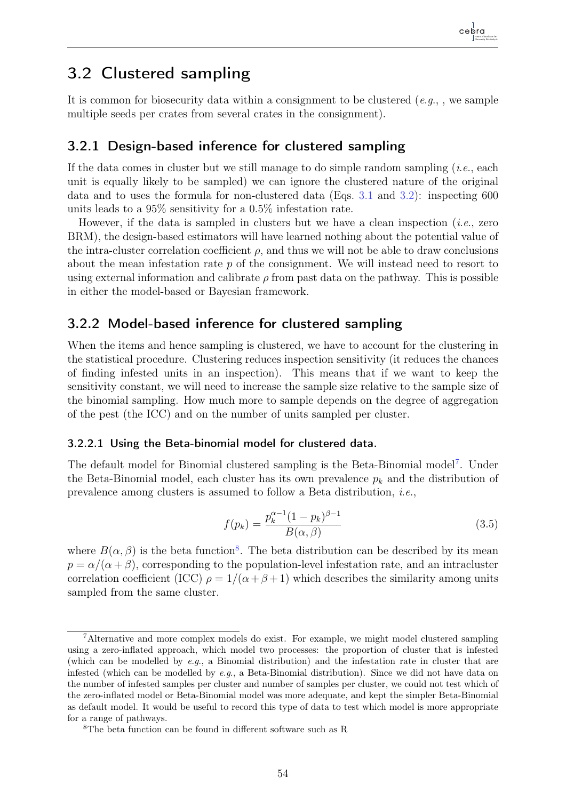# 3.2 Clustered sampling

It is common for biosecurity data within a consignment to be clustered  $(e,q, \cdot)$ , we sample multiple seeds per crates from several crates in the consignment).

# 3.2.1 Design-based inference for clustered sampling

If the data comes in cluster but we still manage to do simple random sampling  $(i.e., each$ unit is equally likely to be sampled) we can ignore the clustered nature of the original data and to uses the formula for non-clustered data (Eqs. [3.1](#page-44-0) and [3.2\)](#page-44-1): inspecting 600 units leads to a 95% sensitivity for a 0.5% infestation rate.

However, if the data is sampled in clusters but we have a clean inspection (*i.e.*, zero BRM), the design-based estimators will have learned nothing about the potential value of the intra-cluster correlation coefficient  $\rho$ , and thus we will not be able to draw conclusions about the mean infestation rate p of the consignment. We will instead need to resort to using external information and calibrate  $\rho$  from past data on the pathway. This is possible in either the model-based or Bayesian framework.

# 3.2.2 Model-based inference for clustered sampling

When the items and hence sampling is clustered, we have to account for the clustering in the statistical procedure. Clustering reduces inspection sensitivity (it reduces the chances of finding infested units in an inspection). This means that if we want to keep the sensitivity constant, we will need to increase the sample size relative to the sample size of the binomial sampling. How much more to sample depends on the degree of aggregation of the pest (the ICC) and on the number of units sampled per cluster.

#### 3.2.2.1 Using the Beta-binomial model for clustered data.

The default model for Binomial clustered sampling is the Beta-Binomial model<sup>[7](#page-53-0)</sup>. Under the Beta-Binomial model, each cluster has its own prevalence  $p_k$  and the distribution of prevalence among clusters is assumed to follow a Beta distribution, i.e.,

$$
f(p_k) = \frac{p_k^{\alpha - 1} (1 - p_k)^{\beta - 1}}{B(\alpha, \beta)}
$$
(3.5)

where  $B(\alpha, \beta)$  is the beta function<sup>[8](#page-53-1)</sup>. The beta distribution can be described by its mean  $p = \alpha/(\alpha + \beta)$ , corresponding to the population-level infestation rate, and an intracluster correlation coefficient (ICC)  $\rho = 1/(\alpha + \beta + 1)$  which describes the similarity among units sampled from the same cluster.

<span id="page-53-0"></span><sup>7</sup>Alternative and more complex models do exist. For example, we might model clustered sampling using a zero-inflated approach, which model two processes: the proportion of cluster that is infested (which can be modelled by  $e.g.,$  a Binomial distribution) and the infestation rate in cluster that are infested (which can be modelled by e.g., a Beta-Binomial distribution). Since we did not have data on the number of infested samples per cluster and number of samples per cluster, we could not test which of the zero-inflated model or Beta-Binomial model was more adequate, and kept the simpler Beta-Binomial as default model. It would be useful to record this type of data to test which model is more appropriate for a range of pathways.

<span id="page-53-1"></span><sup>8</sup>The beta function can be found in different software such as R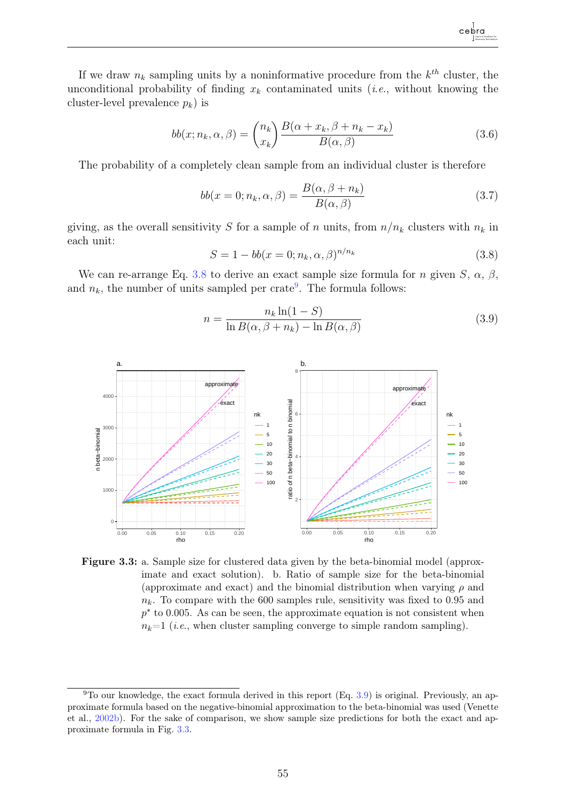Centre of Excellence for Biosecurity Risk Analysis

If we draw  $n_k$  sampling units by a noninformative procedure from the  $k^{th}$  cluster, the unconditional probability of finding  $x_k$  contaminated units (*i.e.*, without knowing the cluster-level prevalence  $p_k$ ) is

$$
bb(x; n_k, \alpha, \beta) = {n_k \choose x_k} \frac{B(\alpha + x_k, \beta + n_k - x_k)}{B(\alpha, \beta)}
$$
(3.6)

The probability of a completely clean sample from an individual cluster is therefore

$$
bb(x = 0; n_k, \alpha, \beta) = \frac{B(\alpha, \beta + n_k)}{B(\alpha, \beta)}
$$
\n(3.7)

<span id="page-54-0"></span>giving, as the overall sensitivity S for a sample of n units, from  $n/n_k$  clusters with  $n_k$  in each unit:

<span id="page-54-2"></span>
$$
S = 1 - bb(x = 0; n_k, \alpha, \beta)^{n/n_k}
$$
\n(3.8)

We can re-arrange Eq. [3.8](#page-54-0) to derive an exact sample size formula for n given S,  $\alpha$ ,  $\beta$ , and  $n_k$ , the number of units sampled per crate<sup>[9](#page-54-1)</sup>. The formula follows:

$$
n = \frac{n_k \ln(1 - S)}{\ln B(\alpha, \beta + n_k) - \ln B(\alpha, \beta)}
$$
(3.9)

<span id="page-54-3"></span>

Figure 3.3: a. Sample size for clustered data given by the beta-binomial model (approximate and exact solution). b. Ratio of sample size for the beta-binomial (approximate and exact) and the binomial distribution when varying  $\rho$  and  $n_k$ . To compare with the 600 samples rule, sensitivity was fixed to 0.95 and  $p^*$  to 0.005. As can be seen, the approximate equation is not consistent when  $n_k=1$  (*i.e.*, when cluster sampling converge to simple random sampling).

<span id="page-54-1"></span> $9$ To our knowledge, the exact formula derived in this report (Eq. [3.9\)](#page-54-2) is original. Previously, an approximate formula based on the negative-binomial approximation to the beta-binomial was used (Venette et al., [2002b\)](#page-85-8). For the sake of comparison, we show sample size predictions for both the exact and approximate formula in Fig. [3.3.](#page-54-3)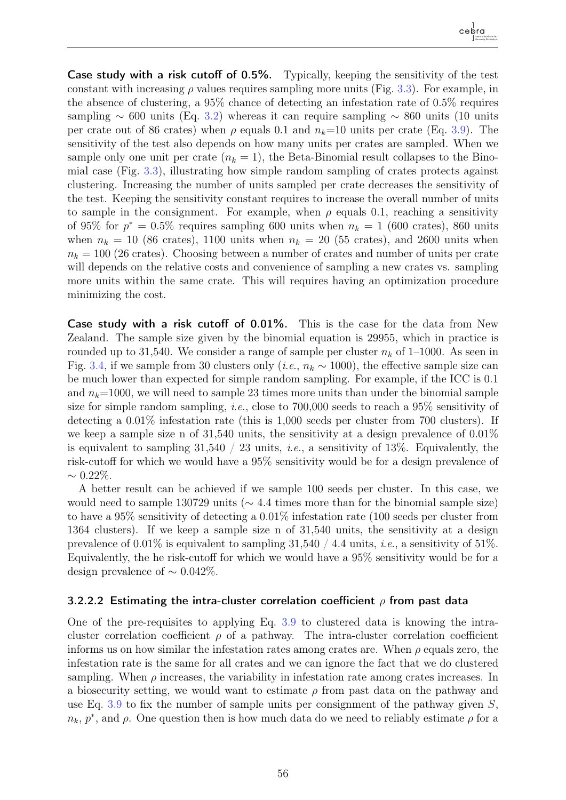Case study with a risk cutoff of 0.5%. Typically, keeping the sensitivity of the test constant with increasing  $\rho$  values requires sampling more units (Fig. [3.3\)](#page-54-3). For example, in the absence of clustering, a 95% chance of detecting an infestation rate of 0.5% requires sampling  $\sim$  600 units (Eq. [3.2\)](#page-44-1) whereas it can require sampling  $\sim$  860 units (10 units per crate out of 86 crates) when  $\rho$  equals 0.1 and  $n_k=10$  units per crate (Eq. [3.9\)](#page-54-2). The sensitivity of the test also depends on how many units per crates are sampled. When we sample only one unit per crate  $(n_k = 1)$ , the Beta-Binomial result collapses to the Binomial case (Fig. [3.3\)](#page-54-3), illustrating how simple random sampling of crates protects against clustering. Increasing the number of units sampled per crate decreases the sensitivity of the test. Keeping the sensitivity constant requires to increase the overall number of units to sample in the consignment. For example, when  $\rho$  equals 0.1, reaching a sensitivity of 95% for  $p^* = 0.5\%$  requires sampling 600 units when  $n_k = 1$  (600 crates), 860 units when  $n_k = 10$  (86 crates), 1100 units when  $n_k = 20$  (55 crates), and 2600 units when  $n_k = 100$  (26 crates). Choosing between a number of crates and number of units per crate will depends on the relative costs and convenience of sampling a new crates vs. sampling more units within the same crate. This will requires having an optimization procedure minimizing the cost.

Case study with a risk cutoff of 0.01%. This is the case for the data from New Zealand. The sample size given by the binomial equation is 29955, which in practice is rounded up to 31,540. We consider a range of sample per cluster  $n_k$  of 1–1000. As seen in Fig. [3.4,](#page-56-0) if we sample from 30 clusters only (*i.e.*,  $n_k \sim 1000$ ), the effective sample size can be much lower than expected for simple random sampling. For example, if the ICC is 0.1 and  $n_k=1000$ , we will need to sample 23 times more units than under the binomial sample size for simple random sampling, i.e., close to 700,000 seeds to reach a 95% sensitivity of detecting a 0.01% infestation rate (this is 1,000 seeds per cluster from 700 clusters). If we keep a sample size n of 31,540 units, the sensitivity at a design prevalence of  $0.01\%$ is equivalent to sampling  $31,540 / 23$  units, *i.e.*, a sensitivity of 13\%. Equivalently, the risk-cutoff for which we would have a 95% sensitivity would be for a design prevalence of  $∼ 0.22\%$ .

A better result can be achieved if we sample 100 seeds per cluster. In this case, we would need to sample 130729 units ( $\sim 4.4$  times more than for the binomial sample size) to have a 95% sensitivity of detecting a 0.01% infestation rate (100 seeds per cluster from 1364 clusters). If we keep a sample size n of 31,540 units, the sensitivity at a design prevalence of 0.01% is equivalent to sampling  $31,540 / 4.4$  units, *i.e.*, a sensitivity of 51%. Equivalently, the he risk-cutoff for which we would have a 95% sensitivity would be for a design prevalence of  $\sim 0.042\%$ .

#### <span id="page-55-0"></span>3.2.2.2 Estimating the intra-cluster correlation coefficient  $\rho$  from past data

One of the pre-requisites to applying Eq. [3.9](#page-54-2) to clustered data is knowing the intracluster correlation coefficient  $\rho$  of a pathway. The intra-cluster correlation coefficient informs us on how similar the infestation rates among crates are. When  $\rho$  equals zero, the infestation rate is the same for all crates and we can ignore the fact that we do clustered sampling. When  $\rho$  increases, the variability in infestation rate among crates increases. In a biosecurity setting, we would want to estimate  $\rho$  from past data on the pathway and use Eq. [3.9](#page-54-2) to fix the number of sample units per consignment of the pathway given  $S$ ,  $n_k, p^*$ , and  $\rho$ . One question then is how much data do we need to reliably estimate  $\rho$  for a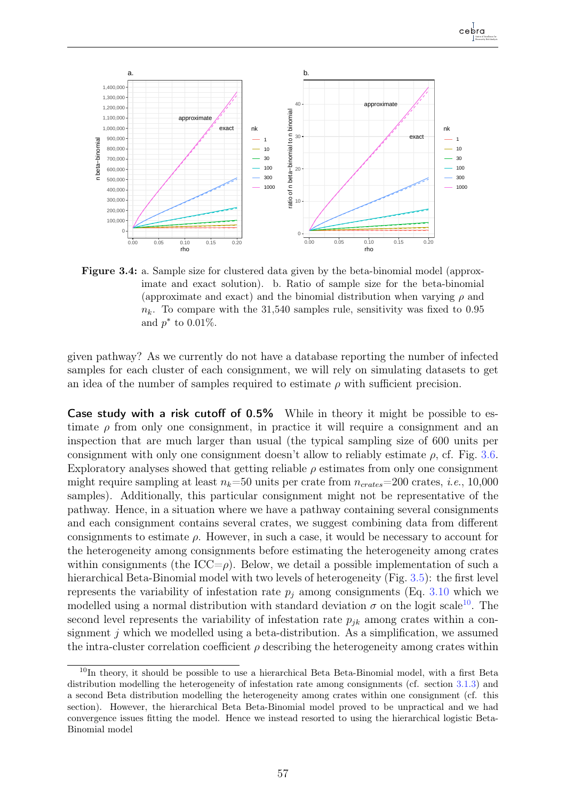<span id="page-56-0"></span>

Figure 3.4: a. Sample size for clustered data given by the beta-binomial model (approximate and exact solution). b. Ratio of sample size for the beta-binomial (approximate and exact) and the binomial distribution when varying  $\rho$  and  $n_k$ . To compare with the 31,540 samples rule, sensitivity was fixed to 0.95 and  $p^*$  to 0.01%.

given pathway? As we currently do not have a database reporting the number of infected samples for each cluster of each consignment, we will rely on simulating datasets to get an idea of the number of samples required to estimate  $\rho$  with sufficient precision.

Case study with a risk cutoff of 0.5% While in theory it might be possible to estimate  $\rho$  from only one consignment, in practice it will require a consignment and an inspection that are much larger than usual (the typical sampling size of 600 units per consignment with only one consignment doesn't allow to reliably estimate  $\rho$ , cf. Fig. [3.6.](#page-58-0) Exploratory analyses showed that getting reliable  $\rho$  estimates from only one consignment might require sampling at least  $n_k=50$  units per crate from  $n_{crates}=200$  crates, *i.e.*, 10,000 samples). Additionally, this particular consignment might not be representative of the pathway. Hence, in a situation where we have a pathway containing several consignments and each consignment contains several crates, we suggest combining data from different consignments to estimate  $\rho$ . However, in such a case, it would be necessary to account for the heterogeneity among consignments before estimating the heterogeneity among crates within consignments (the  $\text{ICC}=\rho$ ). Below, we detail a possible implementation of such a hierarchical Beta-Binomial model with two levels of heterogeneity (Fig. [3.5\)](#page-57-0): the first level represents the variability of infestation rate  $p_i$  among consignments (Eq. [3.10](#page-57-1) which we modelled using a normal distribution with standard deviation  $\sigma$  on the logit scale<sup>[10](#page-56-1)</sup>. The second level represents the variability of infestation rate  $p_{ik}$  among crates within a consignment  $j$  which we modelled using a beta-distribution. As a simplification, we assumed the intra-cluster correlation coefficient  $\rho$  describing the heterogeneity among crates within

<span id="page-56-1"></span><sup>10</sup>In theory, it should be possible to use a hierarchical Beta Beta-Binomial model, with a first Beta distribution modelling the heterogeneity of infestation rate among consignments (cf. section [3.1.3\)](#page-44-2) and a second Beta distribution modelling the heterogeneity among crates within one consignment (cf. this section). However, the hierarchical Beta Beta-Binomial model proved to be unpractical and we had convergence issues fitting the model. Hence we instead resorted to using the hierarchical logistic Beta-Binomial model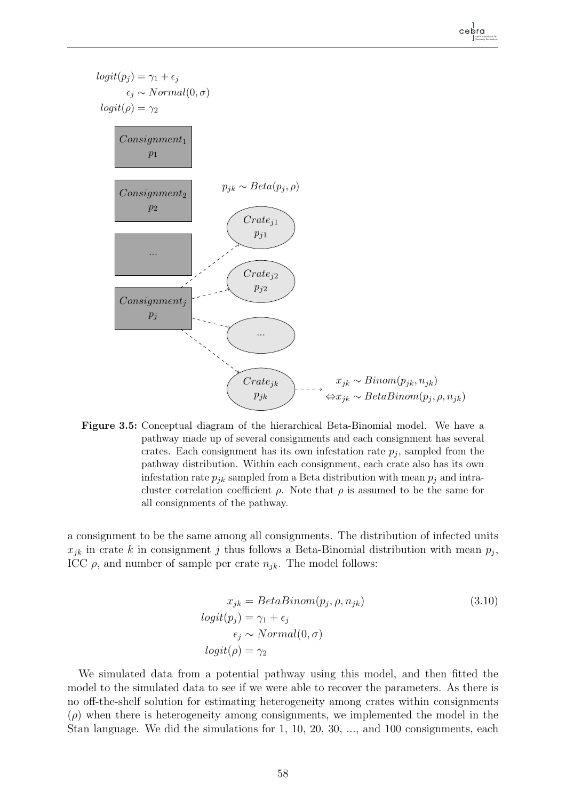<span id="page-57-0"></span>

Figure 3.5: Conceptual diagram of the hierarchical Beta-Binomial model. We have a pathway made up of several consignments and each consignment has several crates. Each consignment has its own infestation rate  $p_i$ , sampled from the pathway distribution. Within each consignment, each crate also has its own infestation rate  $p_{ik}$  sampled from a Beta distribution with mean  $p_i$  and intracluster correlation coefficient  $\rho$ . Note that  $\rho$  is assumed to be the same for all consignments of the pathway.

a consignment to be the same among all consignments. The distribution of infected units  $x_{jk}$  in crate k in consignment j thus follows a Beta-Binomial distribution with mean  $p_j$ , ICC  $\rho$ , and number of sample per crate  $n_{jk}$ . The model follows:

<span id="page-57-1"></span>
$$
x_{jk} = BetaBinom(p_j, \rho, n_{jk})
$$
  
\n
$$
logit(p_j) = \gamma_1 + \epsilon_j
$$
  
\n
$$
\epsilon_j \sim Normal(0, \sigma)
$$
  
\n
$$
logit(\rho) = \gamma_2
$$
\n(3.10)

We simulated data from a potential pathway using this model, and then fitted the model to the simulated data to see if we were able to recover the parameters. As there is no off-the-shelf solution for estimating heterogeneity among crates within consignments  $(\rho)$  when there is heterogeneity among consignments, we implemented the model in the Stan language. We did the simulations for 1, 10, 20, 30, ..., and 100 consignments, each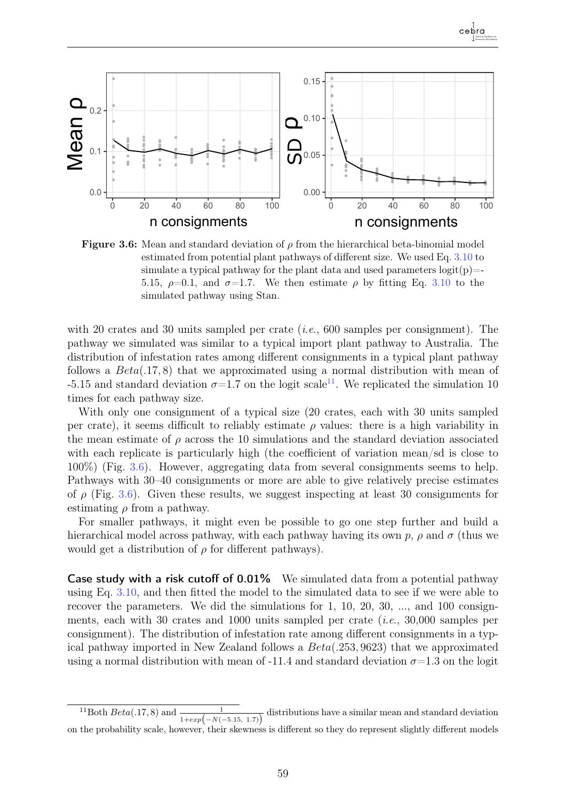<span id="page-58-0"></span>

**Figure 3.6:** Mean and standard deviation of  $\rho$  from the hierarchical beta-binomial model estimated from potential plant pathways of different size. We used Eq. [3.10](#page-57-1) to simulate a typical pathway for the plant data and used parameters  $logit(p)$ = 5.15,  $\rho=0.1$ , and  $\sigma=1.7$ . We then estimate  $\rho$  by fitting Eq. [3.10](#page-57-1) to the simulated pathway using Stan.

with 20 crates and 30 units sampled per crate (*i.e.*, 600 samples per consignment). The pathway we simulated was similar to a typical import plant pathway to Australia. The distribution of infestation rates among different consignments in a typical plant pathway follows a  $Beta(.17, 8)$  that we approximated using a normal distribution with mean of -5.15 and standard deviation  $\sigma$ =1.7 on the logit scale<sup>[11](#page-58-1)</sup>. We replicated the simulation 10 times for each pathway size.

With only one consignment of a typical size (20 crates, each with 30 units sampled per crate), it seems difficult to reliably estimate  $\rho$  values: there is a high variability in the mean estimate of  $\rho$  across the 10 simulations and the standard deviation associated with each replicate is particularly high (the coefficient of variation mean/sd is close to 100%) (Fig. [3.6\)](#page-58-0). However, aggregating data from several consignments seems to help. Pathways with 30–40 consignments or more are able to give relatively precise estimates of  $\rho$  (Fig. [3.6\)](#page-58-0). Given these results, we suggest inspecting at least 30 consignments for estimating  $\rho$  from a pathway.

For smaller pathways, it might even be possible to go one step further and build a hierarchical model across pathway, with each pathway having its own p,  $\rho$  and  $\sigma$  (thus we would get a distribution of  $\rho$  for different pathways).

Case study with a risk cutoff of 0.01% We simulated data from a potential pathway using Eq. [3.10,](#page-57-1) and then fitted the model to the simulated data to see if we were able to recover the parameters. We did the simulations for 1, 10, 20, 30, ..., and 100 consignments, each with 30 crates and 1000 units sampled per crate  $(i.e., 30,000$  samples per consignment). The distribution of infestation rate among different consignments in a typical pathway imported in New Zealand follows a Beta(.253, 9623) that we approximated using a normal distribution with mean of -11.4 and standard deviation  $\sigma$ =1.3 on the logit

<span id="page-58-1"></span><sup>&</sup>lt;sup>11</sup>Both  $Beta(.17, 8)$  and  $\frac{1}{1+exp(-N(-5.15, 1.7))}$  distributions have a similar mean and standard deviation on the probability scale, however, their skewness is different so they do represent slightly different models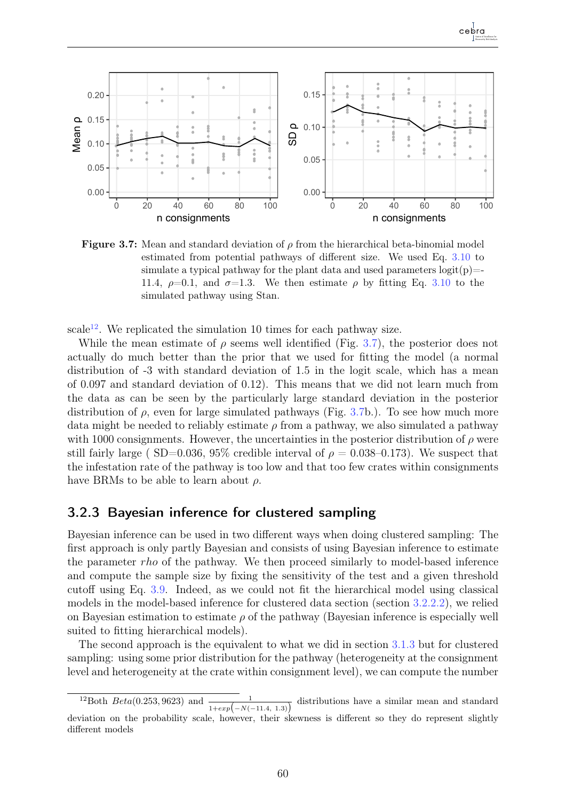<span id="page-59-2"></span>

**Figure 3.7:** Mean and standard deviation of  $\rho$  from the hierarchical beta-binomial model estimated from potential pathways of different size. We used Eq. [3.10](#page-57-1) to simulate a typical pathway for the plant data and used parameters  $logit(p)$ = 11.4,  $\rho=0.1$ , and  $\sigma=1.3$ . We then estimate  $\rho$  by fitting Eq. [3.10](#page-57-1) to the simulated pathway using Stan.

scale<sup>[12](#page-59-1)</sup>. We replicated the simulation 10 times for each pathway size.

While the mean estimate of  $\rho$  seems well identified (Fig. [3.7\)](#page-59-2), the posterior does not actually do much better than the prior that we used for fitting the model (a normal distribution of -3 with standard deviation of 1.5 in the logit scale, which has a mean of 0.097 and standard deviation of 0.12). This means that we did not learn much from the data as can be seen by the particularly large standard deviation in the posterior distribution of  $\rho$ , even for large simulated pathways (Fig. [3.7b](#page-59-2).). To see how much more data might be needed to reliably estimate  $\rho$  from a pathway, we also simulated a pathway with 1000 consignments. However, the uncertainties in the posterior distribution of  $\rho$  were still fairly large ( SD=0.036, 95% credible interval of  $\rho = 0.038{\text -}0.173$ ). We suspect that the infestation rate of the pathway is too low and that too few crates within consignments have BRMs to be able to learn about  $\rho$ .

#### <span id="page-59-0"></span>3.2.3 Bayesian inference for clustered sampling

Bayesian inference can be used in two different ways when doing clustered sampling: The first approach is only partly Bayesian and consists of using Bayesian inference to estimate the parameter rho of the pathway. We then proceed similarly to model-based inference and compute the sample size by fixing the sensitivity of the test and a given threshold cutoff using Eq. [3.9.](#page-54-2) Indeed, as we could not fit the hierarchical model using classical models in the model-based inference for clustered data section (section [3.2.2.2\)](#page-55-0), we relied on Bayesian estimation to estimate  $\rho$  of the pathway (Bayesian inference is especially well suited to fitting hierarchical models).

The second approach is the equivalent to what we did in section [3.1.3](#page-44-2) but for clustered sampling: using some prior distribution for the pathway (heterogeneity at the consignment level and heterogeneity at the crate within consignment level), we can compute the number

<span id="page-59-1"></span><sup>&</sup>lt;sup>12</sup>Both Beta(0.253, 9623) and  $\frac{1}{1+exp(-N(-11.4, 1.3))}$  distributions have a similar mean and standard deviation on the probability scale, however, their skewness is different so they do represent slightly different models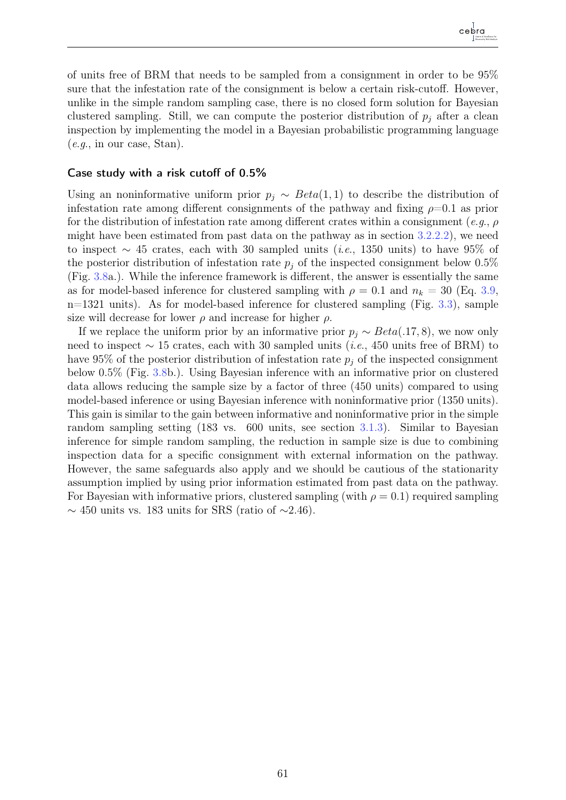of units free of BRM that needs to be sampled from a consignment in order to be 95% sure that the infestation rate of the consignment is below a certain risk-cutoff. However, unlike in the simple random sampling case, there is no closed form solution for Bayesian clustered sampling. Still, we can compute the posterior distribution of  $p_j$  after a clean inspection by implementing the model in a Bayesian probabilistic programming language  $(e.g., in our case, Stan).$ 

#### Case study with a risk cutoff of 0.5%

Using an noninformative uniform prior  $p_i \sim Beta(1, 1)$  to describe the distribution of infestation rate among different consignments of the pathway and fixing  $\rho=0.1$  as prior for the distribution of infestation rate among different crates within a consignment (e.g.,  $\rho$ might have been estimated from past data on the pathway as in section [3.2.2.2\)](#page-55-0), we need to inspect  $\sim$  45 crates, each with 30 sampled units (*i.e.*, 1350 units) to have 95% of the posterior distribution of infestation rate  $p_i$  of the inspected consignment below 0.5% (Fig. [3.8a](#page-61-0).). While the inference framework is different, the answer is essentially the same as for model-based inference for clustered sampling with  $\rho = 0.1$  and  $n_k = 30$  (Eq. [3.9,](#page-54-2) n=1321 units). As for model-based inference for clustered sampling (Fig. [3.3\)](#page-54-3), sample size will decrease for lower  $\rho$  and increase for higher  $\rho$ .

If we replace the uniform prior by an informative prior  $p_i \sim Beta(.17, 8)$ , we now only need to inspect  $\sim$  15 crates, each with 30 sampled units (*i.e.*, 450 units free of BRM) to have 95% of the posterior distribution of infestation rate  $p_i$  of the inspected consignment below 0.5% (Fig. [3.8b](#page-61-0).). Using Bayesian inference with an informative prior on clustered data allows reducing the sample size by a factor of three (450 units) compared to using model-based inference or using Bayesian inference with noninformative prior (1350 units). This gain is similar to the gain between informative and noninformative prior in the simple random sampling setting (183 vs. 600 units, see section [3.1.3\)](#page-44-2). Similar to Bayesian inference for simple random sampling, the reduction in sample size is due to combining inspection data for a specific consignment with external information on the pathway. However, the same safeguards also apply and we should be cautious of the stationarity assumption implied by using prior information estimated from past data on the pathway. For Bayesian with informative priors, clustered sampling (with  $\rho = 0.1$ ) required sampling  $\sim$  450 units vs. 183 units for SRS (ratio of  $\sim$ 2.46).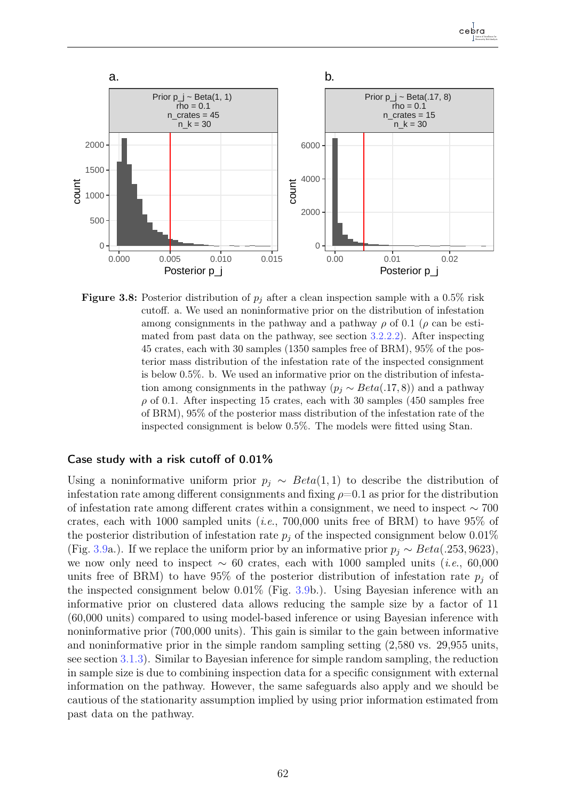<span id="page-61-0"></span>

Figure 3.8: Posterior distribution of  $p_i$  after a clean inspection sample with a 0.5% risk cutoff. a. We used an noninformative prior on the distribution of infestation among consignments in the pathway and a pathway  $\rho$  of 0.1 ( $\rho$  can be estimated from past data on the pathway, see section [3.2.2.2\)](#page-55-0). After inspecting 45 crates, each with 30 samples (1350 samples free of BRM), 95% of the posterior mass distribution of the infestation rate of the inspected consignment is below 0.5%. b. We used an informative prior on the distribution of infestation among consignments in the pathway ( $p_i \sim Beta(.17, 8)$ ) and a pathway  $\rho$  of 0.1. After inspecting 15 crates, each with 30 samples (450 samples free of BRM), 95% of the posterior mass distribution of the infestation rate of the inspected consignment is below 0.5%. The models were fitted using Stan.

#### Case study with a risk cutoff of 0.01%

Using a noninformative uniform prior  $p_i \sim Beta(1, 1)$  to describe the distribution of infestation rate among different consignments and fixing  $\rho=0.1$  as prior for the distribution of infestation rate among different crates within a consignment, we need to inspect ∼ 700 crates, each with 1000 sampled units (*i.e.*, 700,000 units free of BRM) to have 95% of the posterior distribution of infestation rate  $p_i$  of the inspected consignment below 0.01% (Fig. [3.9a](#page-62-1).). If we replace the uniform prior by an informative prior  $p_i \sim Beta(.253, 9623)$ , we now only need to inspect  $\sim 60$  crates, each with 1000 sampled units (*i.e.*, 60,000 units free of BRM) to have 95% of the posterior distribution of infestation rate  $p_i$  of the inspected consignment below  $0.01\%$  (Fig. [3.9b](#page-62-1).). Using Bayesian inference with an informative prior on clustered data allows reducing the sample size by a factor of 11 (60,000 units) compared to using model-based inference or using Bayesian inference with noninformative prior (700,000 units). This gain is similar to the gain between informative and noninformative prior in the simple random sampling setting (2,580 vs. 29,955 units, see section [3.1.3\)](#page-44-2). Similar to Bayesian inference for simple random sampling, the reduction in sample size is due to combining inspection data for a specific consignment with external information on the pathway. However, the same safeguards also apply and we should be cautious of the stationarity assumption implied by using prior information estimated from past data on the pathway.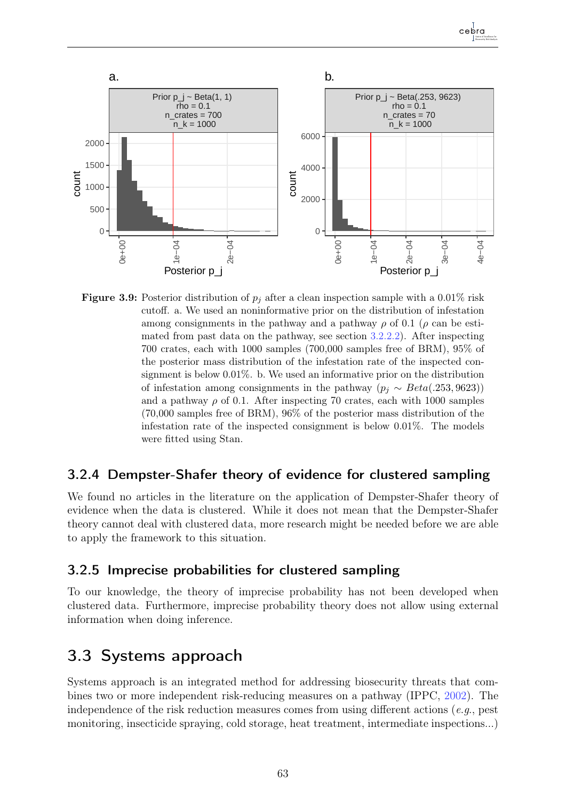<span id="page-62-1"></span>

**Figure 3.9:** Posterior distribution of  $p_i$  after a clean inspection sample with a 0.01% risk cutoff. a. We used an noninformative prior on the distribution of infestation among consignments in the pathway and a pathway  $\rho$  of 0.1 ( $\rho$  can be estimated from past data on the pathway, see section [3.2.2.2\)](#page-55-0). After inspecting 700 crates, each with 1000 samples (700,000 samples free of BRM), 95% of the posterior mass distribution of the infestation rate of the inspected consignment is below 0.01%. b. We used an informative prior on the distribution of infestation among consignments in the pathway  $(p_i \sim Beta(.253, 9623))$ and a pathway  $\rho$  of 0.1. After inspecting 70 crates, each with 1000 samples (70,000 samples free of BRM), 96% of the posterior mass distribution of the infestation rate of the inspected consignment is below 0.01%. The models were fitted using Stan.

# 3.2.4 Dempster-Shafer theory of evidence for clustered sampling

We found no articles in the literature on the application of Dempster-Shafer theory of evidence when the data is clustered. While it does not mean that the Dempster-Shafer theory cannot deal with clustered data, more research might be needed before we are able to apply the framework to this situation.

## 3.2.5 Imprecise probabilities for clustered sampling

To our knowledge, the theory of imprecise probability has not been developed when clustered data. Furthermore, imprecise probability theory does not allow using external information when doing inference.

# <span id="page-62-0"></span>3.3 Systems approach

Systems approach is an integrated method for addressing biosecurity threats that combines two or more independent risk-reducing measures on a pathway (IPPC, [2002\)](#page-82-5). The independence of the risk reduction measures comes from using different actions (e.g., pest) monitoring, insecticide spraying, cold storage, heat treatment, intermediate inspections...)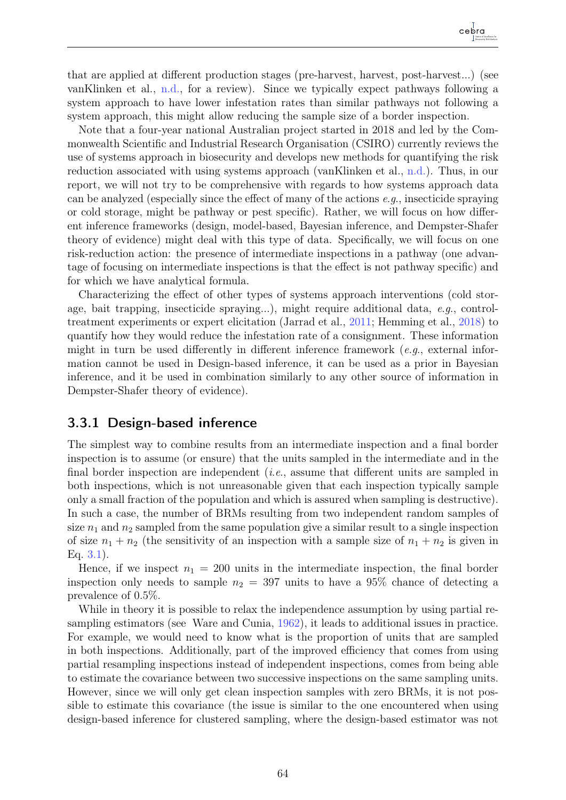that are applied at different production stages (pre-harvest, harvest, post-harvest...) (see vanKlinken et al., [n.d.,](#page-85-10) for a review). Since we typically expect pathways following a system approach to have lower infestation rates than similar pathways not following a system approach, this might allow reducing the sample size of a border inspection.

Note that a four-year national Australian project started in 2018 and led by the Commonwealth Scientific and Industrial Research Organisation (CSIRO) currently reviews the use of systems approach in biosecurity and develops new methods for quantifying the risk reduction associated with using systems approach (vanKlinken et al., [n.d.\)](#page-85-10). Thus, in our report, we will not try to be comprehensive with regards to how systems approach data can be analyzed (especially since the effect of many of the actions e.g., insecticide spraying or cold storage, might be pathway or pest specific). Rather, we will focus on how different inference frameworks (design, model-based, Bayesian inference, and Dempster-Shafer theory of evidence) might deal with this type of data. Specifically, we will focus on one risk-reduction action: the presence of intermediate inspections in a pathway (one advantage of focusing on intermediate inspections is that the effect is not pathway specific) and for which we have analytical formula.

Characterizing the effect of other types of systems approach interventions (cold storage, bait trapping, insecticide spraying...), might require additional data, e.g., controltreatment experiments or expert elicitation (Jarrad et al., [2011;](#page-82-6) Hemming et al., [2018\)](#page-81-4) to quantify how they would reduce the infestation rate of a consignment. These information might in turn be used differently in different inference framework  $(e.g.,$  external information cannot be used in Design-based inference, it can be used as a prior in Bayesian inference, and it be used in combination similarly to any other source of information in Dempster-Shafer theory of evidence).

#### 3.3.1 Design-based inference

The simplest way to combine results from an intermediate inspection and a final border inspection is to assume (or ensure) that the units sampled in the intermediate and in the final border inspection are independent (i.e., assume that different units are sampled in both inspections, which is not unreasonable given that each inspection typically sample only a small fraction of the population and which is assured when sampling is destructive). In such a case, the number of BRMs resulting from two independent random samples of size  $n_1$  and  $n_2$  sampled from the same population give a similar result to a single inspection of size  $n_1 + n_2$  (the sensitivity of an inspection with a sample size of  $n_1 + n_2$  is given in Eq. [3.1\)](#page-44-0).

Hence, if we inspect  $n_1 = 200$  units in the intermediate inspection, the final border inspection only needs to sample  $n_2 = 397$  units to have a 95% chance of detecting a prevalence of 0.5%.

While in theory it is possible to relax the independence assumption by using partial resampling estimators (see Ware and Cunia, [1962\)](#page-85-11), it leads to additional issues in practice. For example, we would need to know what is the proportion of units that are sampled in both inspections. Additionally, part of the improved efficiency that comes from using partial resampling inspections instead of independent inspections, comes from being able to estimate the covariance between two successive inspections on the same sampling units. However, since we will only get clean inspection samples with zero BRMs, it is not possible to estimate this covariance (the issue is similar to the one encountered when using design-based inference for clustered sampling, where the design-based estimator was not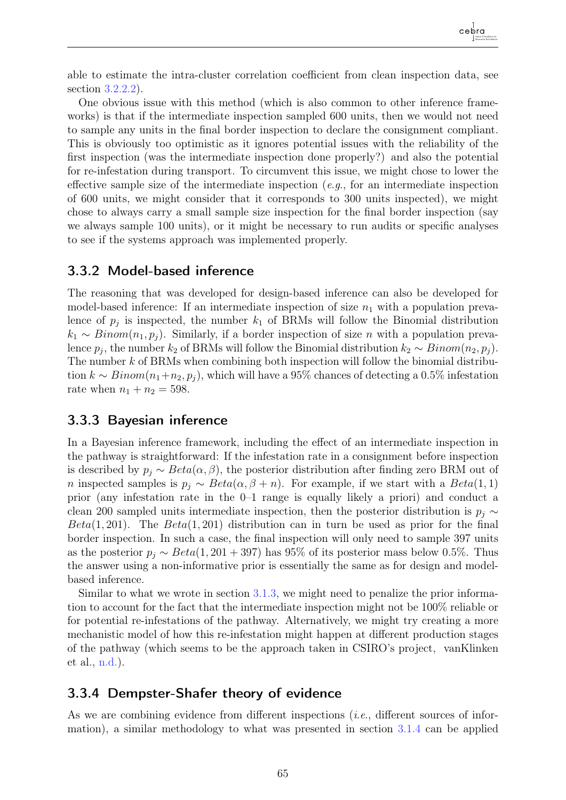able to estimate the intra-cluster correlation coefficient from clean inspection data, see section [3.2.2.2\)](#page-55-0).

One obvious issue with this method (which is also common to other inference frameworks) is that if the intermediate inspection sampled 600 units, then we would not need to sample any units in the final border inspection to declare the consignment compliant. This is obviously too optimistic as it ignores potential issues with the reliability of the first inspection (was the intermediate inspection done properly?) and also the potential for re-infestation during transport. To circumvent this issue, we might chose to lower the effective sample size of the intermediate inspection  $(e.g., for an intermediate inspection)$ of 600 units, we might consider that it corresponds to 300 units inspected), we might chose to always carry a small sample size inspection for the final border inspection (say we always sample 100 units), or it might be necessary to run audits or specific analyses to see if the systems approach was implemented properly.

# 3.3.2 Model-based inference

The reasoning that was developed for design-based inference can also be developed for model-based inference: If an intermediate inspection of size  $n_1$  with a population prevalence of  $p_j$  is inspected, the number  $k_1$  of BRMs will follow the Binomial distribution  $k_1 \sim Binom(n_1, p_j)$ . Similarly, if a border inspection of size n with a population prevalence  $p_j$ , the number  $k_2$  of BRMs will follow the Binomial distribution  $k_2 \sim Binom(n_2, p_j)$ . The number k of BRMs when combining both inspection will follow the binomial distribution  $k \sim Binom(n_1+n_2, p_i)$ , which will have a 95% chances of detecting a 0.5% infestation rate when  $n_1 + n_2 = 598$ .

## 3.3.3 Bayesian inference

In a Bayesian inference framework, including the effect of an intermediate inspection in the pathway is straightforward: If the infestation rate in a consignment before inspection is described by  $p_j \sim Beta(\alpha, \beta)$ , the posterior distribution after finding zero BRM out of n inspected samples is  $p_i \sim Beta(\alpha, \beta + n)$ . For example, if we start with a  $Beta(1, 1)$ prior (any infestation rate in the 0–1 range is equally likely a priori) and conduct a clean 200 sampled units intermediate inspection, then the posterior distribution is  $p_j \sim$ *Beta*(1, 201). The *Beta*(1, 201) distribution can in turn be used as prior for the final border inspection. In such a case, the final inspection will only need to sample 397 units as the posterior  $p_j \sim Beta(1, 201 + 397)$  has 95% of its posterior mass below 0.5%. Thus the answer using a non-informative prior is essentially the same as for design and modelbased inference.

Similar to what we wrote in section [3.1.3,](#page-44-2) we might need to penalize the prior information to account for the fact that the intermediate inspection might not be 100% reliable or for potential re-infestations of the pathway. Alternatively, we might try creating a more mechanistic model of how this re-infestation might happen at different production stages of the pathway (which seems to be the approach taken in CSIRO's project, vanKlinken et al., [n.d.\)](#page-85-10).

## 3.3.4 Dempster-Shafer theory of evidence

As we are combining evidence from different inspections (i.e., different sources of information), a similar methodology to what was presented in section [3.1.4](#page-48-1) can be applied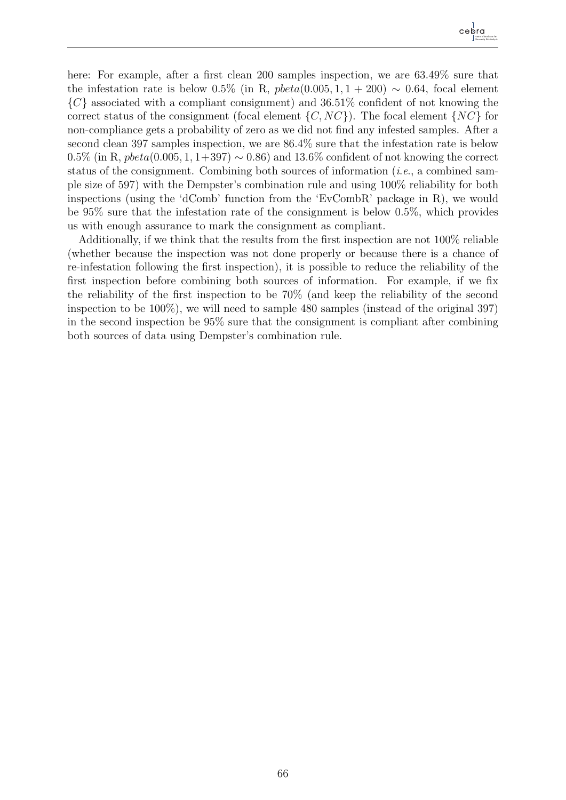here: For example, after a first clean 200 samples inspection, we are  $63.49\%$  sure that the infestation rate is below 0.5% (in R,  $pbeta(0.005, 1, 1 + 200) \sim 0.64$ , focal element  ${C}$  associated with a compliant consignment) and 36.51% confident of not knowing the correct status of the consignment (focal element  $\{C, NC\}$ ). The focal element  $\{NC\}$  for non-compliance gets a probability of zero as we did not find any infested samples. After a second clean 397 samples inspection, we are 86.4% sure that the infestation rate is below 0.5% (in R,  $pbeta(0.005, 1, 1+397) \sim 0.86$ ) and 13.6% confident of not knowing the correct status of the consignment. Combining both sources of information (i.e., a combined sample size of 597) with the Dempster's combination rule and using 100% reliability for both inspections (using the 'dComb' function from the 'EvCombR' package in R), we would be 95% sure that the infestation rate of the consignment is below 0.5%, which provides us with enough assurance to mark the consignment as compliant.

Additionally, if we think that the results from the first inspection are not 100% reliable (whether because the inspection was not done properly or because there is a chance of re-infestation following the first inspection), it is possible to reduce the reliability of the first inspection before combining both sources of information. For example, if we fix the reliability of the first inspection to be 70% (and keep the reliability of the second inspection to be 100%), we will need to sample 480 samples (instead of the original 397) in the second inspection be 95% sure that the consignment is compliant after combining both sources of data using Dempster's combination rule.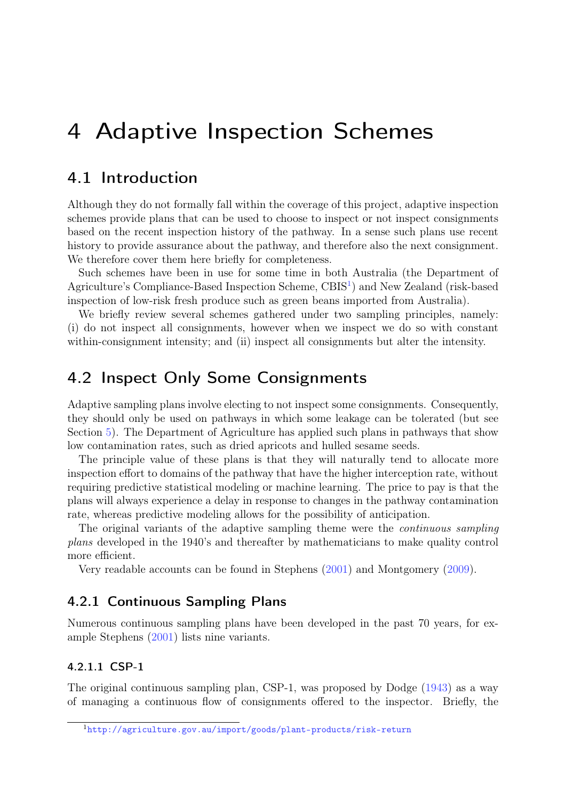# 4 Adaptive Inspection Schemes

# 4.1 Introduction

Although they do not formally fall within the coverage of this project, adaptive inspection schemes provide plans that can be used to choose to inspect or not inspect consignments based on the recent inspection history of the pathway. In a sense such plans use recent history to provide assurance about the pathway, and therefore also the next consignment. We therefore cover them here briefly for completeness.

Such schemes have been in use for some time in both Australia (the Department of Agriculture's Compliance-Based Inspection Scheme, CBIS<sup>[1](#page-66-0)</sup>) and New Zealand (risk-based inspection of low-risk fresh produce such as green beans imported from Australia).

We briefly review several schemes gathered under two sampling principles, namely: (i) do not inspect all consignments, however when we inspect we do so with constant within-consignment intensity; and (ii) inspect all consignments but alter the intensity.

# 4.2 Inspect Only Some Consignments

Adaptive sampling plans involve electing to not inspect some consignments. Consequently, they should only be used on pathways in which some leakage can be tolerated (but see Section [5\)](#page-73-0). The Department of Agriculture has applied such plans in pathways that show low contamination rates, such as dried apricots and hulled sesame seeds.

The principle value of these plans is that they will naturally tend to allocate more inspection effort to domains of the pathway that have the higher interception rate, without requiring predictive statistical modeling or machine learning. The price to pay is that the plans will always experience a delay in response to changes in the pathway contamination rate, whereas predictive modeling allows for the possibility of anticipation.

The original variants of the adaptive sampling theme were the continuous sampling plans developed in the 1940's and thereafter by mathematicians to make quality control more efficient.

Very readable accounts can be found in Stephens [\(2001\)](#page-85-12) and Montgomery [\(2009\)](#page-83-0).

#### <span id="page-66-1"></span>4.2.1 Continuous Sampling Plans

Numerous continuous sampling plans have been developed in the past 70 years, for example Stephens [\(2001\)](#page-85-12) lists nine variants.

#### 4.2.1.1 CSP-1

The original continuous sampling plan, CSP-1, was proposed by Dodge [\(1943\)](#page-80-12) as a way of managing a continuous flow of consignments offered to the inspector. Briefly, the

<span id="page-66-0"></span><sup>1</sup><http://agriculture.gov.au/import/goods/plant-products/risk-return>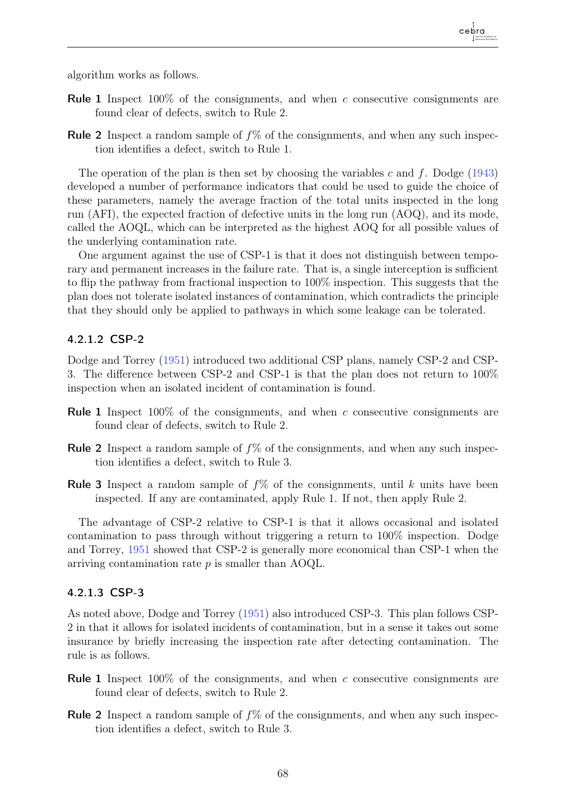algorithm works as follows.

- **Rule 1** Inspect 100% of the consignments, and when c consecutive consignments are found clear of defects, switch to Rule 2.
- **Rule 2** Inspect a random sample of  $f\%$  of the consignments, and when any such inspection identifies a defect, switch to Rule 1.

The operation of the plan is then set by choosing the variables c and f. Dodge  $(1943)$ developed a number of performance indicators that could be used to guide the choice of these parameters, namely the average fraction of the total units inspected in the long run (AFI), the expected fraction of defective units in the long run (AOQ), and its mode, called the AOQL, which can be interpreted as the highest AOQ for all possible values of the underlying contamination rate.

One argument against the use of CSP-1 is that it does not distinguish between temporary and permanent increases in the failure rate. That is, a single interception is sufficient to flip the pathway from fractional inspection to 100% inspection. This suggests that the plan does not tolerate isolated instances of contamination, which contradicts the principle that they should only be applied to pathways in which some leakage can be tolerated.

#### 4.2.1.2 CSP-2

Dodge and Torrey [\(1951\)](#page-80-13) introduced two additional CSP plans, namely CSP-2 and CSP-3. The difference between CSP-2 and CSP-1 is that the plan does not return to 100% inspection when an isolated incident of contamination is found.

- **Rule 1** Inspect  $100\%$  of the consignments, and when c consecutive consignments are found clear of defects, switch to Rule 2.
- **Rule 2** Inspect a random sample of  $f\%$  of the consignments, and when any such inspection identifies a defect, switch to Rule 3.
- **Rule 3** Inspect a random sample of  $f\%$  of the consignments, until k units have been inspected. If any are contaminated, apply Rule 1. If not, then apply Rule 2.

The advantage of CSP-2 relative to CSP-1 is that it allows occasional and isolated contamination to pass through without triggering a return to 100% inspection. Dodge and Torrey, [1951](#page-80-13) showed that CSP-2 is generally more economical than CSP-1 when the arriving contamination rate  $p$  is smaller than AOQL.

#### 4.2.1.3 CSP-3

As noted above, Dodge and Torrey [\(1951\)](#page-80-13) also introduced CSP-3. This plan follows CSP-2 in that it allows for isolated incidents of contamination, but in a sense it takes out some insurance by briefly increasing the inspection rate after detecting contamination. The rule is as follows.

- **Rule 1** Inspect  $100\%$  of the consignments, and when c consecutive consignments are found clear of defects, switch to Rule 2.
- **Rule 2** Inspect a random sample of  $f\%$  of the consignments, and when any such inspection identifies a defect, switch to Rule 3.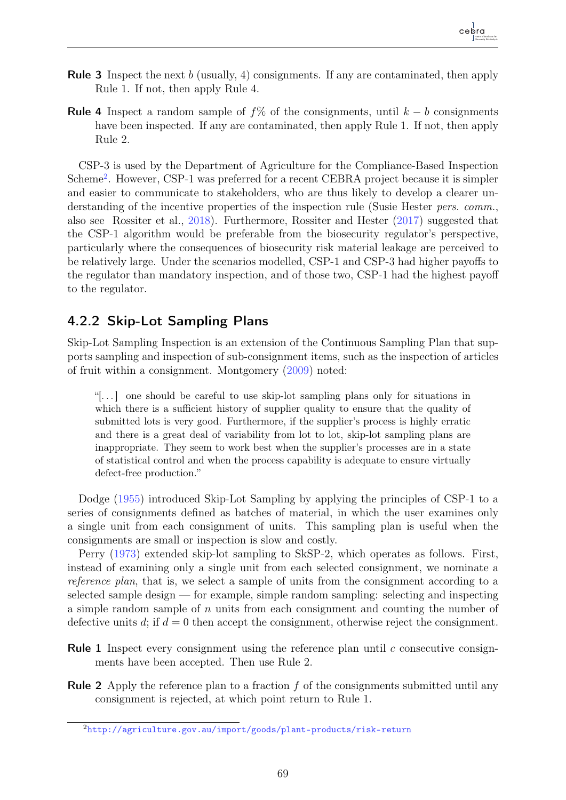- **Rule 3** Inspect the next b (usually, 4) consignments. If any are contaminated, then apply Rule 1. If not, then apply Rule 4.
- **Rule 4** Inspect a random sample of  $f\%$  of the consignments, until  $k b$  consignments have been inspected. If any are contaminated, then apply Rule 1. If not, then apply Rule 2.

CSP-3 is used by the Department of Agriculture for the Compliance-Based Inspection Scheme<sup>[2](#page-68-0)</sup>. However, CSP-1 was preferred for a recent CEBRA project because it is simpler and easier to communicate to stakeholders, who are thus likely to develop a clearer understanding of the incentive properties of the inspection rule (Susie Hester *pers. comm.*, also see Rossiter et al., [2018\)](#page-84-7). Furthermore, Rossiter and Hester [\(2017\)](#page-84-8) suggested that the CSP-1 algorithm would be preferable from the biosecurity regulator's perspective, particularly where the consequences of biosecurity risk material leakage are perceived to be relatively large. Under the scenarios modelled, CSP-1 and CSP-3 had higher payoffs to the regulator than mandatory inspection, and of those two, CSP-1 had the highest payoff to the regulator.

# 4.2.2 Skip-Lot Sampling Plans

Skip-Lot Sampling Inspection is an extension of the Continuous Sampling Plan that supports sampling and inspection of sub-consignment items, such as the inspection of articles of fruit within a consignment. Montgomery [\(2009\)](#page-83-0) noted:

"[ $\dots$ ] one should be careful to use skip-lot sampling plans only for situations in which there is a sufficient history of supplier quality to ensure that the quality of submitted lots is very good. Furthermore, if the supplier's process is highly erratic and there is a great deal of variability from lot to lot, skip-lot sampling plans are inappropriate. They seem to work best when the supplier's processes are in a state of statistical control and when the process capability is adequate to ensure virtually defect-free production."

Dodge [\(1955\)](#page-80-14) introduced Skip-Lot Sampling by applying the principles of CSP-1 to a series of consignments defined as batches of material, in which the user examines only a single unit from each consignment of units. This sampling plan is useful when the consignments are small or inspection is slow and costly.

Perry [\(1973\)](#page-84-9) extended skip-lot sampling to SkSP-2, which operates as follows. First, instead of examining only a single unit from each selected consignment, we nominate a reference plan, that is, we select a sample of units from the consignment according to a selected sample design — for example, simple random sampling: selecting and inspecting a simple random sample of  $n$  units from each consignment and counting the number of defective units d; if  $d = 0$  then accept the consignment, otherwise reject the consignment.

- **Rule 1** Inspect every consignment using the reference plan until  $c$  consecutive consignments have been accepted. Then use Rule 2.
- **Rule 2** Apply the reference plan to a fraction  $f$  of the consignments submitted until any consignment is rejected, at which point return to Rule 1.

<span id="page-68-0"></span><sup>2</sup><http://agriculture.gov.au/import/goods/plant-products/risk-return>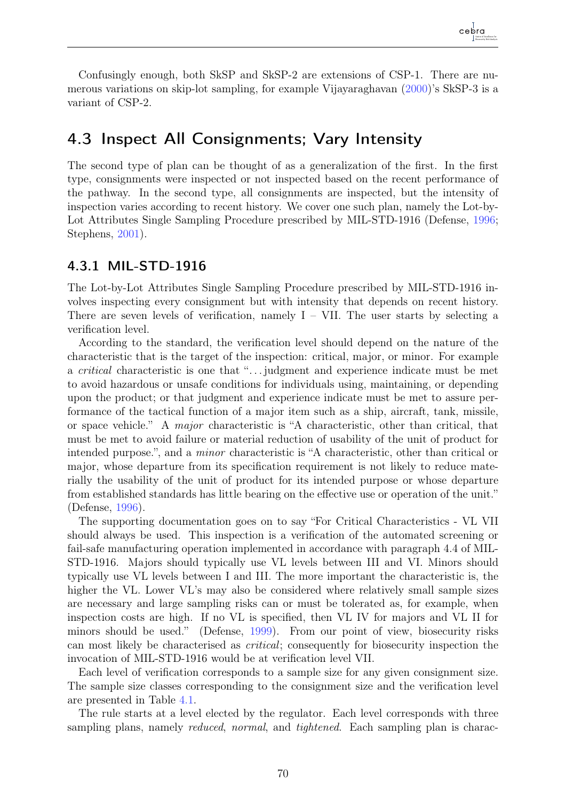Confusingly enough, both SkSP and SkSP-2 are extensions of CSP-1. There are numerous variations on skip-lot sampling, for example Vijayaraghavan [\(2000\)](#page-85-13)'s SkSP-3 is a variant of CSP-2.

# 4.3 Inspect All Consignments; Vary Intensity

The second type of plan can be thought of as a generalization of the first. In the first type, consignments were inspected or not inspected based on the recent performance of the pathway. In the second type, all consignments are inspected, but the intensity of inspection varies according to recent history. We cover one such plan, namely the Lot-by-Lot Attributes Single Sampling Procedure prescribed by MIL-STD-1916 (Defense, [1996;](#page-80-15) Stephens, [2001\)](#page-85-12).

#### 4.3.1 MIL-STD-1916

The Lot-by-Lot Attributes Single Sampling Procedure prescribed by MIL-STD-1916 involves inspecting every consignment but with intensity that depends on recent history. There are seven levels of verification, namely  $I - VII$ . The user starts by selecting a verification level.

According to the standard, the verification level should depend on the nature of the characteristic that is the target of the inspection: critical, major, or minor. For example a critical characteristic is one that ". . . judgment and experience indicate must be met to avoid hazardous or unsafe conditions for individuals using, maintaining, or depending upon the product; or that judgment and experience indicate must be met to assure performance of the tactical function of a major item such as a ship, aircraft, tank, missile, or space vehicle." A major characteristic is "A characteristic, other than critical, that must be met to avoid failure or material reduction of usability of the unit of product for intended purpose.", and a minor characteristic is "A characteristic, other than critical or major, whose departure from its specification requirement is not likely to reduce materially the usability of the unit of product for its intended purpose or whose departure from established standards has little bearing on the effective use or operation of the unit." (Defense, [1996\)](#page-80-15).

The supporting documentation goes on to say "For Critical Characteristics - VL VII should always be used. This inspection is a verification of the automated screening or fail-safe manufacturing operation implemented in accordance with paragraph 4.4 of MIL-STD-1916. Majors should typically use VL levels between III and VI. Minors should typically use VL levels between I and III. The more important the characteristic is, the higher the VL. Lower VL's may also be considered where relatively small sample sizes are necessary and large sampling risks can or must be tolerated as, for example, when inspection costs are high. If no VL is specified, then VL IV for majors and VL II for minors should be used." (Defense, [1999\)](#page-80-16). From our point of view, biosecurity risks can most likely be characterised as critical; consequently for biosecurity inspection the invocation of MIL-STD-1916 would be at verification level VII.

Each level of verification corresponds to a sample size for any given consignment size. The sample size classes corresponding to the consignment size and the verification level are presented in Table [4.1.](#page-70-0)

The rule starts at a level elected by the regulator. Each level corresponds with three sampling plans, namely *reduced, normal*, and *tightened*. Each sampling plan is charac-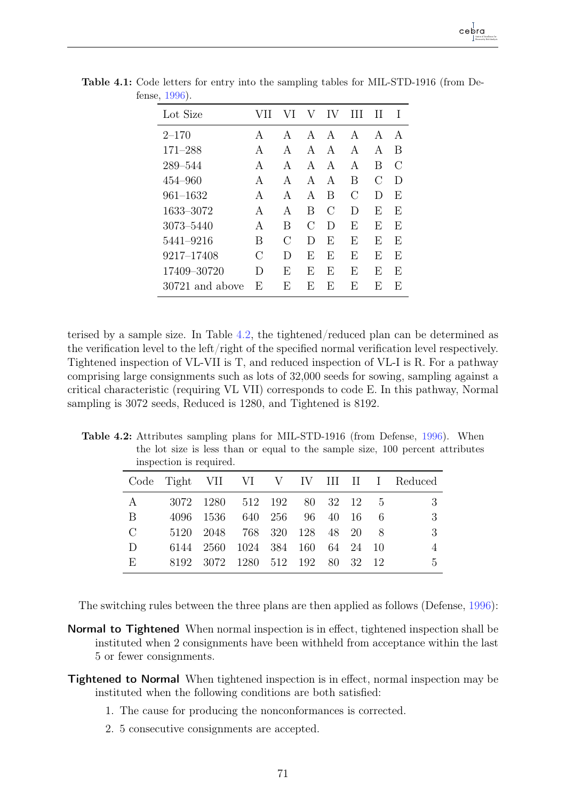| ,               |   |               |         |         |           |   |               |
|-----------------|---|---------------|---------|---------|-----------|---|---------------|
| Lot Size        |   |               | V       | IV      | Ш         | Ш |               |
| $2 - 170$       | A | A             | A       | A       | A         | A | A             |
| $171 - 288$     | A | A             | A       | A       | A         | A | B             |
| 289-544         | A | A             | А       | A       | A         | В | $\mathcal{C}$ |
| 454-960         | A | A             | A       | A       | B         | С | D             |
| $961 - 1632$    | A | A             | A       | B       | $\bigcap$ | D | E             |
| 1633-3072       | A | A             | B       | $\rm C$ | D         | E | E             |
| 3073–5440       | A | В             | $\rm C$ | D       | E         | E | E             |
| 5441-9216       | B | $\mathcal{C}$ | D       | E       | E         | E | E             |
| 9217-17408      | С | D             | Е       | Ε       | E         | Ε | Ε             |
| 17409-30720     | D | E             | E       | E       | E         | E | E             |
| 30721 and above | E | F,            | E       | E       | F,        | E | E             |
|                 |   |               |         |         |           |   |               |

<span id="page-70-0"></span>Table 4.1: Code letters for entry into the sampling tables for MIL-STD-1916 (from Defense, [1996\)](#page-80-15).

terised by a sample size. In Table [4.2,](#page-70-1) the tightened/reduced plan can be determined as the verification level to the left/right of the specified normal verification level respectively. Tightened inspection of VL-VII is T, and reduced inspection of VL-I is R. For a pathway comprising large consignments such as lots of 32,000 seeds for sowing, sampling against a critical characteristic (requiring VL VII) corresponds to code E. In this pathway, Normal sampling is 3072 seeds, Reduced is 1280, and Tightened is 8192.

<span id="page-70-1"></span>Table 4.2: Attributes sampling plans for MIL-STD-1916 (from Defense, [1996\)](#page-80-15). When the lot size is less than or equal to the sample size, 100 percent attributes inspection is required.

|               |           |                                 |                  |  |          |    | Code Tight VII VI V IV III II I Reduced |
|---------------|-----------|---------------------------------|------------------|--|----------|----|-----------------------------------------|
| $\mathbf{A}$  |           | 3072 1280 512 192 80 32 12 5    |                  |  |          |    |                                         |
| B             | 4096 1536 |                                 | 640 256 96 40 16 |  |          | -6 |                                         |
| $\mathcal{C}$ |           | 5120 2048 768 320 128 48 20     |                  |  |          | -8 |                                         |
| D             |           | 6144 2560 1024 384 160 64 24 10 |                  |  |          |    |                                         |
| E             |           | 8192 3072 1280 512 192          |                  |  | 80 32 12 |    | 5                                       |

The switching rules between the three plans are then applied as follows (Defense, [1996\)](#page-80-15):

- Normal to Tightened When normal inspection is in effect, tightened inspection shall be instituted when 2 consignments have been withheld from acceptance within the last 5 or fewer consignments.
- Tightened to Normal When tightened inspection is in effect, normal inspection may be instituted when the following conditions are both satisfied:
	- 1. The cause for producing the nonconformances is corrected.
	- 2. 5 consecutive consignments are accepted.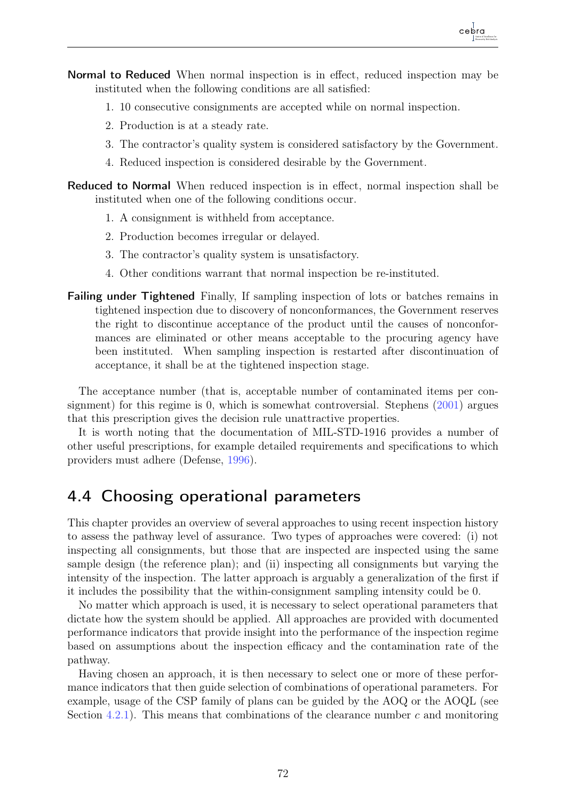- Normal to Reduced When normal inspection is in effect, reduced inspection may be instituted when the following conditions are all satisfied:
	- 1. 10 consecutive consignments are accepted while on normal inspection.
	- 2. Production is at a steady rate.
	- 3. The contractor's quality system is considered satisfactory by the Government.
	- 4. Reduced inspection is considered desirable by the Government.

Reduced to Normal When reduced inspection is in effect, normal inspection shall be instituted when one of the following conditions occur.

- 1. A consignment is withheld from acceptance.
- 2. Production becomes irregular or delayed.
- 3. The contractor's quality system is unsatisfactory.
- 4. Other conditions warrant that normal inspection be re-instituted.
- Failing under Tightened Finally, If sampling inspection of lots or batches remains in tightened inspection due to discovery of nonconformances, the Government reserves the right to discontinue acceptance of the product until the causes of nonconformances are eliminated or other means acceptable to the procuring agency have been instituted. When sampling inspection is restarted after discontinuation of acceptance, it shall be at the tightened inspection stage.

The acceptance number (that is, acceptable number of contaminated items per consignment) for this regime is 0, which is somewhat controversial. Stephens [\(2001\)](#page-85-12) argues that this prescription gives the decision rule unattractive properties.

It is worth noting that the documentation of MIL-STD-1916 provides a number of other useful prescriptions, for example detailed requirements and specifications to which providers must adhere (Defense, [1996\)](#page-80-15).

# 4.4 Choosing operational parameters

This chapter provides an overview of several approaches to using recent inspection history to assess the pathway level of assurance. Two types of approaches were covered: (i) not inspecting all consignments, but those that are inspected are inspected using the same sample design (the reference plan); and (ii) inspecting all consignments but varying the intensity of the inspection. The latter approach is arguably a generalization of the first if it includes the possibility that the within-consignment sampling intensity could be 0.

No matter which approach is used, it is necessary to select operational parameters that dictate how the system should be applied. All approaches are provided with documented performance indicators that provide insight into the performance of the inspection regime based on assumptions about the inspection efficacy and the contamination rate of the pathway.

Having chosen an approach, it is then necessary to select one or more of these performance indicators that then guide selection of combinations of operational parameters. For example, usage of the CSP family of plans can be guided by the AOQ or the AOQL (see Section [4.2.1\)](#page-66-1). This means that combinations of the clearance number c and monitoring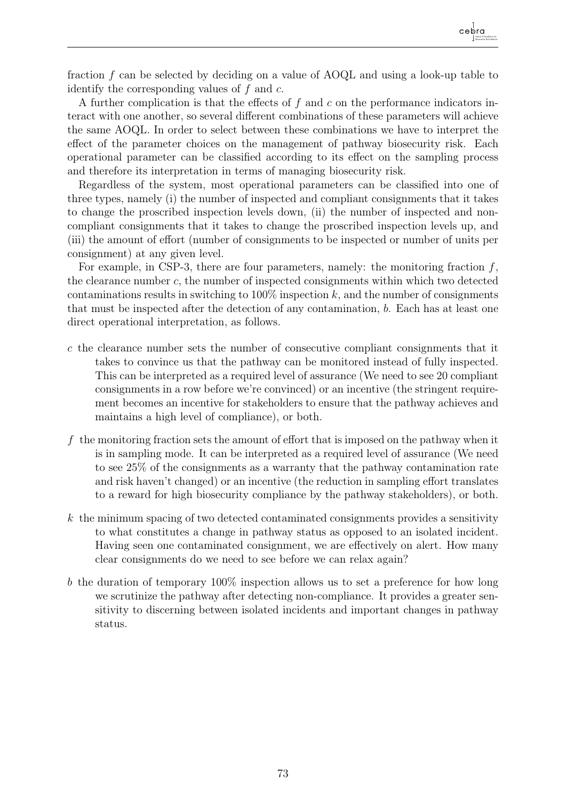fraction f can be selected by deciding on a value of AOQL and using a look-up table to identify the corresponding values of  $f$  and  $c$ .

A further complication is that the effects of  $f$  and  $c$  on the performance indicators interact with one another, so several different combinations of these parameters will achieve the same AOQL. In order to select between these combinations we have to interpret the effect of the parameter choices on the management of pathway biosecurity risk. Each operational parameter can be classified according to its effect on the sampling process and therefore its interpretation in terms of managing biosecurity risk.

Regardless of the system, most operational parameters can be classified into one of three types, namely (i) the number of inspected and compliant consignments that it takes to change the proscribed inspection levels down, (ii) the number of inspected and noncompliant consignments that it takes to change the proscribed inspection levels up, and (iii) the amount of effort (number of consignments to be inspected or number of units per consignment) at any given level.

For example, in CSP-3, there are four parameters, namely: the monitoring fraction  $f$ , the clearance number  $c$ , the number of inspected consignments within which two detected contaminations results in switching to  $100\%$  inspection k, and the number of consignments that must be inspected after the detection of any contamination, b. Each has at least one direct operational interpretation, as follows.

- c the clearance number sets the number of consecutive compliant consignments that it takes to convince us that the pathway can be monitored instead of fully inspected. This can be interpreted as a required level of assurance (We need to see 20 compliant consignments in a row before we're convinced) or an incentive (the stringent requirement becomes an incentive for stakeholders to ensure that the pathway achieves and maintains a high level of compliance), or both.
- $f$  the monitoring fraction sets the amount of effort that is imposed on the pathway when it is in sampling mode. It can be interpreted as a required level of assurance (We need to see 25% of the consignments as a warranty that the pathway contamination rate and risk haven't changed) or an incentive (the reduction in sampling effort translates to a reward for high biosecurity compliance by the pathway stakeholders), or both.
- $k$  the minimum spacing of two detected contaminated consignments provides a sensitivity to what constitutes a change in pathway status as opposed to an isolated incident. Having seen one contaminated consignment, we are effectively on alert. How many clear consignments do we need to see before we can relax again?
- b the duration of temporary 100% inspection allows us to set a preference for how long we scrutinize the pathway after detecting non-compliance. It provides a greater sensitivity to discerning between isolated incidents and important changes in pathway status.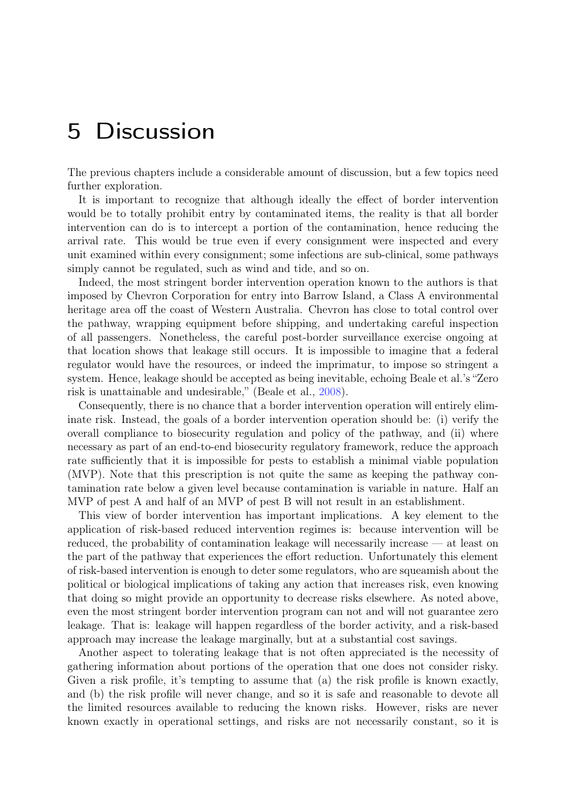### 5 Discussion

The previous chapters include a considerable amount of discussion, but a few topics need further exploration.

It is important to recognize that although ideally the effect of border intervention would be to totally prohibit entry by contaminated items, the reality is that all border intervention can do is to intercept a portion of the contamination, hence reducing the arrival rate. This would be true even if every consignment were inspected and every unit examined within every consignment; some infections are sub-clinical, some pathways simply cannot be regulated, such as wind and tide, and so on.

Indeed, the most stringent border intervention operation known to the authors is that imposed by Chevron Corporation for entry into Barrow Island, a Class A environmental heritage area off the coast of Western Australia. Chevron has close to total control over the pathway, wrapping equipment before shipping, and undertaking careful inspection of all passengers. Nonetheless, the careful post-border surveillance exercise ongoing at that location shows that leakage still occurs. It is impossible to imagine that a federal regulator would have the resources, or indeed the imprimatur, to impose so stringent a system. Hence, leakage should be accepted as being inevitable, echoing Beale et al.'s "Zero risk is unattainable and undesirable," (Beale et al., [2008\)](#page-79-0).

Consequently, there is no chance that a border intervention operation will entirely eliminate risk. Instead, the goals of a border intervention operation should be: (i) verify the overall compliance to biosecurity regulation and policy of the pathway, and (ii) where necessary as part of an end-to-end biosecurity regulatory framework, reduce the approach rate sufficiently that it is impossible for pests to establish a minimal viable population (MVP). Note that this prescription is not quite the same as keeping the pathway contamination rate below a given level because contamination is variable in nature. Half an MVP of pest A and half of an MVP of pest B will not result in an establishment.

This view of border intervention has important implications. A key element to the application of risk-based reduced intervention regimes is: because intervention will be reduced, the probability of contamination leakage will necessarily increase — at least on the part of the pathway that experiences the effort reduction. Unfortunately this element of risk-based intervention is enough to deter some regulators, who are squeamish about the political or biological implications of taking any action that increases risk, even knowing that doing so might provide an opportunity to decrease risks elsewhere. As noted above, even the most stringent border intervention program can not and will not guarantee zero leakage. That is: leakage will happen regardless of the border activity, and a risk-based approach may increase the leakage marginally, but at a substantial cost savings.

Another aspect to tolerating leakage that is not often appreciated is the necessity of gathering information about portions of the operation that one does not consider risky. Given a risk profile, it's tempting to assume that (a) the risk profile is known exactly, and (b) the risk profile will never change, and so it is safe and reasonable to devote all the limited resources available to reducing the known risks. However, risks are never known exactly in operational settings, and risks are not necessarily constant, so it is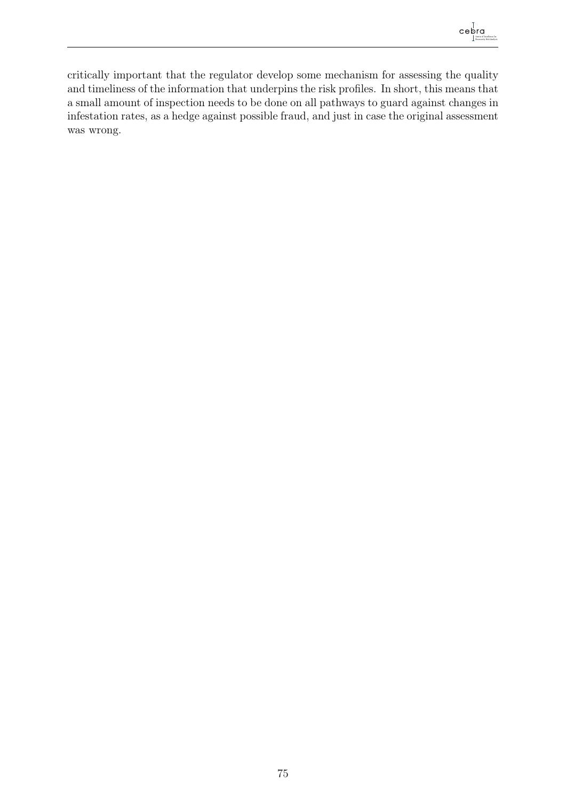critically important that the regulator develop some mechanism for assessing the quality and timeliness of the information that underpins the risk profiles. In short, this means that a small amount of inspection needs to be done on all pathways to guard against changes in infestation rates, as a hedge against possible fraud, and just in case the original assessment was wrong.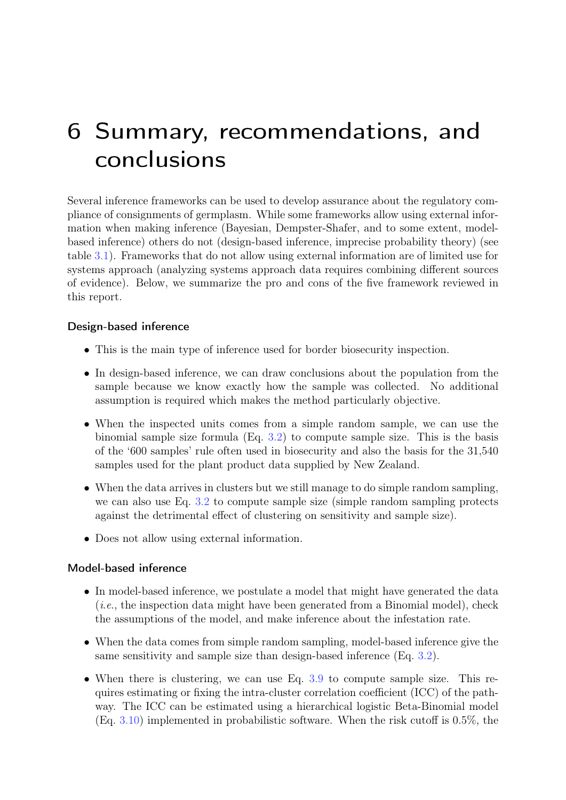# 6 Summary, recommendations, and conclusions

Several inference frameworks can be used to develop assurance about the regulatory compliance of consignments of germplasm. While some frameworks allow using external information when making inference (Bayesian, Dempster-Shafer, and to some extent, modelbased inference) others do not (design-based inference, imprecise probability theory) (see table [3.1\)](#page-43-0). Frameworks that do not allow using external information are of limited use for systems approach (analyzing systems approach data requires combining different sources of evidence). Below, we summarize the pro and cons of the five framework reviewed in this report.

#### Design-based inference

- This is the main type of inference used for border biosecurity inspection.
- In design-based inference, we can draw conclusions about the population from the sample because we know exactly how the sample was collected. No additional assumption is required which makes the method particularly objective.
- When the inspected units comes from a simple random sample, we can use the binomial sample size formula (Eq. [3.2\)](#page-44-0) to compute sample size. This is the basis of the '600 samples' rule often used in biosecurity and also the basis for the 31,540 samples used for the plant product data supplied by New Zealand.
- When the data arrives in clusters but we still manage to do simple random sampling, we can also use Eq. [3.2](#page-44-0) to compute sample size (simple random sampling protects against the detrimental effect of clustering on sensitivity and sample size).
- Does not allow using external information.

#### Model-based inference

- In model-based inference, we postulate a model that might have generated the data (i.e., the inspection data might have been generated from a Binomial model), check the assumptions of the model, and make inference about the infestation rate.
- When the data comes from simple random sampling, model-based inference give the same sensitivity and sample size than design-based inference (Eq. [3.2\)](#page-44-0).
- When there is clustering, we can use Eq. [3.9](#page-54-0) to compute sample size. This requires estimating or fixing the intra-cluster correlation coefficient (ICC) of the pathway. The ICC can be estimated using a hierarchical logistic Beta-Binomial model (Eq. [3.10\)](#page-57-0) implemented in probabilistic software. When the risk cutoff is 0.5%, the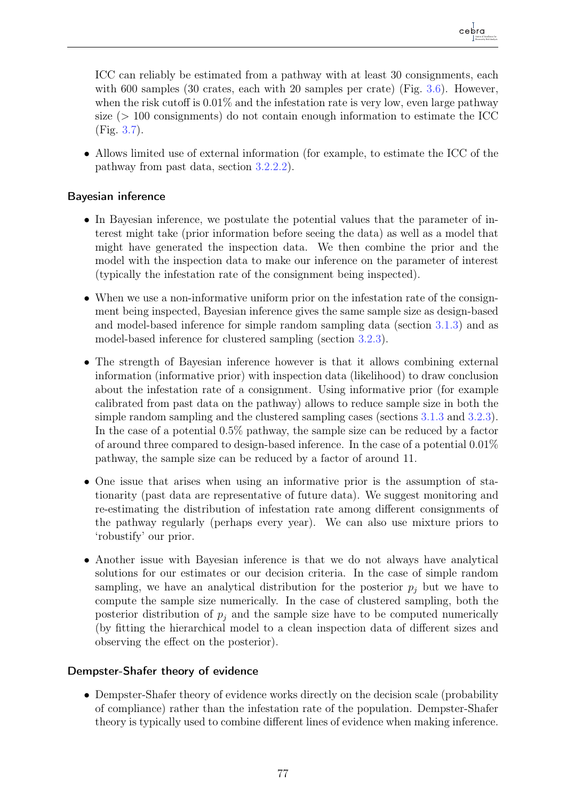ICC can reliably be estimated from a pathway with at least 30 consignments, each with 600 samples (30 crates, each with 20 samples per crate) (Fig. [3.6\)](#page-58-0). However, when the risk cutoff is  $0.01\%$  and the infestation rate is very low, even large pathway size (> 100 consignments) do not contain enough information to estimate the ICC (Fig. [3.7\)](#page-59-0).

• Allows limited use of external information (for example, to estimate the ICC of the pathway from past data, section [3.2.2.2\)](#page-55-0).

#### Bayesian inference

- In Bayesian inference, we postulate the potential values that the parameter of interest might take (prior information before seeing the data) as well as a model that might have generated the inspection data. We then combine the prior and the model with the inspection data to make our inference on the parameter of interest (typically the infestation rate of the consignment being inspected).
- When we use a non-informative uniform prior on the infestation rate of the consignment being inspected, Bayesian inference gives the same sample size as design-based and model-based inference for simple random sampling data (section [3.1.3\)](#page-44-1) and as model-based inference for clustered sampling (section [3.2.3\)](#page-59-1).
- The strength of Bayesian inference however is that it allows combining external information (informative prior) with inspection data (likelihood) to draw conclusion about the infestation rate of a consignment. Using informative prior (for example calibrated from past data on the pathway) allows to reduce sample size in both the simple random sampling and the clustered sampling cases (sections [3.1.3](#page-44-1) and [3.2.3\)](#page-59-1). In the case of a potential 0.5% pathway, the sample size can be reduced by a factor of around three compared to design-based inference. In the case of a potential 0.01% pathway, the sample size can be reduced by a factor of around 11.
- One issue that arises when using an informative prior is the assumption of stationarity (past data are representative of future data). We suggest monitoring and re-estimating the distribution of infestation rate among different consignments of the pathway regularly (perhaps every year). We can also use mixture priors to 'robustify' our prior.
- Another issue with Bayesian inference is that we do not always have analytical solutions for our estimates or our decision criteria. In the case of simple random sampling, we have an analytical distribution for the posterior  $p_i$  but we have to compute the sample size numerically. In the case of clustered sampling, both the posterior distribution of  $p_i$  and the sample size have to be computed numerically (by fitting the hierarchical model to a clean inspection data of different sizes and observing the effect on the posterior).

#### Dempster-Shafer theory of evidence

• Dempster-Shafer theory of evidence works directly on the decision scale (probability of compliance) rather than the infestation rate of the population. Dempster-Shafer theory is typically used to combine different lines of evidence when making inference.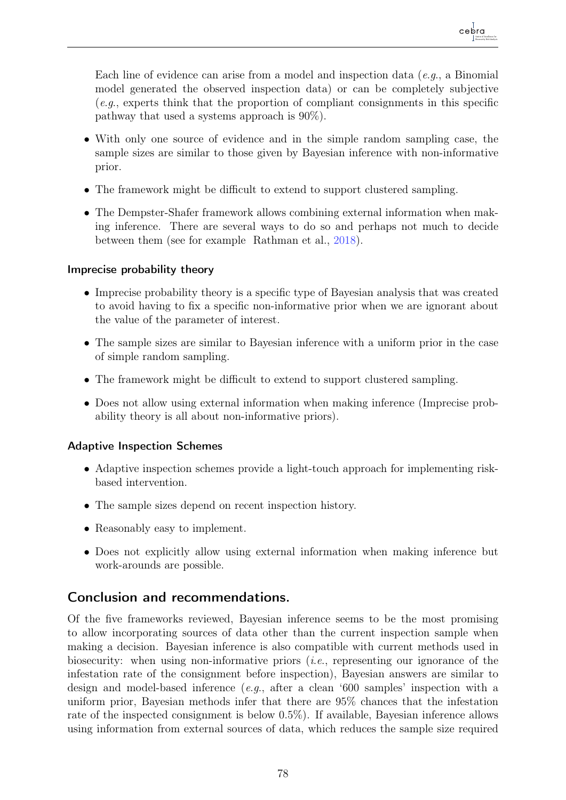Each line of evidence can arise from a model and inspection data  $(e,q)$ , a Binomial model generated the observed inspection data) or can be completely subjective  $(e, q)$ , experts think that the proportion of compliant consignments in this specific pathway that used a systems approach is 90%).

- With only one source of evidence and in the simple random sampling case, the sample sizes are similar to those given by Bayesian inference with non-informative prior.
- The framework might be difficult to extend to support clustered sampling.
- The Dempster-Shafer framework allows combining external information when making inference. There are several ways to do so and perhaps not much to decide between them (see for example Rathman et al., [2018\)](#page-84-0).

#### Imprecise probability theory

- Imprecise probability theory is a specific type of Bayesian analysis that was created to avoid having to fix a specific non-informative prior when we are ignorant about the value of the parameter of interest.
- The sample sizes are similar to Bayesian inference with a uniform prior in the case of simple random sampling.
- The framework might be difficult to extend to support clustered sampling.
- Does not allow using external information when making inference (Imprecise probability theory is all about non-informative priors).

#### Adaptive Inspection Schemes

- Adaptive inspection schemes provide a light-touch approach for implementing riskbased intervention.
- The sample sizes depend on recent inspection history.
- Reasonably easy to implement.
- Does not explicitly allow using external information when making inference but work-arounds are possible.

### Conclusion and recommendations.

Of the five frameworks reviewed, Bayesian inference seems to be the most promising to allow incorporating sources of data other than the current inspection sample when making a decision. Bayesian inference is also compatible with current methods used in biosecurity: when using non-informative priors  $(i.e.,$  representing our ignorance of the infestation rate of the consignment before inspection), Bayesian answers are similar to design and model-based inference (e.g., after a clean '600 samples' inspection with a uniform prior, Bayesian methods infer that there are 95% chances that the infestation rate of the inspected consignment is below 0.5%). If available, Bayesian inference allows using information from external sources of data, which reduces the sample size required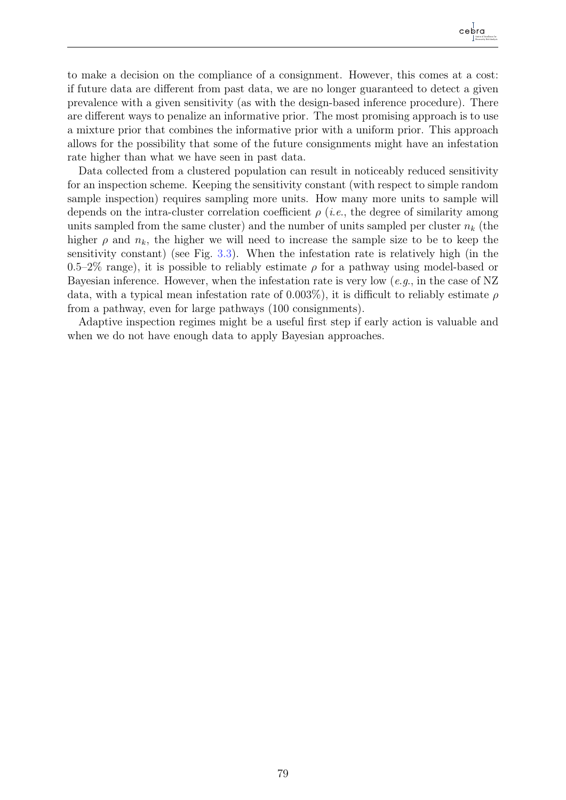to make a decision on the compliance of a consignment. However, this comes at a cost: if future data are different from past data, we are no longer guaranteed to detect a given prevalence with a given sensitivity (as with the design-based inference procedure). There are different ways to penalize an informative prior. The most promising approach is to use a mixture prior that combines the informative prior with a uniform prior. This approach allows for the possibility that some of the future consignments might have an infestation rate higher than what we have seen in past data.

Data collected from a clustered population can result in noticeably reduced sensitivity for an inspection scheme. Keeping the sensitivity constant (with respect to simple random sample inspection) requires sampling more units. How many more units to sample will depends on the intra-cluster correlation coefficient  $\rho$  (*i.e.*, the degree of similarity among units sampled from the same cluster) and the number of units sampled per cluster  $n_k$  (the higher  $\rho$  and  $n_k$ , the higher we will need to increase the sample size to be to keep the sensitivity constant) (see Fig. [3.3\)](#page-54-1). When the infestation rate is relatively high (in the 0.5–2% range), it is possible to reliably estimate  $\rho$  for a pathway using model-based or Bayesian inference. However, when the infestation rate is very low (e.g., in the case of NZ data, with a typical mean infestation rate of 0.003%), it is difficult to reliably estimate  $\rho$ from a pathway, even for large pathways (100 consignments).

Adaptive inspection regimes might be a useful first step if early action is valuable and when we do not have enough data to apply Bayesian approaches.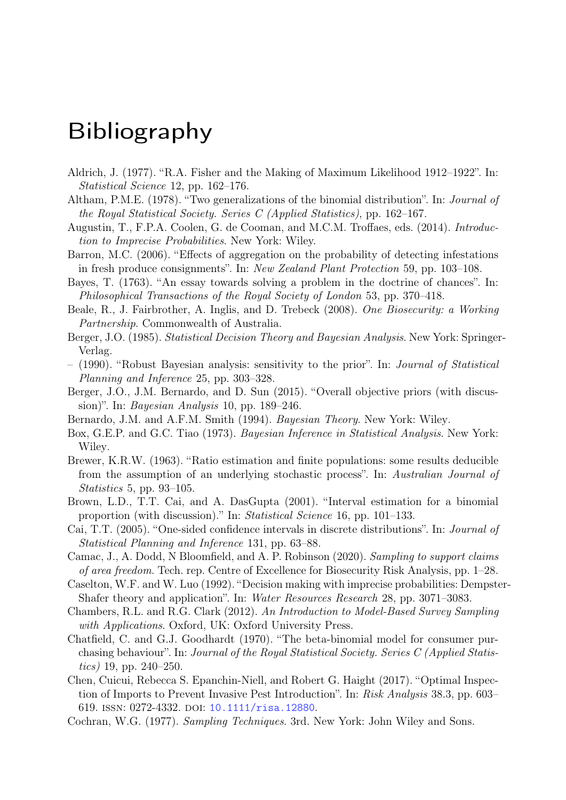## Bibliography

- Aldrich, J. (1977). "R.A. Fisher and the Making of Maximum Likelihood 1912–1922". In: Statistical Science 12, pp. 162–176.
- Altham, P.M.E. (1978). "Two generalizations of the binomial distribution". In: Journal of the Royal Statistical Society. Series C (Applied Statistics), pp. 162–167.
- Augustin, T., F.P.A. Coolen, G. de Cooman, and M.C.M. Troffaes, eds. (2014). Introduction to Imprecise Probabilities. New York: Wiley.
- Barron, M.C. (2006). "Effects of aggregation on the probability of detecting infestations in fresh produce consignments". In: New Zealand Plant Protection 59, pp. 103–108.

Bayes, T. (1763). "An essay towards solving a problem in the doctrine of chances". In: Philosophical Transactions of the Royal Society of London 53, pp. 370–418.

- <span id="page-79-0"></span>Beale, R., J. Fairbrother, A. Inglis, and D. Trebeck (2008). One Biosecurity: a Working Partnership. Commonwealth of Australia.
- Berger, J.O. (1985). Statistical Decision Theory and Bayesian Analysis. New York: Springer-Verlag.
- (1990). "Robust Bayesian analysis: sensitivity to the prior". In: Journal of Statistical Planning and Inference 25, pp. 303–328.
- Berger, J.O., J.M. Bernardo, and D. Sun (2015). "Overall objective priors (with discussion)". In: Bayesian Analysis 10, pp. 189–246.
- Bernardo, J.M. and A.F.M. Smith (1994). Bayesian Theory. New York: Wiley.
- Box, G.E.P. and G.C. Tiao (1973). Bayesian Inference in Statistical Analysis. New York: Wiley.
- Brewer, K.R.W. (1963). "Ratio estimation and finite populations: some results deducible from the assumption of an underlying stochastic process". In: Australian Journal of Statistics 5, pp. 93–105.
- Brown, L.D., T.T. Cai, and A. DasGupta (2001). "Interval estimation for a binomial proportion (with discussion)." In: Statistical Science 16, pp. 101–133.
- Cai, T.T. (2005). "One-sided confidence intervals in discrete distributions". In: Journal of Statistical Planning and Inference 131, pp. 63–88.
- Camac, J., A. Dodd, N Bloomfield, and A. P. Robinson (2020). Sampling to support claims of area freedom. Tech. rep. Centre of Excellence for Biosecurity Risk Analysis, pp. 1–28.
- Caselton, W.F. and W. Luo (1992). "Decision making with imprecise probabilities: Dempster-Shafer theory and application". In: Water Resources Research 28, pp. 3071–3083.
- Chambers, R.L. and R.G. Clark (2012). An Introduction to Model-Based Survey Sampling with Applications. Oxford, UK: Oxford University Press.
- Chatfield, C. and G.J. Goodhardt (1970). "The beta-binomial model for consumer purchasing behaviour". In: Journal of the Royal Statistical Society. Series C (Applied Statistics) 19, pp. 240–250.
- Chen, Cuicui, Rebecca S. Epanchin-Niell, and Robert G. Haight (2017). "Optimal Inspection of Imports to Prevent Invasive Pest Introduction". In: Risk Analysis 38.3, pp. 603– 619. issn: 0272-4332. doi: [10.1111/risa.12880](https://doi.org/10.1111/risa.12880).
- Cochran, W.G. (1977). Sampling Techniques. 3rd. New York: John Wiley and Sons.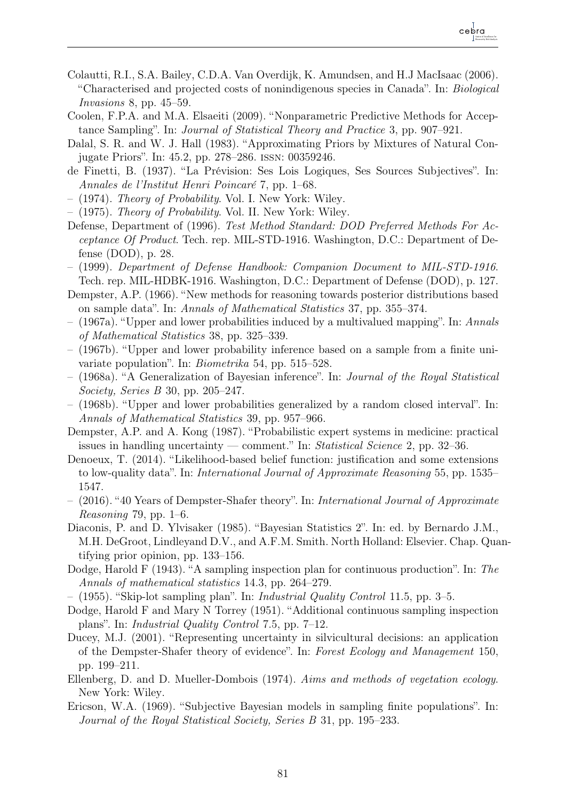

- Colautti, R.I., S.A. Bailey, C.D.A. Van Overdijk, K. Amundsen, and H.J MacIsaac (2006). "Characterised and projected costs of nonindigenous species in Canada". In: Biological Invasions 8, pp. 45–59.
- Coolen, F.P.A. and M.A. Elsaeiti (2009). "Nonparametric Predictive Methods for Acceptance Sampling". In: Journal of Statistical Theory and Practice 3, pp. 907–921.
- Dalal, S. R. and W. J. Hall (1983). "Approximating Priors by Mixtures of Natural Conjugate Priors". In: 45.2, pp. 278–286. issn: 00359246.
- de Finetti, B. (1937). "La Prévision: Ses Lois Logiques, Ses Sources Subjectives". In: Annales de l'Institut Henri Poincaré 7, pp. 1–68.
- (1974). Theory of Probability. Vol. I. New York: Wiley.
- $-$  (1975). Theory of Probability. Vol. II. New York: Wiley.
- Defense, Department of (1996). Test Method Standard: DOD Preferred Methods For Acceptance Of Product. Tech. rep. MIL-STD-1916. Washington, D.C.: Department of Defense (DOD), p. 28.
- (1999). Department of Defense Handbook: Companion Document to MIL-STD-1916. Tech. rep. MIL-HDBK-1916. Washington, D.C.: Department of Defense (DOD), p. 127.
- Dempster, A.P. (1966). "New methods for reasoning towards posterior distributions based on sample data". In: Annals of Mathematical Statistics 37, pp. 355–374.
- $-$  (1967a). "Upper and lower probabilities induced by a multivalued mapping". In: Annals of Mathematical Statistics 38, pp. 325–339.
- (1967b). "Upper and lower probability inference based on a sample from a finite univariate population". In: Biometrika 54, pp. 515–528.
- (1968a). "A Generalization of Bayesian inference". In: Journal of the Royal Statistical Society, Series B 30, pp. 205–247.
- (1968b). "Upper and lower probabilities generalized by a random closed interval". In: Annals of Mathematical Statistics 39, pp. 957–966.
- Dempster, A.P. and A. Kong (1987). "Probabilistic expert systems in medicine: practical issues in handling uncertainty — comment." In: Statistical Science 2, pp. 32–36.
- Denoeux, T. (2014). "Likelihood-based belief function: justification and some extensions to low-quality data". In: International Journal of Approximate Reasoning 55, pp. 1535– 1547.
- (2016). "40 Years of Dempster-Shafer theory". In: International Journal of Approximate Reasoning 79, pp. 1–6.
- Diaconis, P. and D. Ylvisaker (1985). "Bayesian Statistics 2". In: ed. by Bernardo J.M., M.H. DeGroot, Lindleyand D.V., and A.F.M. Smith. North Holland: Elsevier. Chap. Quantifying prior opinion, pp. 133–156.
- Dodge, Harold F (1943). "A sampling inspection plan for continuous production". In: The Annals of mathematical statistics 14.3, pp. 264–279.
- (1955). "Skip-lot sampling plan". In: *Industrial Quality Control* 11.5, pp. 3–5.
- Dodge, Harold F and Mary N Torrey (1951). "Additional continuous sampling inspection plans". In: Industrial Quality Control 7.5, pp. 7–12.
- Ducey, M.J. (2001). "Representing uncertainty in silvicultural decisions: an application of the Dempster-Shafer theory of evidence". In: Forest Ecology and Management 150, pp. 199–211.
- Ellenberg, D. and D. Mueller-Dombois (1974). Aims and methods of vegetation ecology. New York: Wiley.
- Ericson, W.A. (1969). "Subjective Bayesian models in sampling finite populations". In: Journal of the Royal Statistical Society, Series B 31, pp. 195–233.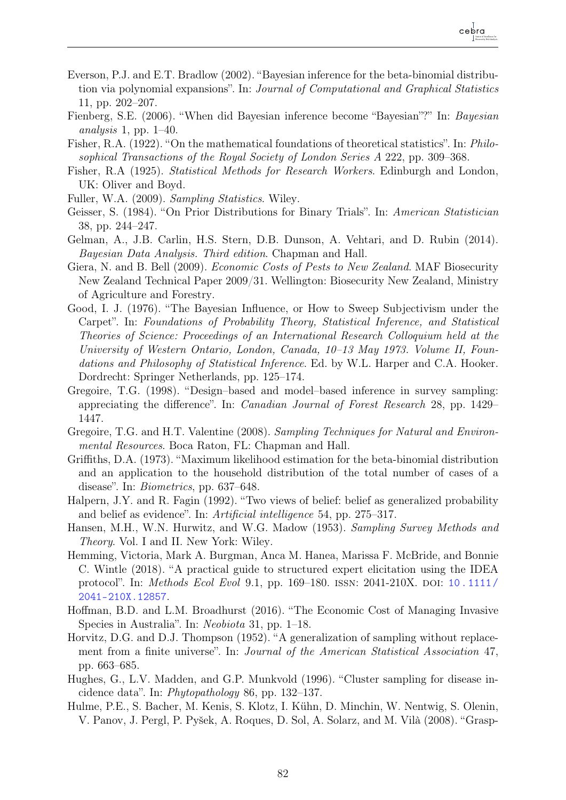- Everson, P.J. and E.T. Bradlow (2002). "Bayesian inference for the beta-binomial distribution via polynomial expansions". In: Journal of Computational and Graphical Statistics 11, pp. 202–207.
- Fienberg, S.E. (2006). "When did Bayesian inference become "Bayesian"?" In: Bayesian analysis 1, pp.  $1-40$ .
- Fisher, R.A. (1922). "On the mathematical foundations of theoretical statistics". In: Philosophical Transactions of the Royal Society of London Series A 222, pp. 309–368.
- Fisher, R.A (1925). Statistical Methods for Research Workers. Edinburgh and London, UK: Oliver and Boyd.
- Fuller, W.A. (2009). Sampling Statistics. Wiley.
- Geisser, S. (1984). "On Prior Distributions for Binary Trials". In: American Statistician 38, pp. 244–247.
- Gelman, A., J.B. Carlin, H.S. Stern, D.B. Dunson, A. Vehtari, and D. Rubin (2014). Bayesian Data Analysis. Third edition. Chapman and Hall.
- Giera, N. and B. Bell (2009). *Economic Costs of Pests to New Zealand*. MAF Biosecurity New Zealand Technical Paper 2009/31. Wellington: Biosecurity New Zealand, Ministry of Agriculture and Forestry.
- Good, I. J. (1976). "The Bayesian Influence, or How to Sweep Subjectivism under the Carpet". In: Foundations of Probability Theory, Statistical Inference, and Statistical Theories of Science: Proceedings of an International Research Colloquium held at the University of Western Ontario, London, Canada, 10–13 May 1973. Volume II, Foundations and Philosophy of Statistical Inference. Ed. by W.L. Harper and C.A. Hooker. Dordrecht: Springer Netherlands, pp. 125–174.
- Gregoire, T.G. (1998). "Design–based and model–based inference in survey sampling: appreciating the difference". In: Canadian Journal of Forest Research 28, pp. 1429– 1447.
- Gregoire, T.G. and H.T. Valentine (2008). Sampling Techniques for Natural and Environmental Resources. Boca Raton, FL: Chapman and Hall.
- Griffiths, D.A. (1973). "Maximum likelihood estimation for the beta-binomial distribution and an application to the household distribution of the total number of cases of a disease". In: *Biometrics*, pp. 637–648.
- Halpern, J.Y. and R. Fagin (1992). "Two views of belief: belief as generalized probability and belief as evidence". In: Artificial intelligence 54, pp. 275–317.
- Hansen, M.H., W.N. Hurwitz, and W.G. Madow (1953). Sampling Survey Methods and Theory. Vol. I and II. New York: Wiley.
- Hemming, Victoria, Mark A. Burgman, Anca M. Hanea, Marissa F. McBride, and Bonnie C. Wintle (2018). "A practical guide to structured expert elicitation using the IDEA protocol". In: *Methods Ecol Evol* 9.1, pp. 169–180. ISSN: 2041-210X. DOI: [10.1111/](https://doi.org/10.1111/2041-210X.12857) [2041-210X.12857](https://doi.org/10.1111/2041-210X.12857).
- Hoffman, B.D. and L.M. Broadhurst (2016). "The Economic Cost of Managing Invasive Species in Australia". In: Neobiota 31, pp. 1–18.
- Horvitz, D.G. and D.J. Thompson (1952). "A generalization of sampling without replacement from a finite universe". In: Journal of the American Statistical Association 47, pp. 663–685.
- Hughes, G., L.V. Madden, and G.P. Munkvold (1996). "Cluster sampling for disease incidence data". In: Phytopathology 86, pp. 132–137.
- Hulme, P.E., S. Bacher, M. Kenis, S. Klotz, I. Kühn, D. Minchin, W. Nentwig, S. Olenin, V. Panov, J. Pergl, P. Pyšek, A. Roques, D. Sol, A. Solarz, and M. Vilà (2008). "Grasp-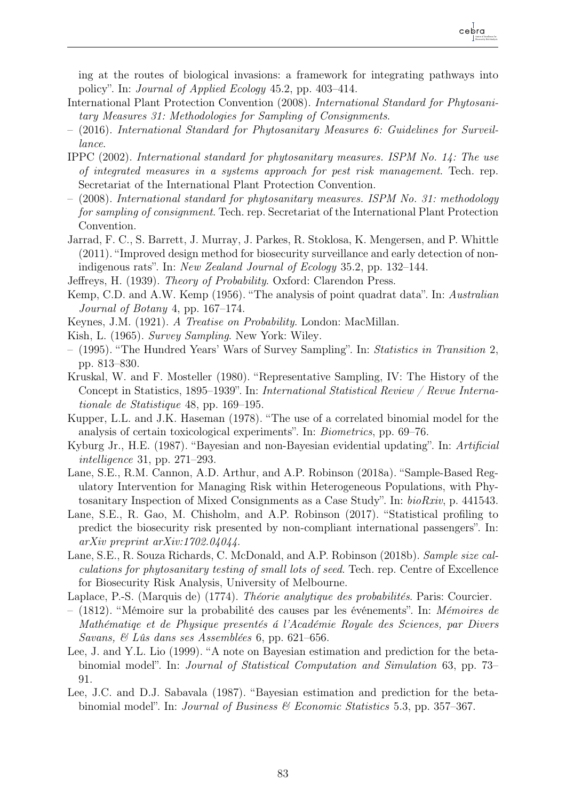ing at the routes of biological invasions: a framework for integrating pathways into policy". In: Journal of Applied Ecology 45.2, pp. 403–414.

- International Plant Protection Convention (2008). International Standard for Phytosanitary Measures 31: Methodologies for Sampling of Consignments.
- (2016). International Standard for Phytosanitary Measures 6: Guidelines for Surveillance.
- IPPC (2002). International standard for phytosanitary measures. ISPM No. 14: The use of integrated measures in a systems approach for pest risk management. Tech. rep. Secretariat of the International Plant Protection Convention.
- (2008). International standard for phytosanitary measures. ISPM No. 31: methodology for sampling of consignment. Tech. rep. Secretariat of the International Plant Protection Convention.
- Jarrad, F. C., S. Barrett, J. Murray, J. Parkes, R. Stoklosa, K. Mengersen, and P. Whittle (2011). "Improved design method for biosecurity surveillance and early detection of nonindigenous rats". In: New Zealand Journal of Ecology 35.2, pp. 132–144.
- Jeffreys, H. (1939). Theory of Probability. Oxford: Clarendon Press.
- Kemp, C.D. and A.W. Kemp (1956). "The analysis of point quadrat data". In: Australian Journal of Botany 4, pp. 167–174.
- Keynes, J.M. (1921). A Treatise on Probability. London: MacMillan.
- Kish, L. (1965). Survey Sampling. New York: Wiley.
- (1995). "The Hundred Years' Wars of Survey Sampling". In: Statistics in Transition 2, pp. 813–830.
- Kruskal, W. and F. Mosteller (1980). "Representative Sampling, IV: The History of the Concept in Statistics, 1895–1939". In: International Statistical Review / Revue Internationale de Statistique 48, pp. 169–195.
- Kupper, L.L. and J.K. Haseman (1978). "The use of a correlated binomial model for the analysis of certain toxicological experiments". In: Biometrics, pp. 69–76.
- Kyburg Jr., H.E. (1987). "Bayesian and non-Bayesian evidential updating". In: Artificial intelligence 31, pp. 271–293.
- Lane, S.E., R.M. Cannon, A.D. Arthur, and A.P. Robinson (2018a). "Sample-Based Regulatory Intervention for Managing Risk within Heterogeneous Populations, with Phytosanitary Inspection of Mixed Consignments as a Case Study". In: bioRxiv, p. 441543.
- Lane, S.E., R. Gao, M. Chisholm, and A.P. Robinson (2017). "Statistical profiling to predict the biosecurity risk presented by non-compliant international passengers". In: arXiv preprint arXiv:1702.04044.
- Lane, S.E., R. Souza Richards, C. McDonald, and A.P. Robinson (2018b). Sample size calculations for phytosanitary testing of small lots of seed. Tech. rep. Centre of Excellence for Biosecurity Risk Analysis, University of Melbourne.
- Laplace, P.-S. (Marquis de) (1774). Théorie analytique des probabilités. Paris: Courcier.
- (1812). "Mémoire sur la probabilité des causes par les événements". In: Mémoires de Mathématiqe et de Physique presentés á l'Académie Royale des Sciences, par Divers Savans, & Lûs dans ses Assemblées 6, pp. 621–656.
- Lee, J. and Y.L. Lio (1999). "A note on Bayesian estimation and prediction for the betabinomial model". In: Journal of Statistical Computation and Simulation 63, pp. 73– 91.
- Lee, J.C. and D.J. Sabavala (1987). "Bayesian estimation and prediction for the betabinomial model". In: Journal of Business & Economic Statistics 5.3, pp. 357–367.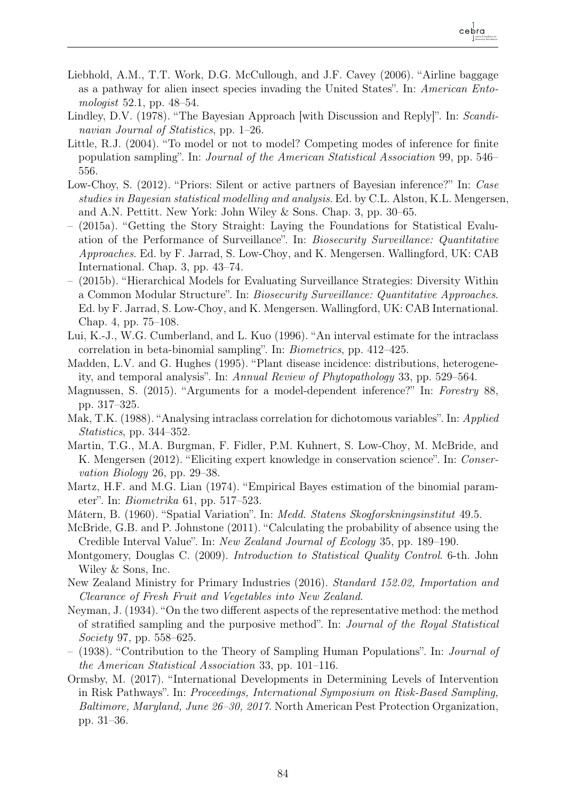- Liebhold, A.M., T.T. Work, D.G. McCullough, and J.F. Cavey (2006). "Airline baggage as a pathway for alien insect species invading the United States". In: American Entomologist 52.1, pp. 48–54.
- Lindley, D.V. (1978). "The Bayesian Approach [with Discussion and Reply]". In: Scandinavian Journal of Statistics, pp. 1–26.
- Little, R.J. (2004). "To model or not to model? Competing modes of inference for finite population sampling". In: Journal of the American Statistical Association 99, pp. 546– 556.
- Low-Choy, S. (2012). "Priors: Silent or active partners of Bayesian inference?" In: Case studies in Bayesian statistical modelling and analysis. Ed. by C.L. Alston, K.L. Mengersen, and A.N. Pettitt. New York: John Wiley & Sons. Chap. 3, pp. 30–65.
- (2015a). "Getting the Story Straight: Laying the Foundations for Statistical Evaluation of the Performance of Surveillance". In: Biosecurity Surveillance: Quantitative Approaches. Ed. by F. Jarrad, S. Low-Choy, and K. Mengersen. Wallingford, UK: CAB International. Chap. 3, pp. 43–74.
- (2015b). "Hierarchical Models for Evaluating Surveillance Strategies: Diversity Within a Common Modular Structure". In: Biosecurity Surveillance: Quantitative Approaches. Ed. by F. Jarrad, S. Low-Choy, and K. Mengersen. Wallingford, UK: CAB International. Chap. 4, pp. 75–108.
- Lui, K.-J., W.G. Cumberland, and L. Kuo (1996). "An interval estimate for the intraclass correlation in beta-binomial sampling". In: Biometrics, pp. 412–425.
- Madden, L.V. and G. Hughes (1995). "Plant disease incidence: distributions, heterogeneity, and temporal analysis". In: Annual Review of Phytopathology 33, pp. 529–564.
- Magnussen, S. (2015). "Arguments for a model-dependent inference?" In: Forestry 88, pp. 317–325.
- Mak, T.K. (1988). "Analysing intraclass correlation for dichotomous variables". In: Applied Statistics, pp. 344–352.
- Martin, T.G., M.A. Burgman, F. Fidler, P.M. Kuhnert, S. Low-Choy, M. McBride, and K. Mengersen (2012). "Eliciting expert knowledge in conservation science". In: Conservation Biology 26, pp. 29–38.
- Martz, H.F. and M.G. Lian (1974). "Empirical Bayes estimation of the binomial parameter". In: Biometrika 61, pp. 517–523.
- Mátern, B. (1960). "Spatial Variation". In: Medd. Statens Skogforskningsinstitut 49.5.
- McBride, G.B. and P. Johnstone (2011). "Calculating the probability of absence using the Credible Interval Value". In: New Zealand Journal of Ecology 35, pp. 189–190.
- Montgomery, Douglas C. (2009). Introduction to Statistical Quality Control. 6-th. John Wiley & Sons, Inc.
- New Zealand Ministry for Primary Industries (2016). Standard 152.02, Importation and Clearance of Fresh Fruit and Vegetables into New Zealand.
- Neyman, J. (1934). "On the two different aspects of the representative method: the method of stratified sampling and the purposive method". In: Journal of the Royal Statistical Society 97, pp. 558–625.
- (1938). "Contribution to the Theory of Sampling Human Populations". In: Journal of the American Statistical Association 33, pp. 101–116.
- Ormsby, M. (2017). "International Developments in Determining Levels of Intervention in Risk Pathways". In: Proceedings, International Symposium on Risk-Based Sampling, Baltimore, Maryland, June 26–30, 2017. North American Pest Protection Organization, pp. 31–36.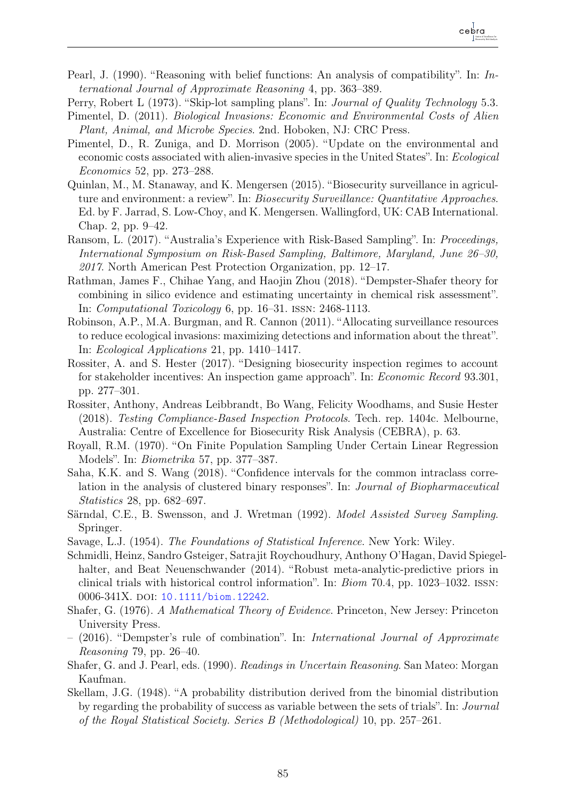Pearl, J. (1990). "Reasoning with belief functions: An analysis of compatibility". In: International Journal of Approximate Reasoning 4, pp. 363–389.

Perry, Robert L (1973). "Skip-lot sampling plans". In: *Journal of Quality Technology* 5.3.

- Pimentel, D. (2011). Biological Invasions: Economic and Environmental Costs of Alien Plant, Animal, and Microbe Species. 2nd. Hoboken, NJ: CRC Press.
- Pimentel, D., R. Zuniga, and D. Morrison (2005). "Update on the environmental and economic costs associated with alien-invasive species in the United States". In: Ecological Economics 52, pp. 273–288.
- Quinlan, M., M. Stanaway, and K. Mengersen (2015). "Biosecurity surveillance in agriculture and environment: a review". In: *Biosecurity Surveillance: Quantitative Approaches.* Ed. by F. Jarrad, S. Low-Choy, and K. Mengersen. Wallingford, UK: CAB International. Chap. 2, pp. 9–42.
- Ransom, L. (2017). "Australia's Experience with Risk-Based Sampling". In: Proceedings, International Symposium on Risk-Based Sampling, Baltimore, Maryland, June 26–30, 2017. North American Pest Protection Organization, pp. 12–17.
- <span id="page-84-0"></span>Rathman, James F., Chihae Yang, and Haojin Zhou (2018). "Dempster-Shafer theory for combining in silico evidence and estimating uncertainty in chemical risk assessment". In: Computational Toxicology 6, pp. 16–31. issn: 2468-1113.
- Robinson, A.P., M.A. Burgman, and R. Cannon (2011). "Allocating surveillance resources to reduce ecological invasions: maximizing detections and information about the threat". In: Ecological Applications 21, pp. 1410–1417.
- Rossiter, A. and S. Hester (2017). "Designing biosecurity inspection regimes to account for stakeholder incentives: An inspection game approach". In: Economic Record 93.301, pp. 277–301.
- Rossiter, Anthony, Andreas Leibbrandt, Bo Wang, Felicity Woodhams, and Susie Hester (2018). Testing Compliance-Based Inspection Protocols. Tech. rep. 1404c. Melbourne, Australia: Centre of Excellence for Biosecurity Risk Analysis (CEBRA), p. 63.
- Royall, R.M. (1970). "On Finite Population Sampling Under Certain Linear Regression Models". In: Biometrika 57, pp. 377–387.
- Saha, K.K. and S. Wang (2018). "Confidence intervals for the common intraclass correlation in the analysis of clustered binary responses". In: Journal of Biopharmaceutical Statistics 28, pp. 682–697.
- Särndal, C.E., B. Swensson, and J. Wretman (1992). Model Assisted Survey Sampling. Springer.
- Savage, L.J. (1954). The Foundations of Statistical Inference. New York: Wiley.
- Schmidli, Heinz, Sandro Gsteiger, Satrajit Roychoudhury, Anthony O'Hagan, David Spiegelhalter, and Beat Neuenschwander (2014). "Robust meta-analytic-predictive priors in clinical trials with historical control information". In: Biom 70.4, pp. 1023–1032. issn: 0006-341X. DOI: [10.1111/biom.12242](https://doi.org/10.1111/biom.12242).
- Shafer, G. (1976). A Mathematical Theory of Evidence. Princeton, New Jersey: Princeton University Press.
- (2016). "Dempster's rule of combination". In: International Journal of Approximate Reasoning 79, pp. 26–40.
- Shafer, G. and J. Pearl, eds. (1990). Readings in Uncertain Reasoning. San Mateo: Morgan Kaufman.
- Skellam, J.G. (1948). "A probability distribution derived from the binomial distribution by regarding the probability of success as variable between the sets of trials". In: Journal of the Royal Statistical Society. Series B (Methodological) 10, pp. 257–261.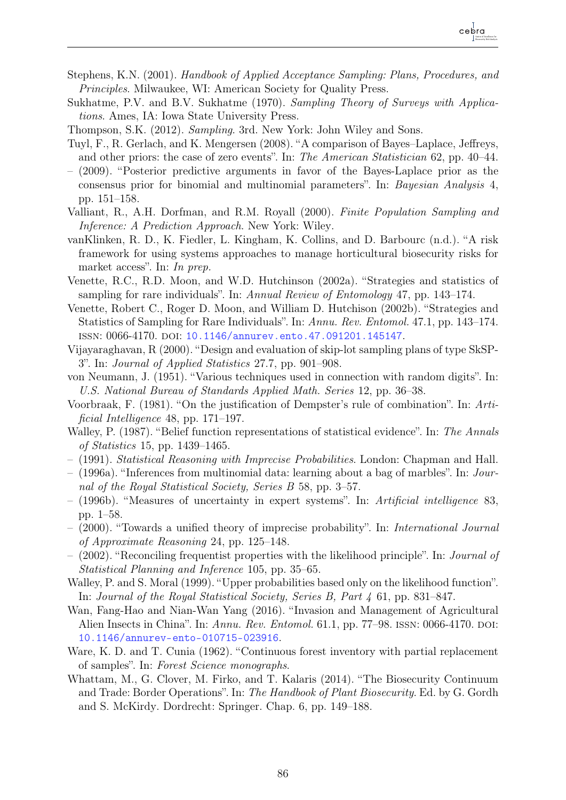- Stephens, K.N. (2001). Handbook of Applied Acceptance Sampling: Plans, Procedures, and Principles. Milwaukee, WI: American Society for Quality Press.
- Sukhatme, P.V. and B.V. Sukhatme (1970). Sampling Theory of Surveys with Applications. Ames, IA: Iowa State University Press.
- Thompson, S.K. (2012). Sampling. 3rd. New York: John Wiley and Sons.
- Tuyl, F., R. Gerlach, and K. Mengersen (2008). "A comparison of Bayes–Laplace, Jeffreys, and other priors: the case of zero events". In: The American Statistician 62, pp. 40–44.
- (2009). "Posterior predictive arguments in favor of the Bayes-Laplace prior as the consensus prior for binomial and multinomial parameters". In: Bayesian Analysis 4, pp. 151–158.
- Valliant, R., A.H. Dorfman, and R.M. Royall (2000). Finite Population Sampling and Inference: A Prediction Approach. New York: Wiley.
- vanKlinken, R. D., K. Fiedler, L. Kingham, K. Collins, and D. Barbourc (n.d.). "A risk framework for using systems approaches to manage horticultural biosecurity risks for market access". In: In prep.
- Venette, R.C., R.D. Moon, and W.D. Hutchinson (2002a). "Strategies and statistics of sampling for rare individuals". In: Annual Review of Entomology 47, pp. 143–174.
- Venette, Robert C., Roger D. Moon, and William D. Hutchison (2002b). "Strategies and Statistics of Sampling for Rare Individuals". In: Annu. Rev. Entomol. 47.1, pp. 143–174. ISSN: 0066-4170. DOI: [10.1146/annurev.ento.47.091201.145147](https://doi.org/10.1146/annurev.ento.47.091201.145147).
- Vijayaraghavan, R (2000). "Design and evaluation of skip-lot sampling plans of type SkSP-3". In: Journal of Applied Statistics 27.7, pp. 901–908.
- von Neumann, J. (1951). "Various techniques used in connection with random digits". In: U.S. National Bureau of Standards Applied Math. Series 12, pp. 36–38.
- Voorbraak, F. (1981). "On the justification of Dempster's rule of combination". In: Artificial Intelligence 48, pp. 171–197.
- Walley, P. (1987). "Belief function representations of statistical evidence". In: The Annals of Statistics 15, pp. 1439–1465.
- (1991). Statistical Reasoning with Imprecise Probabilities. London: Chapman and Hall.
- $-$  (1996a). "Inferences from multinomial data: learning about a bag of marbles". In: Journal of the Royal Statistical Society, Series B 58, pp. 3–57.
- (1996b). "Measures of uncertainty in expert systems". In: Artificial intelligence 83, pp. 1–58.
- (2000). "Towards a unified theory of imprecise probability". In: International Journal of Approximate Reasoning 24, pp. 125–148.
- (2002). "Reconciling frequentist properties with the likelihood principle". In: Journal of Statistical Planning and Inference 105, pp. 35–65.
- Walley, P. and S. Moral (1999). "Upper probabilities based only on the likelihood function". In: Journal of the Royal Statistical Society, Series B, Part 4 61, pp. 831–847.
- Wan, Fang-Hao and Nian-Wan Yang (2016). "Invasion and Management of Agricultural Alien Insects in China". In: Annu. Rev. Entomol. 61.1, pp. 77–98. ISSN: 0066-4170. DOI: [10.1146/annurev-ento-010715-023916](https://doi.org/10.1146/annurev-ento-010715-023916).
- Ware, K. D. and T. Cunia (1962). "Continuous forest inventory with partial replacement of samples". In: Forest Science monographs.
- Whattam, M., G. Clover, M. Firko, and T. Kalaris (2014). "The Biosecurity Continuum and Trade: Border Operations". In: The Handbook of Plant Biosecurity. Ed. by G. Gordh and S. McKirdy. Dordrecht: Springer. Chap. 6, pp. 149–188.